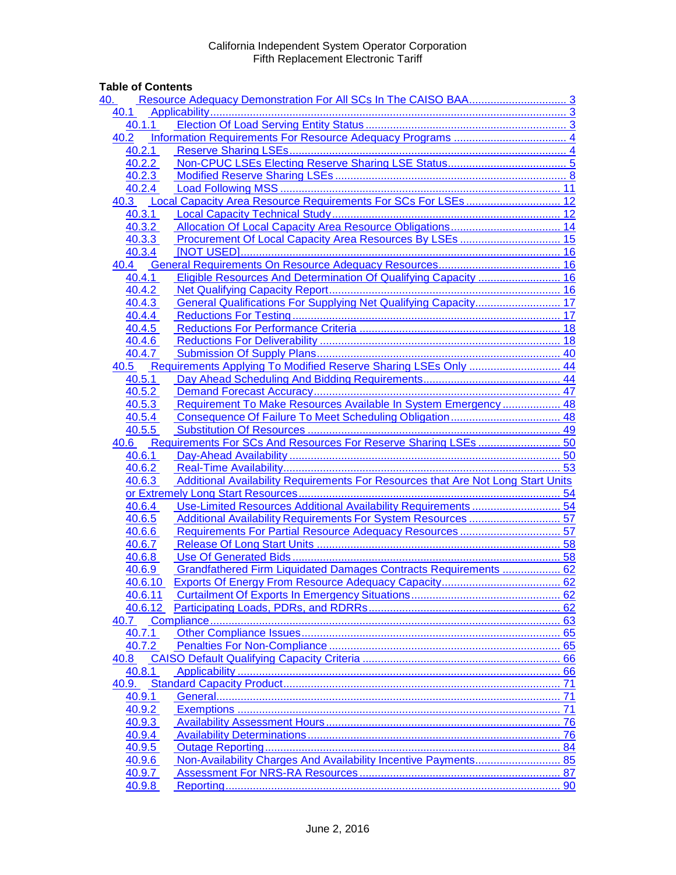# **Table of Contents**

| 40.   |                  |                                                                                  |    |  |  |
|-------|------------------|----------------------------------------------------------------------------------|----|--|--|
| 40.1  |                  |                                                                                  |    |  |  |
|       | 40.1.1           |                                                                                  |    |  |  |
| 40.2  |                  |                                                                                  |    |  |  |
|       | 40.2.1           |                                                                                  |    |  |  |
|       | 40.2.2           |                                                                                  |    |  |  |
|       | 40.2.3           |                                                                                  |    |  |  |
|       | 40.2.4           |                                                                                  |    |  |  |
| 40.3  |                  |                                                                                  |    |  |  |
|       | 40.3.1           |                                                                                  |    |  |  |
|       | 40.3.2           |                                                                                  |    |  |  |
|       | 40.3.3           |                                                                                  |    |  |  |
|       | 40.3.4           |                                                                                  |    |  |  |
|       |                  |                                                                                  |    |  |  |
|       | 40.4.1           | Eligible Resources And Determination Of Qualifying Capacity  16                  |    |  |  |
|       | 40.4.2           |                                                                                  |    |  |  |
|       | 40.4.3           |                                                                                  |    |  |  |
|       | 40.4.4           |                                                                                  |    |  |  |
|       | 40.4.5           |                                                                                  |    |  |  |
|       | 40.4.6           |                                                                                  |    |  |  |
|       | 40.4.7           |                                                                                  |    |  |  |
|       |                  | 40.5 Requirements Applying To Modified Reserve Sharing LSEs Only  44             |    |  |  |
|       | 40.5.1           |                                                                                  |    |  |  |
|       | 40.5.2           |                                                                                  |    |  |  |
|       | 40.5.3           | Requirement To Make Resources Available In System Emergency  48                  |    |  |  |
|       | 40.5.4           |                                                                                  |    |  |  |
|       | 40.5.5           |                                                                                  |    |  |  |
|       |                  |                                                                                  |    |  |  |
|       |                  |                                                                                  |    |  |  |
|       |                  |                                                                                  |    |  |  |
|       | 40.6.2           |                                                                                  |    |  |  |
|       | 40.6.3           |                                                                                  |    |  |  |
|       |                  | Additional Availability Requirements For Resources that Are Not Long Start Units |    |  |  |
|       | 40.6.4           |                                                                                  |    |  |  |
|       | 40.6.5           |                                                                                  |    |  |  |
|       | 40.6.6           |                                                                                  |    |  |  |
|       | 40.6.7           |                                                                                  |    |  |  |
|       | 40.6.8           |                                                                                  |    |  |  |
|       | 40.6.9           | Grandfathered Firm Liquidated Damages Contracts Requirements  62                 |    |  |  |
|       | 40.6.10          |                                                                                  |    |  |  |
|       | 40.6.11          |                                                                                  |    |  |  |
|       | 40.6.12          |                                                                                  |    |  |  |
| 40.7  |                  |                                                                                  |    |  |  |
|       | 40.7.1           |                                                                                  |    |  |  |
|       | 40.7.2           |                                                                                  |    |  |  |
| 40.8  |                  |                                                                                  |    |  |  |
|       | 40.8.1           |                                                                                  | 66 |  |  |
| 40.9. |                  |                                                                                  | 71 |  |  |
|       | 40.9.1           |                                                                                  | 71 |  |  |
|       | 40.9.2           |                                                                                  | 71 |  |  |
|       | 40.9.3           |                                                                                  |    |  |  |
|       | 40.9.4           |                                                                                  | 76 |  |  |
|       | 40.9.5           |                                                                                  |    |  |  |
|       | 40.9.6           | Non-Availability Charges And Availability Incentive Payments 85                  |    |  |  |
|       | 40.9.7<br>40.9.8 |                                                                                  |    |  |  |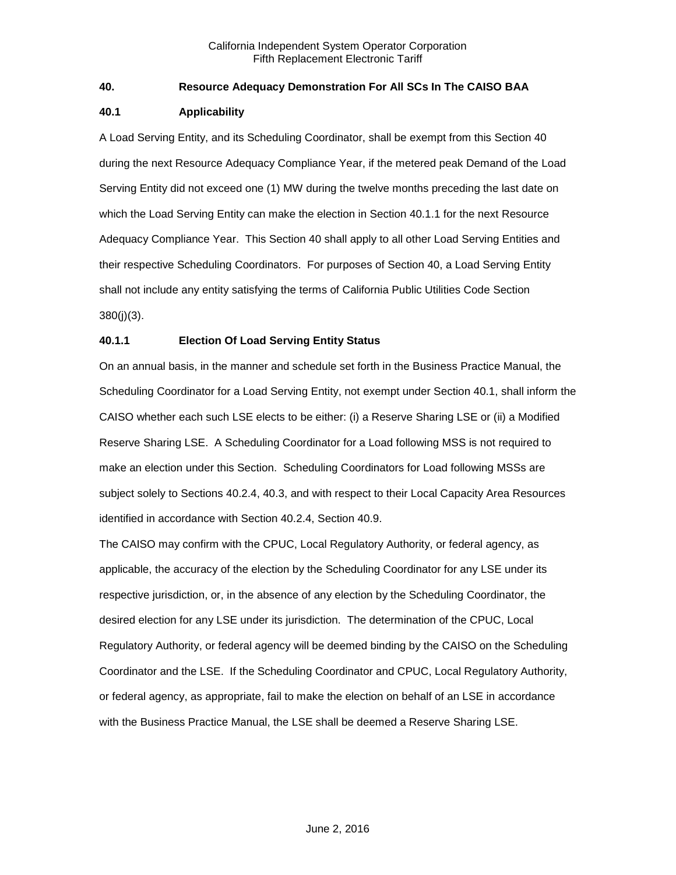# <span id="page-2-0"></span>**40. Resource Adequacy Demonstration For All SCs In The CAISO BAA**

## <span id="page-2-1"></span>**40.1 Applicability**

A Load Serving Entity, and its Scheduling Coordinator, shall be exempt from this Section 40 during the next Resource Adequacy Compliance Year, if the metered peak Demand of the Load Serving Entity did not exceed one (1) MW during the twelve months preceding the last date on which the Load Serving Entity can make the election in Section 40.1.1 for the next Resource Adequacy Compliance Year. This Section 40 shall apply to all other Load Serving Entities and their respective Scheduling Coordinators. For purposes of Section 40, a Load Serving Entity shall not include any entity satisfying the terms of California Public Utilities Code Section 380(j)(3).

# <span id="page-2-2"></span>**40.1.1 Election Of Load Serving Entity Status**

On an annual basis, in the manner and schedule set forth in the Business Practice Manual, the Scheduling Coordinator for a Load Serving Entity, not exempt under Section 40.1, shall inform the CAISO whether each such LSE elects to be either: (i) a Reserve Sharing LSE or (ii) a Modified Reserve Sharing LSE. A Scheduling Coordinator for a Load following MSS is not required to make an election under this Section. Scheduling Coordinators for Load following MSSs are subject solely to Sections 40.2.4, 40.3, and with respect to their Local Capacity Area Resources identified in accordance with Section 40.2.4, Section 40.9.

The CAISO may confirm with the CPUC, Local Regulatory Authority, or federal agency, as applicable, the accuracy of the election by the Scheduling Coordinator for any LSE under its respective jurisdiction, or, in the absence of any election by the Scheduling Coordinator, the desired election for any LSE under its jurisdiction. The determination of the CPUC, Local Regulatory Authority, or federal agency will be deemed binding by the CAISO on the Scheduling Coordinator and the LSE. If the Scheduling Coordinator and CPUC, Local Regulatory Authority, or federal agency, as appropriate, fail to make the election on behalf of an LSE in accordance with the Business Practice Manual, the LSE shall be deemed a Reserve Sharing LSE.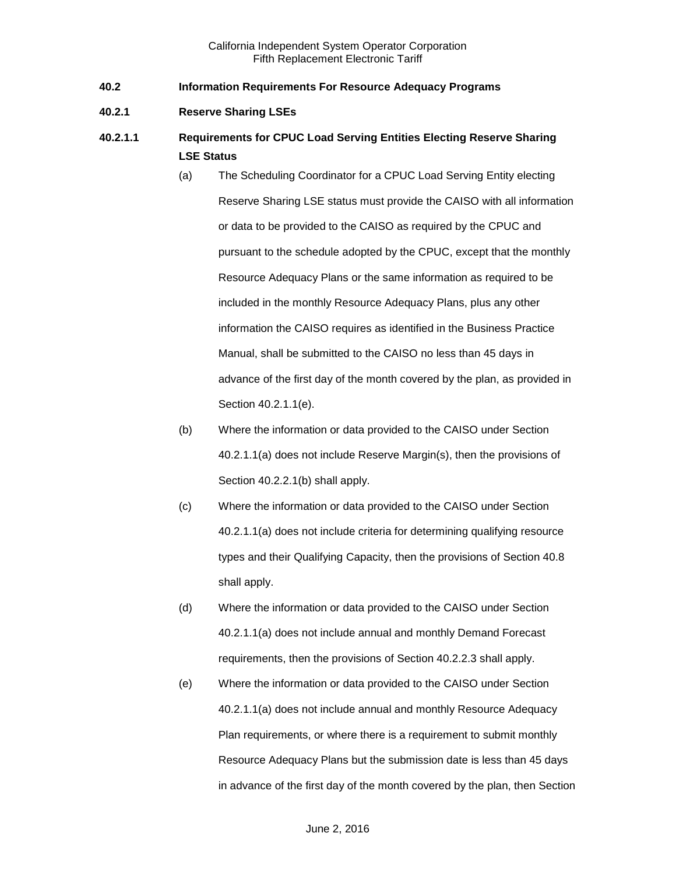- <span id="page-3-0"></span>**40.2 Information Requirements For Resource Adequacy Programs**
- <span id="page-3-1"></span>**40.2.1 Reserve Sharing LSEs**
- **40.2.1.1 Requirements for CPUC Load Serving Entities Electing Reserve Sharing LSE Status**
	- (a) The Scheduling Coordinator for a CPUC Load Serving Entity electing Reserve Sharing LSE status must provide the CAISO with all information or data to be provided to the CAISO as required by the CPUC and pursuant to the schedule adopted by the CPUC, except that the monthly Resource Adequacy Plans or the same information as required to be included in the monthly Resource Adequacy Plans, plus any other information the CAISO requires as identified in the Business Practice Manual, shall be submitted to the CAISO no less than 45 days in advance of the first day of the month covered by the plan, as provided in Section 40.2.1.1(e).
	- (b) Where the information or data provided to the CAISO under Section 40.2.1.1(a) does not include Reserve Margin(s), then the provisions of Section 40.2.2.1(b) shall apply.
	- (c) Where the information or data provided to the CAISO under Section 40.2.1.1(a) does not include criteria for determining qualifying resource types and their Qualifying Capacity, then the provisions of Section 40.8 shall apply.
	- (d) Where the information or data provided to the CAISO under Section 40.2.1.1(a) does not include annual and monthly Demand Forecast requirements, then the provisions of Section 40.2.2.3 shall apply.
	- (e) Where the information or data provided to the CAISO under Section 40.2.1.1(a) does not include annual and monthly Resource Adequacy Plan requirements, or where there is a requirement to submit monthly Resource Adequacy Plans but the submission date is less than 45 days in advance of the first day of the month covered by the plan, then Section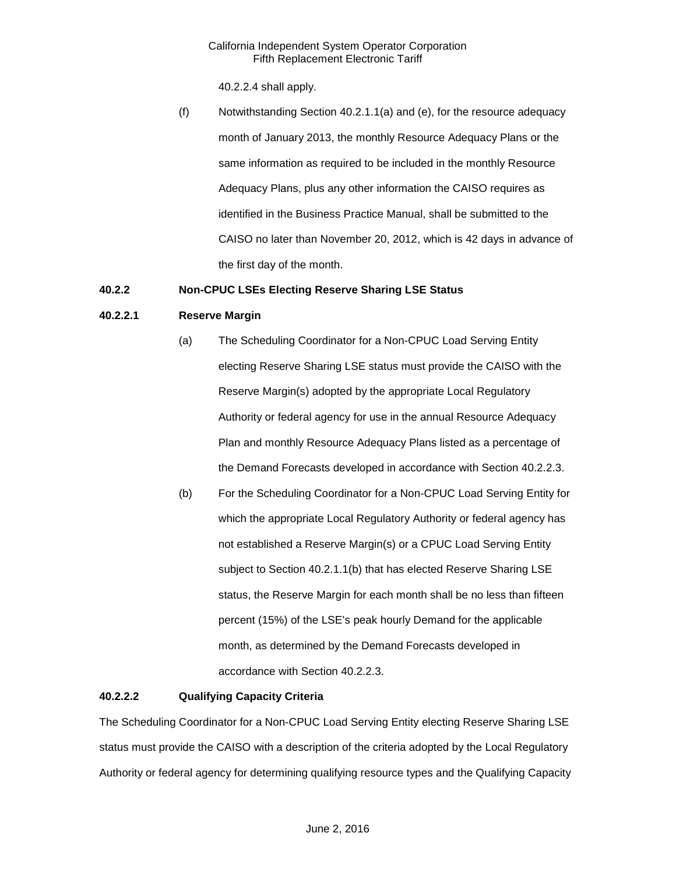40.2.2.4 shall apply.

(f) Notwithstanding Section 40.2.1.1(a) and (e), for the resource adequacy month of January 2013, the monthly Resource Adequacy Plans or the same information as required to be included in the monthly Resource Adequacy Plans, plus any other information the CAISO requires as identified in the Business Practice Manual, shall be submitted to the CAISO no later than November 20, 2012, which is 42 days in advance of the first day of the month.

# <span id="page-4-0"></span>**40.2.2 Non-CPUC LSEs Electing Reserve Sharing LSE Status**

# **40.2.2.1 Reserve Margin**

- (a) The Scheduling Coordinator for a Non-CPUC Load Serving Entity electing Reserve Sharing LSE status must provide the CAISO with the Reserve Margin(s) adopted by the appropriate Local Regulatory Authority or federal agency for use in the annual Resource Adequacy Plan and monthly Resource Adequacy Plans listed as a percentage of the Demand Forecasts developed in accordance with Section 40.2.2.3.
- (b) For the Scheduling Coordinator for a Non-CPUC Load Serving Entity for which the appropriate Local Regulatory Authority or federal agency has not established a Reserve Margin(s) or a CPUC Load Serving Entity subject to Section 40.2.1.1(b) that has elected Reserve Sharing LSE status, the Reserve Margin for each month shall be no less than fifteen percent (15%) of the LSE's peak hourly Demand for the applicable month, as determined by the Demand Forecasts developed in accordance with Section 40.2.2.3.

# **40.2.2.2 Qualifying Capacity Criteria**

The Scheduling Coordinator for a Non-CPUC Load Serving Entity electing Reserve Sharing LSE status must provide the CAISO with a description of the criteria adopted by the Local Regulatory Authority or federal agency for determining qualifying resource types and the Qualifying Capacity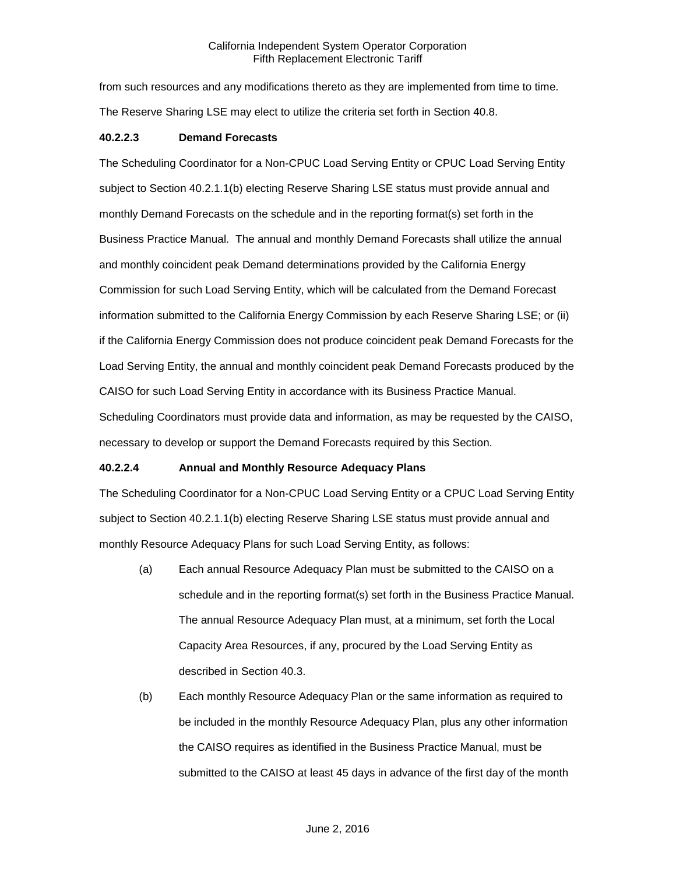from such resources and any modifications thereto as they are implemented from time to time. The Reserve Sharing LSE may elect to utilize the criteria set forth in Section 40.8.

#### **40.2.2.3 Demand Forecasts**

The Scheduling Coordinator for a Non-CPUC Load Serving Entity or CPUC Load Serving Entity subject to Section 40.2.1.1(b) electing Reserve Sharing LSE status must provide annual and monthly Demand Forecasts on the schedule and in the reporting format(s) set forth in the Business Practice Manual. The annual and monthly Demand Forecasts shall utilize the annual and monthly coincident peak Demand determinations provided by the California Energy Commission for such Load Serving Entity, which will be calculated from the Demand Forecast information submitted to the California Energy Commission by each Reserve Sharing LSE; or (ii) if the California Energy Commission does not produce coincident peak Demand Forecasts for the Load Serving Entity, the annual and monthly coincident peak Demand Forecasts produced by the CAISO for such Load Serving Entity in accordance with its Business Practice Manual. Scheduling Coordinators must provide data and information, as may be requested by the CAISO, necessary to develop or support the Demand Forecasts required by this Section.

## **40.2.2.4 Annual and Monthly Resource Adequacy Plans**

The Scheduling Coordinator for a Non-CPUC Load Serving Entity or a CPUC Load Serving Entity subject to Section 40.2.1.1(b) electing Reserve Sharing LSE status must provide annual and monthly Resource Adequacy Plans for such Load Serving Entity, as follows:

- (a) Each annual Resource Adequacy Plan must be submitted to the CAISO on a schedule and in the reporting format(s) set forth in the Business Practice Manual. The annual Resource Adequacy Plan must, at a minimum, set forth the Local Capacity Area Resources, if any, procured by the Load Serving Entity as described in Section 40.3.
- (b) Each monthly Resource Adequacy Plan or the same information as required to be included in the monthly Resource Adequacy Plan, plus any other information the CAISO requires as identified in the Business Practice Manual, must be submitted to the CAISO at least 45 days in advance of the first day of the month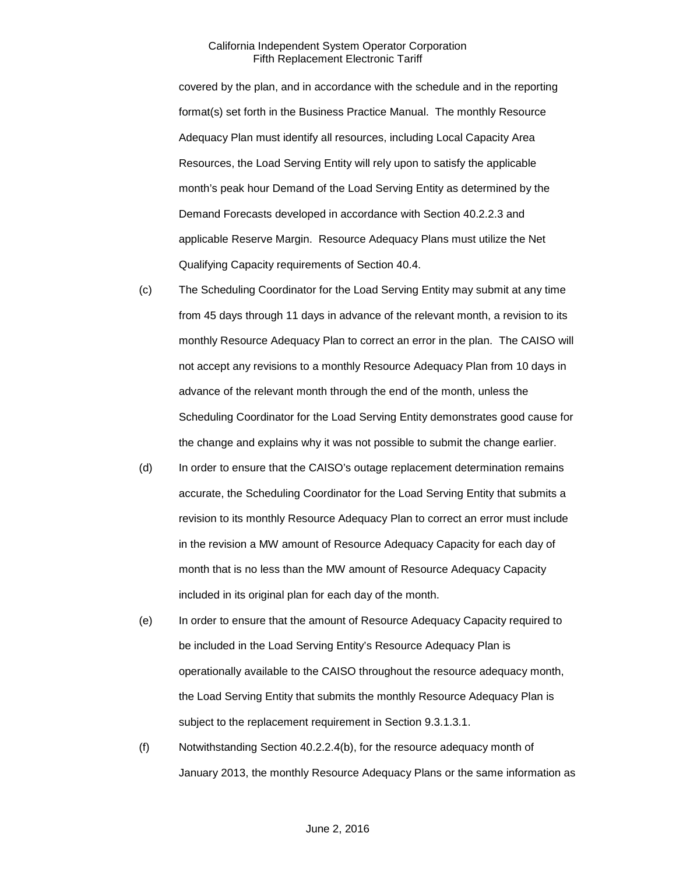covered by the plan, and in accordance with the schedule and in the reporting format(s) set forth in the Business Practice Manual. The monthly Resource Adequacy Plan must identify all resources, including Local Capacity Area Resources, the Load Serving Entity will rely upon to satisfy the applicable month's peak hour Demand of the Load Serving Entity as determined by the Demand Forecasts developed in accordance with Section 40.2.2.3 and applicable Reserve Margin. Resource Adequacy Plans must utilize the Net Qualifying Capacity requirements of Section 40.4.

- (c) The Scheduling Coordinator for the Load Serving Entity may submit at any time from 45 days through 11 days in advance of the relevant month, a revision to its monthly Resource Adequacy Plan to correct an error in the plan. The CAISO will not accept any revisions to a monthly Resource Adequacy Plan from 10 days in advance of the relevant month through the end of the month, unless the Scheduling Coordinator for the Load Serving Entity demonstrates good cause for the change and explains why it was not possible to submit the change earlier.
- (d) In order to ensure that the CAISO's outage replacement determination remains accurate, the Scheduling Coordinator for the Load Serving Entity that submits a revision to its monthly Resource Adequacy Plan to correct an error must include in the revision a MW amount of Resource Adequacy Capacity for each day of month that is no less than the MW amount of Resource Adequacy Capacity included in its original plan for each day of the month.
- (e) In order to ensure that the amount of Resource Adequacy Capacity required to be included in the Load Serving Entity's Resource Adequacy Plan is operationally available to the CAISO throughout the resource adequacy month, the Load Serving Entity that submits the monthly Resource Adequacy Plan is subject to the replacement requirement in Section 9.3.1.3.1.
- (f) Notwithstanding Section 40.2.2.4(b), for the resource adequacy month of January 2013, the monthly Resource Adequacy Plans or the same information as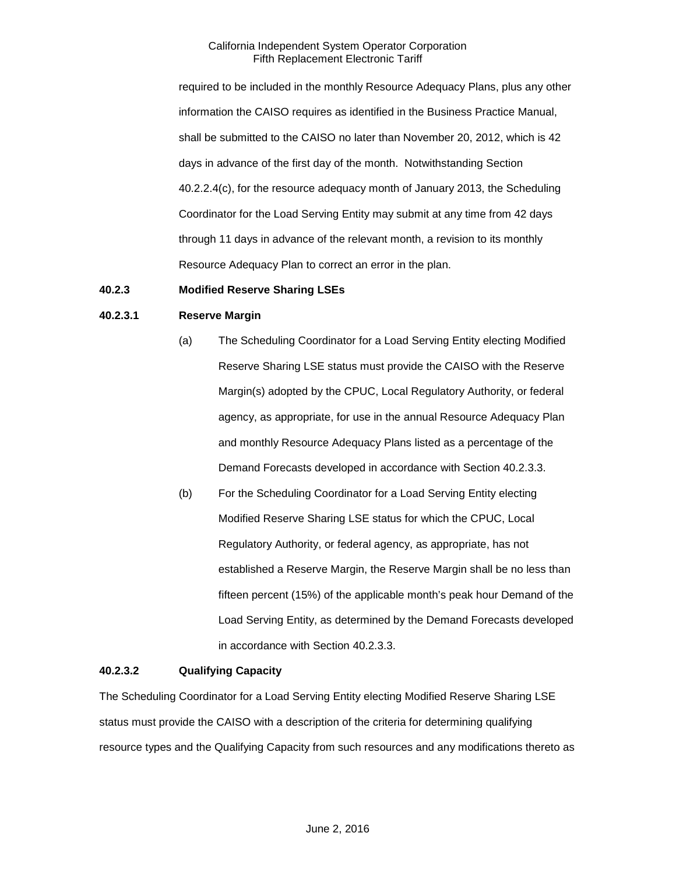required to be included in the monthly Resource Adequacy Plans, plus any other information the CAISO requires as identified in the Business Practice Manual, shall be submitted to the CAISO no later than November 20, 2012, which is 42 days in advance of the first day of the month. Notwithstanding Section 40.2.2.4(c), for the resource adequacy month of January 2013, the Scheduling Coordinator for the Load Serving Entity may submit at any time from 42 days through 11 days in advance of the relevant month, a revision to its monthly Resource Adequacy Plan to correct an error in the plan.

## <span id="page-7-0"></span>**40.2.3 Modified Reserve Sharing LSEs**

#### **40.2.3.1 Reserve Margin**

- (a) The Scheduling Coordinator for a Load Serving Entity electing Modified Reserve Sharing LSE status must provide the CAISO with the Reserve Margin(s) adopted by the CPUC, Local Regulatory Authority, or federal agency, as appropriate, for use in the annual Resource Adequacy Plan and monthly Resource Adequacy Plans listed as a percentage of the Demand Forecasts developed in accordance with Section 40.2.3.3.
- (b) For the Scheduling Coordinator for a Load Serving Entity electing Modified Reserve Sharing LSE status for which the CPUC, Local Regulatory Authority, or federal agency, as appropriate, has not established a Reserve Margin, the Reserve Margin shall be no less than fifteen percent (15%) of the applicable month's peak hour Demand of the Load Serving Entity, as determined by the Demand Forecasts developed in accordance with Section 40.2.3.3.

#### **40.2.3.2 Qualifying Capacity**

The Scheduling Coordinator for a Load Serving Entity electing Modified Reserve Sharing LSE status must provide the CAISO with a description of the criteria for determining qualifying resource types and the Qualifying Capacity from such resources and any modifications thereto as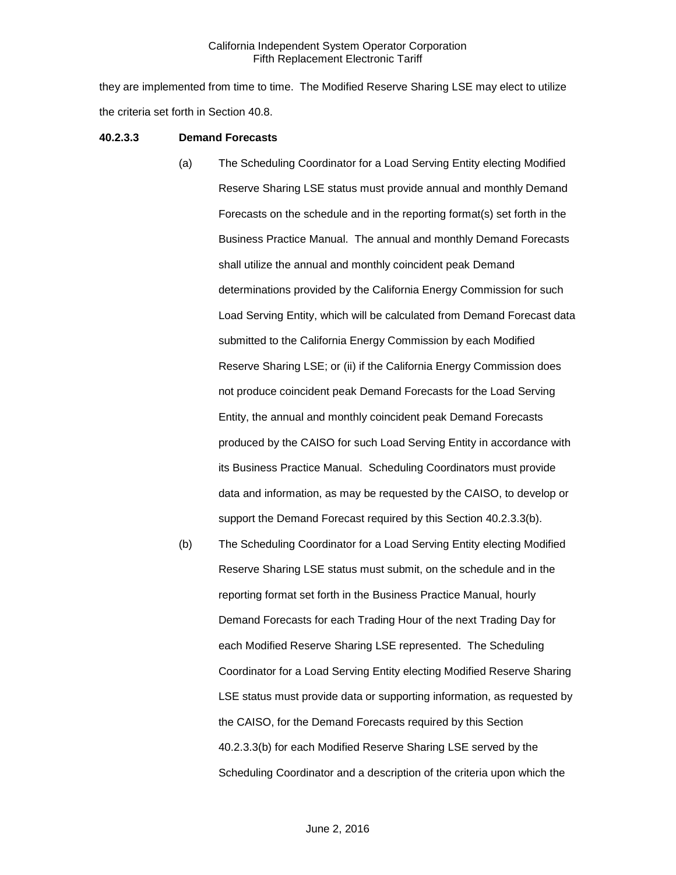they are implemented from time to time. The Modified Reserve Sharing LSE may elect to utilize the criteria set forth in Section 40.8.

#### **40.2.3.3 Demand Forecasts**

- (a) The Scheduling Coordinator for a Load Serving Entity electing Modified Reserve Sharing LSE status must provide annual and monthly Demand Forecasts on the schedule and in the reporting format(s) set forth in the Business Practice Manual. The annual and monthly Demand Forecasts shall utilize the annual and monthly coincident peak Demand determinations provided by the California Energy Commission for such Load Serving Entity, which will be calculated from Demand Forecast data submitted to the California Energy Commission by each Modified Reserve Sharing LSE; or (ii) if the California Energy Commission does not produce coincident peak Demand Forecasts for the Load Serving Entity, the annual and monthly coincident peak Demand Forecasts produced by the CAISO for such Load Serving Entity in accordance with its Business Practice Manual. Scheduling Coordinators must provide data and information, as may be requested by the CAISO, to develop or support the Demand Forecast required by this Section 40.2.3.3(b).
- (b) The Scheduling Coordinator for a Load Serving Entity electing Modified Reserve Sharing LSE status must submit, on the schedule and in the reporting format set forth in the Business Practice Manual, hourly Demand Forecasts for each Trading Hour of the next Trading Day for each Modified Reserve Sharing LSE represented. The Scheduling Coordinator for a Load Serving Entity electing Modified Reserve Sharing LSE status must provide data or supporting information, as requested by the CAISO, for the Demand Forecasts required by this Section 40.2.3.3(b) for each Modified Reserve Sharing LSE served by the Scheduling Coordinator and a description of the criteria upon which the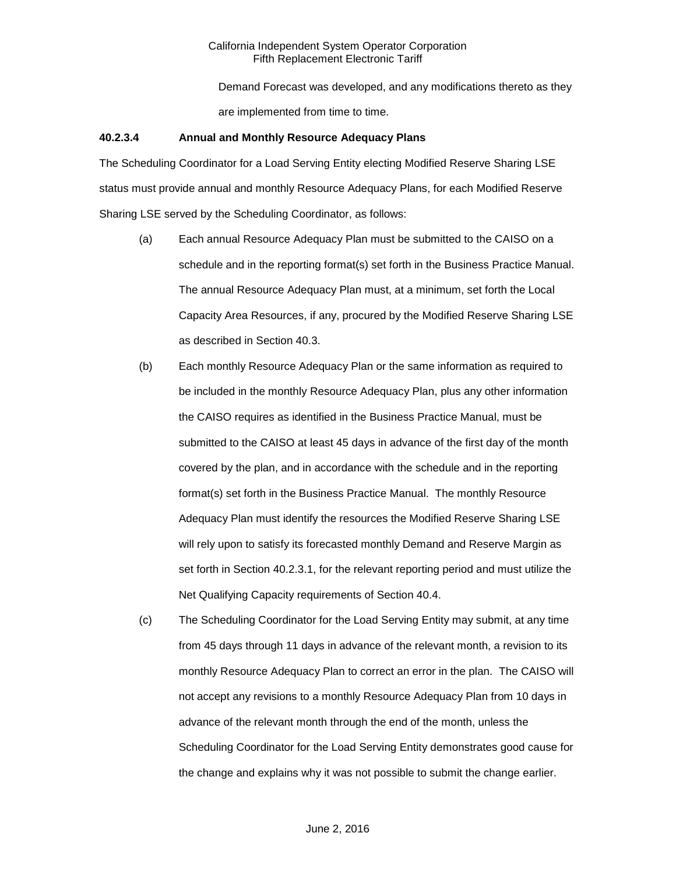Demand Forecast was developed, and any modifications thereto as they are implemented from time to time.

#### **40.2.3.4 Annual and Monthly Resource Adequacy Plans**

The Scheduling Coordinator for a Load Serving Entity electing Modified Reserve Sharing LSE status must provide annual and monthly Resource Adequacy Plans, for each Modified Reserve Sharing LSE served by the Scheduling Coordinator, as follows:

- (a) Each annual Resource Adequacy Plan must be submitted to the CAISO on a schedule and in the reporting format(s) set forth in the Business Practice Manual. The annual Resource Adequacy Plan must, at a minimum, set forth the Local Capacity Area Resources, if any, procured by the Modified Reserve Sharing LSE as described in Section 40.3.
- (b) Each monthly Resource Adequacy Plan or the same information as required to be included in the monthly Resource Adequacy Plan, plus any other information the CAISO requires as identified in the Business Practice Manual, must be submitted to the CAISO at least 45 days in advance of the first day of the month covered by the plan, and in accordance with the schedule and in the reporting format(s) set forth in the Business Practice Manual. The monthly Resource Adequacy Plan must identify the resources the Modified Reserve Sharing LSE will rely upon to satisfy its forecasted monthly Demand and Reserve Margin as set forth in Section 40.2.3.1, for the relevant reporting period and must utilize the Net Qualifying Capacity requirements of Section 40.4.
- (c) The Scheduling Coordinator for the Load Serving Entity may submit, at any time from 45 days through 11 days in advance of the relevant month, a revision to its monthly Resource Adequacy Plan to correct an error in the plan. The CAISO will not accept any revisions to a monthly Resource Adequacy Plan from 10 days in advance of the relevant month through the end of the month, unless the Scheduling Coordinator for the Load Serving Entity demonstrates good cause for the change and explains why it was not possible to submit the change earlier.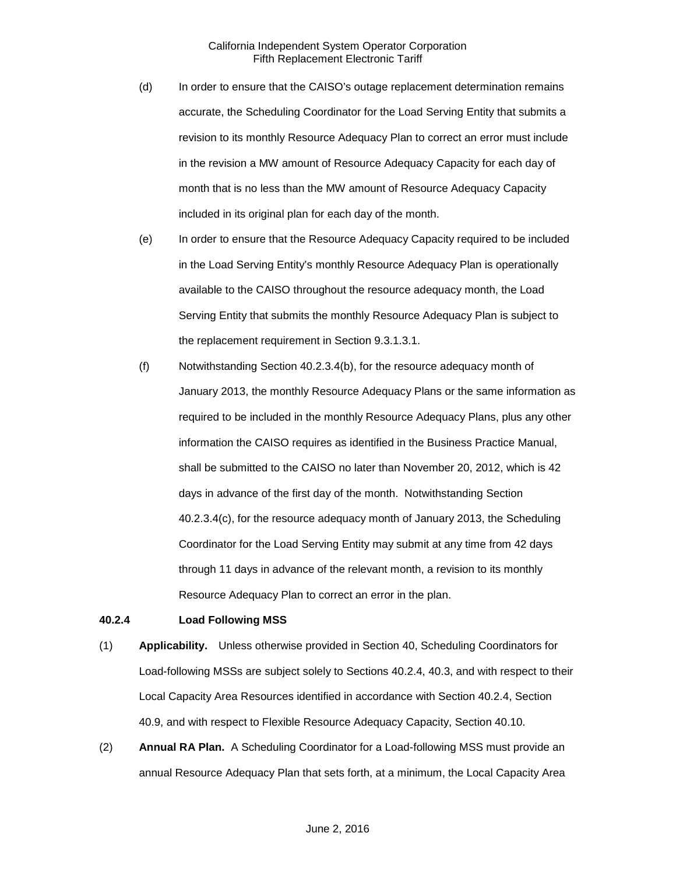- (d) In order to ensure that the CAISO's outage replacement determination remains accurate, the Scheduling Coordinator for the Load Serving Entity that submits a revision to its monthly Resource Adequacy Plan to correct an error must include in the revision a MW amount of Resource Adequacy Capacity for each day of month that is no less than the MW amount of Resource Adequacy Capacity included in its original plan for each day of the month.
- (e) In order to ensure that the Resource Adequacy Capacity required to be included in the Load Serving Entity's monthly Resource Adequacy Plan is operationally available to the CAISO throughout the resource adequacy month, the Load Serving Entity that submits the monthly Resource Adequacy Plan is subject to the replacement requirement in Section 9.3.1.3.1.
- (f) Notwithstanding Section 40.2.3.4(b), for the resource adequacy month of January 2013, the monthly Resource Adequacy Plans or the same information as required to be included in the monthly Resource Adequacy Plans, plus any other information the CAISO requires as identified in the Business Practice Manual, shall be submitted to the CAISO no later than November 20, 2012, which is 42 days in advance of the first day of the month. Notwithstanding Section 40.2.3.4(c), for the resource adequacy month of January 2013, the Scheduling Coordinator for the Load Serving Entity may submit at any time from 42 days through 11 days in advance of the relevant month, a revision to its monthly Resource Adequacy Plan to correct an error in the plan.

## <span id="page-10-0"></span>**40.2.4 Load Following MSS**

- (1) **Applicability.** Unless otherwise provided in Section 40, Scheduling Coordinators for Load-following MSSs are subject solely to Sections 40.2.4, 40.3, and with respect to their Local Capacity Area Resources identified in accordance with Section 40.2.4, Section 40.9, and with respect to Flexible Resource Adequacy Capacity, Section 40.10.
- (2) **Annual RA Plan.** A Scheduling Coordinator for a Load-following MSS must provide an annual Resource Adequacy Plan that sets forth, at a minimum, the Local Capacity Area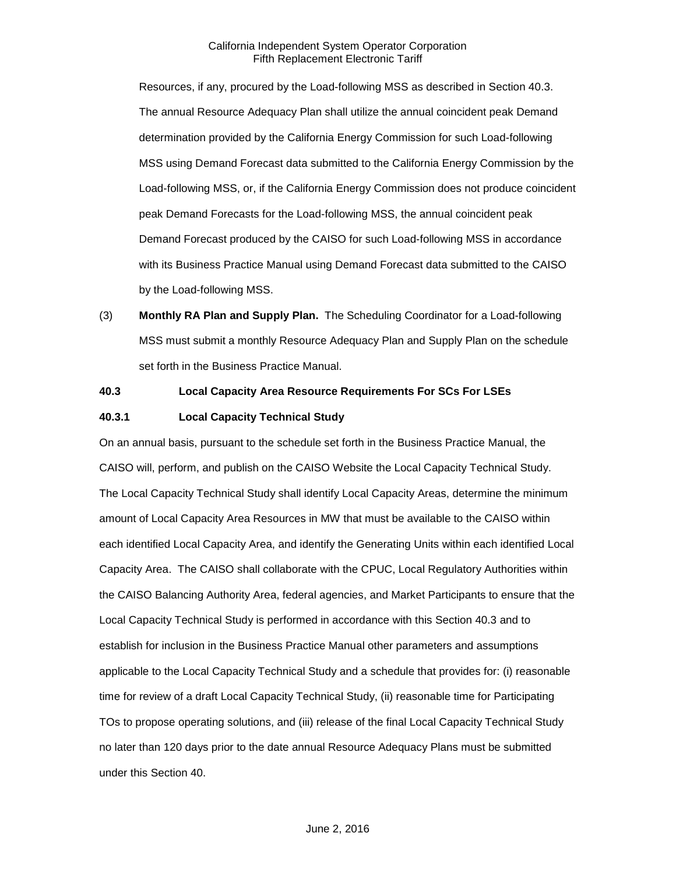Resources, if any, procured by the Load-following MSS as described in Section 40.3. The annual Resource Adequacy Plan shall utilize the annual coincident peak Demand determination provided by the California Energy Commission for such Load-following MSS using Demand Forecast data submitted to the California Energy Commission by the Load-following MSS, or, if the California Energy Commission does not produce coincident peak Demand Forecasts for the Load-following MSS, the annual coincident peak Demand Forecast produced by the CAISO for such Load-following MSS in accordance with its Business Practice Manual using Demand Forecast data submitted to the CAISO by the Load-following MSS.

(3) **Monthly RA Plan and Supply Plan.** The Scheduling Coordinator for a Load-following MSS must submit a monthly Resource Adequacy Plan and Supply Plan on the schedule set forth in the Business Practice Manual.

# <span id="page-11-0"></span>**40.3 Local Capacity Area Resource Requirements For SCs For LSEs**

#### <span id="page-11-1"></span>**40.3.1 Local Capacity Technical Study**

On an annual basis, pursuant to the schedule set forth in the Business Practice Manual, the CAISO will, perform, and publish on the CAISO Website the Local Capacity Technical Study. The Local Capacity Technical Study shall identify Local Capacity Areas, determine the minimum amount of Local Capacity Area Resources in MW that must be available to the CAISO within each identified Local Capacity Area, and identify the Generating Units within each identified Local Capacity Area. The CAISO shall collaborate with the CPUC, Local Regulatory Authorities within the CAISO Balancing Authority Area, federal agencies, and Market Participants to ensure that the Local Capacity Technical Study is performed in accordance with this Section 40.3 and to establish for inclusion in the Business Practice Manual other parameters and assumptions applicable to the Local Capacity Technical Study and a schedule that provides for: (i) reasonable time for review of a draft Local Capacity Technical Study, (ii) reasonable time for Participating TOs to propose operating solutions, and (iii) release of the final Local Capacity Technical Study no later than 120 days prior to the date annual Resource Adequacy Plans must be submitted under this Section 40.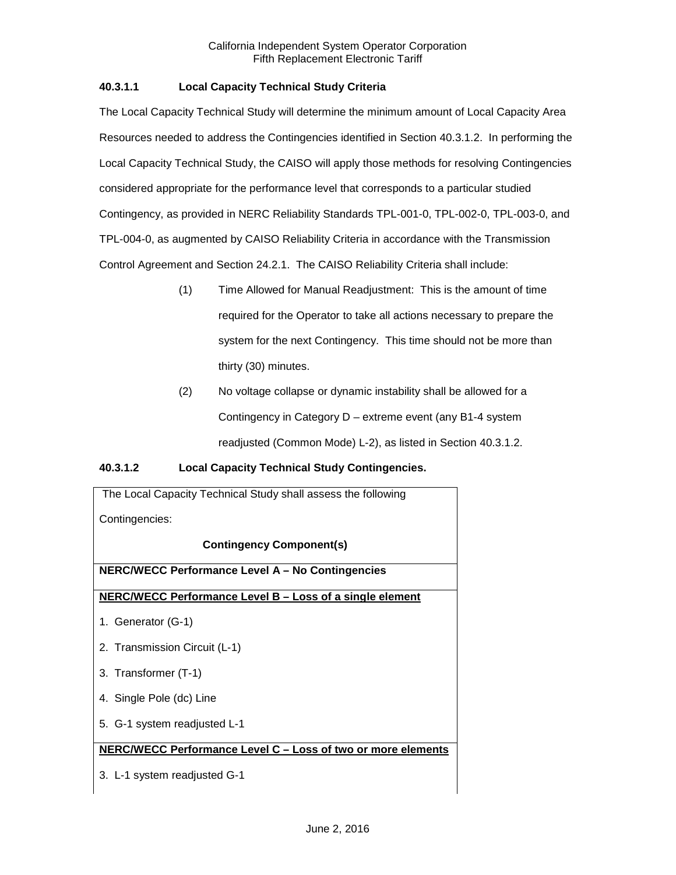# **40.3.1.1 Local Capacity Technical Study Criteria**

The Local Capacity Technical Study will determine the minimum amount of Local Capacity Area Resources needed to address the Contingencies identified in Section 40.3.1.2. In performing the Local Capacity Technical Study, the CAISO will apply those methods for resolving Contingencies considered appropriate for the performance level that corresponds to a particular studied Contingency, as provided in NERC Reliability Standards TPL-001-0, TPL-002-0, TPL-003-0, and TPL-004-0, as augmented by CAISO Reliability Criteria in accordance with the Transmission Control Agreement and Section 24.2.1. The CAISO Reliability Criteria shall include:

- (1) Time Allowed for Manual Readjustment: This is the amount of time required for the Operator to take all actions necessary to prepare the system for the next Contingency. This time should not be more than thirty (30) minutes.
- (2) No voltage collapse or dynamic instability shall be allowed for a Contingency in Category D – extreme event (any B1-4 system readjusted (Common Mode) L-2), as listed in Section 40.3.1.2.

## **40.3.1.2 Local Capacity Technical Study Contingencies.**

| The Local Capacity Technical Study shall assess the following |  |  |  |  |
|---------------------------------------------------------------|--|--|--|--|
| Contingencies:                                                |  |  |  |  |
| <b>Contingency Component(s)</b>                               |  |  |  |  |
| <b>NERC/WECC Performance Level A - No Contingencies</b>       |  |  |  |  |
| NERC/WECC Performance Level B - Loss of a single element      |  |  |  |  |
| 1. Generator (G-1)                                            |  |  |  |  |
| 2. Transmission Circuit (L-1)                                 |  |  |  |  |
| 3. Transformer (T-1)                                          |  |  |  |  |
| 4. Single Pole (dc) Line                                      |  |  |  |  |
| 5. G-1 system readjusted L-1                                  |  |  |  |  |
| NERC/WECC Performance Level C - Loss of two or more elements  |  |  |  |  |
| 3. L-1 system readjusted G-1                                  |  |  |  |  |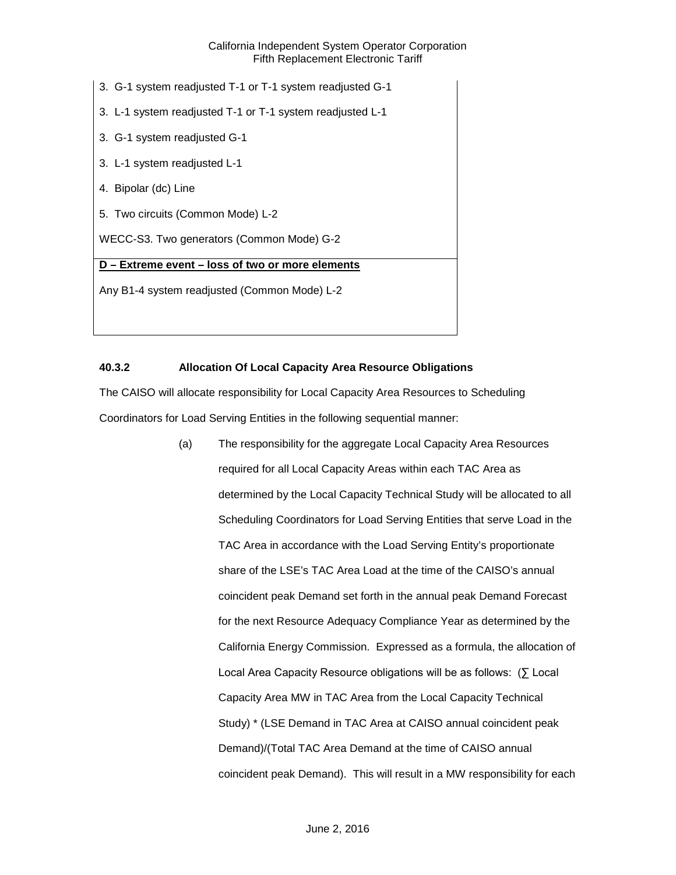- 3. G-1 system readjusted T-1 or T-1 system readjusted G-1
- 3. L-1 system readjusted T-1 or T-1 system readjusted L-1
- 3. G-1 system readjusted G-1
- 3. L-1 system readjusted L-1
- 4. Bipolar (dc) Line
- 5. Two circuits (Common Mode) L-2

WECC-S3. Two generators (Common Mode) G-2

# **D – Extreme event – loss of two or more elements**

Any B1-4 system readjusted (Common Mode) L-2

# <span id="page-13-0"></span>**40.3.2 Allocation Of Local Capacity Area Resource Obligations**

The CAISO will allocate responsibility for Local Capacity Area Resources to Scheduling Coordinators for Load Serving Entities in the following sequential manner:

> (a) The responsibility for the aggregate Local Capacity Area Resources required for all Local Capacity Areas within each TAC Area as determined by the Local Capacity Technical Study will be allocated to all Scheduling Coordinators for Load Serving Entities that serve Load in the TAC Area in accordance with the Load Serving Entity's proportionate share of the LSE's TAC Area Load at the time of the CAISO's annual coincident peak Demand set forth in the annual peak Demand Forecast for the next Resource Adequacy Compliance Year as determined by the California Energy Commission. Expressed as a formula, the allocation of Local Area Capacity Resource obligations will be as follows: (∑ Local Capacity Area MW in TAC Area from the Local Capacity Technical Study) \* (LSE Demand in TAC Area at CAISO annual coincident peak Demand)/(Total TAC Area Demand at the time of CAISO annual coincident peak Demand). This will result in a MW responsibility for each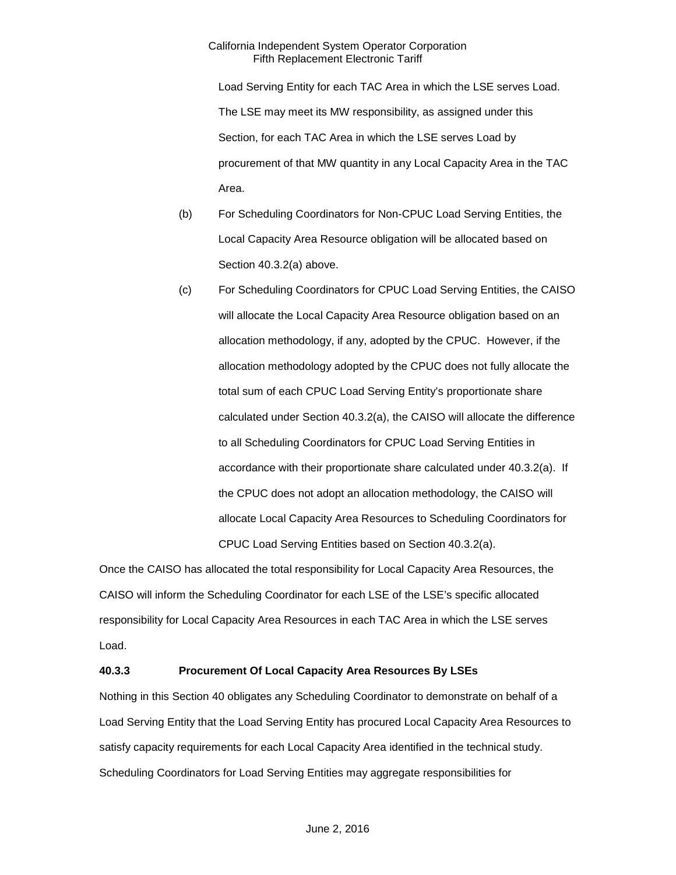Load Serving Entity for each TAC Area in which the LSE serves Load. The LSE may meet its MW responsibility, as assigned under this Section, for each TAC Area in which the LSE serves Load by procurement of that MW quantity in any Local Capacity Area in the TAC Area.

- (b) For Scheduling Coordinators for Non-CPUC Load Serving Entities, the Local Capacity Area Resource obligation will be allocated based on Section 40.3.2(a) above.
- (c) For Scheduling Coordinators for CPUC Load Serving Entities, the CAISO will allocate the Local Capacity Area Resource obligation based on an allocation methodology, if any, adopted by the CPUC. However, if the allocation methodology adopted by the CPUC does not fully allocate the total sum of each CPUC Load Serving Entity's proportionate share calculated under Section 40.3.2(a), the CAISO will allocate the difference to all Scheduling Coordinators for CPUC Load Serving Entities in accordance with their proportionate share calculated under 40.3.2(a). If the CPUC does not adopt an allocation methodology, the CAISO will allocate Local Capacity Area Resources to Scheduling Coordinators for CPUC Load Serving Entities based on Section 40.3.2(a).

Once the CAISO has allocated the total responsibility for Local Capacity Area Resources, the CAISO will inform the Scheduling Coordinator for each LSE of the LSE's specific allocated responsibility for Local Capacity Area Resources in each TAC Area in which the LSE serves Load.

## <span id="page-14-0"></span>**40.3.3 Procurement Of Local Capacity Area Resources By LSEs**

Nothing in this Section 40 obligates any Scheduling Coordinator to demonstrate on behalf of a Load Serving Entity that the Load Serving Entity has procured Local Capacity Area Resources to satisfy capacity requirements for each Local Capacity Area identified in the technical study. Scheduling Coordinators for Load Serving Entities may aggregate responsibilities for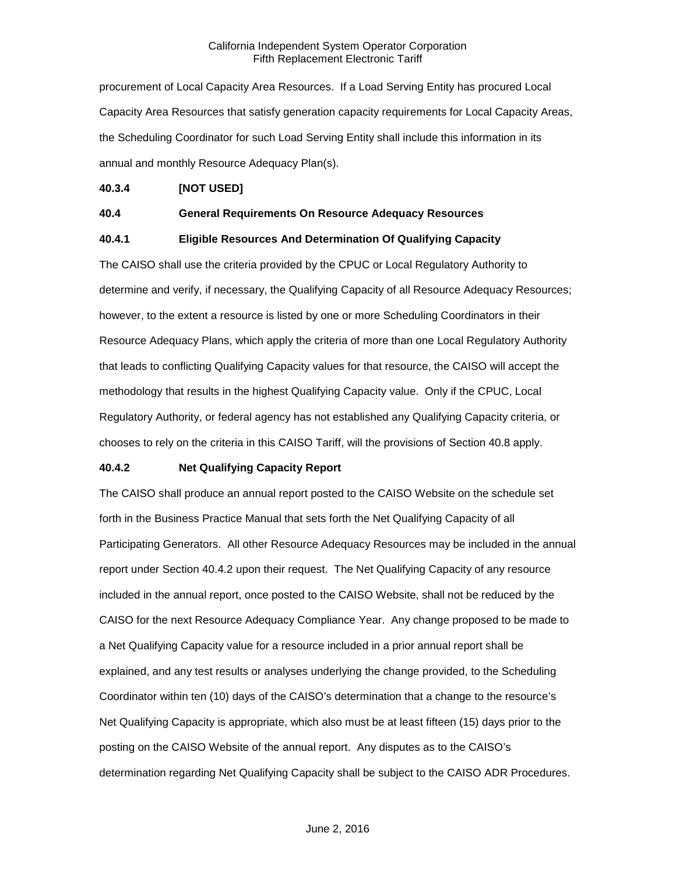procurement of Local Capacity Area Resources. If a Load Serving Entity has procured Local Capacity Area Resources that satisfy generation capacity requirements for Local Capacity Areas, the Scheduling Coordinator for such Load Serving Entity shall include this information in its annual and monthly Resource Adequacy Plan(s).

# <span id="page-15-0"></span>**40.3.4 [NOT USED]**

## <span id="page-15-1"></span>**40.4 General Requirements On Resource Adequacy Resources**

## <span id="page-15-2"></span>**40.4.1 Eligible Resources And Determination Of Qualifying Capacity**

The CAISO shall use the criteria provided by the CPUC or Local Regulatory Authority to determine and verify, if necessary, the Qualifying Capacity of all Resource Adequacy Resources; however, to the extent a resource is listed by one or more Scheduling Coordinators in their Resource Adequacy Plans, which apply the criteria of more than one Local Regulatory Authority that leads to conflicting Qualifying Capacity values for that resource, the CAISO will accept the methodology that results in the highest Qualifying Capacity value. Only if the CPUC, Local Regulatory Authority, or federal agency has not established any Qualifying Capacity criteria, or chooses to rely on the criteria in this CAISO Tariff, will the provisions of Section 40.8 apply.

## <span id="page-15-3"></span>**40.4.2 Net Qualifying Capacity Report**

The CAISO shall produce an annual report posted to the CAISO Website on the schedule set forth in the Business Practice Manual that sets forth the Net Qualifying Capacity of all Participating Generators. All other Resource Adequacy Resources may be included in the annual report under Section 40.4.2 upon their request. The Net Qualifying Capacity of any resource included in the annual report, once posted to the CAISO Website, shall not be reduced by the CAISO for the next Resource Adequacy Compliance Year. Any change proposed to be made to a Net Qualifying Capacity value for a resource included in a prior annual report shall be explained, and any test results or analyses underlying the change provided, to the Scheduling Coordinator within ten (10) days of the CAISO's determination that a change to the resource's Net Qualifying Capacity is appropriate, which also must be at least fifteen (15) days prior to the posting on the CAISO Website of the annual report. Any disputes as to the CAISO's determination regarding Net Qualifying Capacity shall be subject to the CAISO ADR Procedures.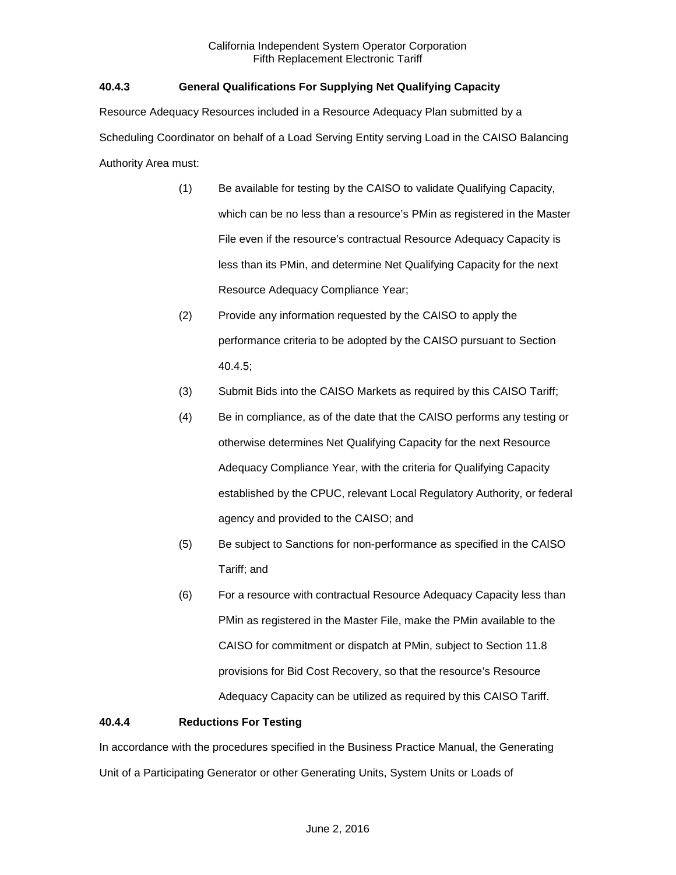# <span id="page-16-0"></span>**40.4.3 General Qualifications For Supplying Net Qualifying Capacity**

Resource Adequacy Resources included in a Resource Adequacy Plan submitted by a Scheduling Coordinator on behalf of a Load Serving Entity serving Load in the CAISO Balancing Authority Area must:

- (1) Be available for testing by the CAISO to validate Qualifying Capacity, which can be no less than a resource's PMin as registered in the Master File even if the resource's contractual Resource Adequacy Capacity is less than its PMin, and determine Net Qualifying Capacity for the next Resource Adequacy Compliance Year;
- (2) Provide any information requested by the CAISO to apply the performance criteria to be adopted by the CAISO pursuant to Section 40.4.5;
- (3) Submit Bids into the CAISO Markets as required by this CAISO Tariff;
- (4) Be in compliance, as of the date that the CAISO performs any testing or otherwise determines Net Qualifying Capacity for the next Resource Adequacy Compliance Year, with the criteria for Qualifying Capacity established by the CPUC, relevant Local Regulatory Authority, or federal agency and provided to the CAISO; and
- (5) Be subject to Sanctions for non-performance as specified in the CAISO Tariff; and
- (6) For a resource with contractual Resource Adequacy Capacity less than PMin as registered in the Master File, make the PMin available to the CAISO for commitment or dispatch at PMin, subject to Section 11.8 provisions for Bid Cost Recovery, so that the resource's Resource Adequacy Capacity can be utilized as required by this CAISO Tariff.

## <span id="page-16-1"></span>**40.4.4 Reductions For Testing**

In accordance with the procedures specified in the Business Practice Manual, the Generating Unit of a Participating Generator or other Generating Units, System Units or Loads of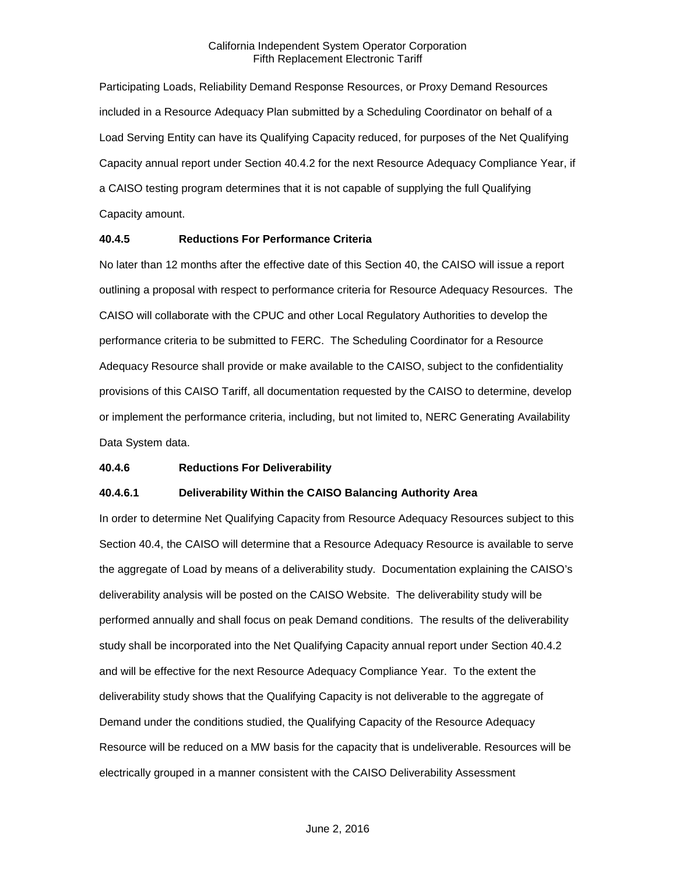Participating Loads, Reliability Demand Response Resources, or Proxy Demand Resources included in a Resource Adequacy Plan submitted by a Scheduling Coordinator on behalf of a Load Serving Entity can have its Qualifying Capacity reduced, for purposes of the Net Qualifying Capacity annual report under Section 40.4.2 for the next Resource Adequacy Compliance Year, if a CAISO testing program determines that it is not capable of supplying the full Qualifying Capacity amount.

## <span id="page-17-0"></span>**40.4.5 Reductions For Performance Criteria**

No later than 12 months after the effective date of this Section 40, the CAISO will issue a report outlining a proposal with respect to performance criteria for Resource Adequacy Resources. The CAISO will collaborate with the CPUC and other Local Regulatory Authorities to develop the performance criteria to be submitted to FERC. The Scheduling Coordinator for a Resource Adequacy Resource shall provide or make available to the CAISO, subject to the confidentiality provisions of this CAISO Tariff, all documentation requested by the CAISO to determine, develop or implement the performance criteria, including, but not limited to, NERC Generating Availability Data System data.

## <span id="page-17-1"></span>**40.4.6 Reductions For Deliverability**

# **40.4.6.1 Deliverability Within the CAISO Balancing Authority Area**

In order to determine Net Qualifying Capacity from Resource Adequacy Resources subject to this Section 40.4, the CAISO will determine that a Resource Adequacy Resource is available to serve the aggregate of Load by means of a deliverability study. Documentation explaining the CAISO's deliverability analysis will be posted on the CAISO Website. The deliverability study will be performed annually and shall focus on peak Demand conditions. The results of the deliverability study shall be incorporated into the Net Qualifying Capacity annual report under Section 40.4.2 and will be effective for the next Resource Adequacy Compliance Year. To the extent the deliverability study shows that the Qualifying Capacity is not deliverable to the aggregate of Demand under the conditions studied, the Qualifying Capacity of the Resource Adequacy Resource will be reduced on a MW basis for the capacity that is undeliverable. Resources will be electrically grouped in a manner consistent with the CAISO Deliverability Assessment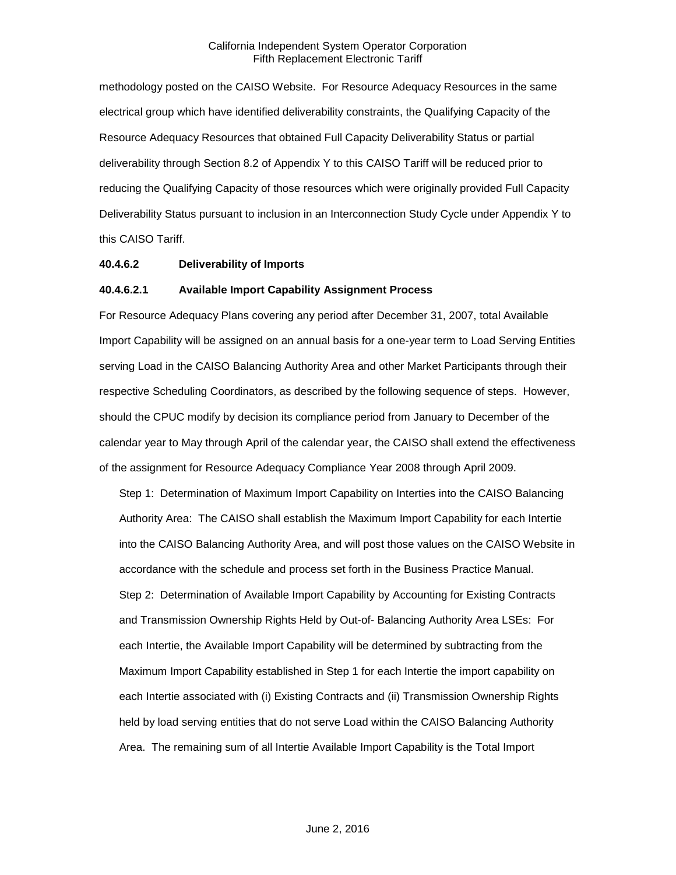methodology posted on the CAISO Website. For Resource Adequacy Resources in the same electrical group which have identified deliverability constraints, the Qualifying Capacity of the Resource Adequacy Resources that obtained Full Capacity Deliverability Status or partial deliverability through Section 8.2 of Appendix Y to this CAISO Tariff will be reduced prior to reducing the Qualifying Capacity of those resources which were originally provided Full Capacity Deliverability Status pursuant to inclusion in an Interconnection Study Cycle under Appendix Y to this CAISO Tariff.

#### **40.4.6.2 Deliverability of Imports**

#### **40.4.6.2.1 Available Import Capability Assignment Process**

For Resource Adequacy Plans covering any period after December 31, 2007, total Available Import Capability will be assigned on an annual basis for a one-year term to Load Serving Entities serving Load in the CAISO Balancing Authority Area and other Market Participants through their respective Scheduling Coordinators, as described by the following sequence of steps. However, should the CPUC modify by decision its compliance period from January to December of the calendar year to May through April of the calendar year, the CAISO shall extend the effectiveness of the assignment for Resource Adequacy Compliance Year 2008 through April 2009.

Step 1: Determination of Maximum Import Capability on Interties into the CAISO Balancing Authority Area: The CAISO shall establish the Maximum Import Capability for each Intertie into the CAISO Balancing Authority Area, and will post those values on the CAISO Website in accordance with the schedule and process set forth in the Business Practice Manual. Step 2: Determination of Available Import Capability by Accounting for Existing Contracts and Transmission Ownership Rights Held by Out-of- Balancing Authority Area LSEs: For each Intertie, the Available Import Capability will be determined by subtracting from the Maximum Import Capability established in Step 1 for each Intertie the import capability on each Intertie associated with (i) Existing Contracts and (ii) Transmission Ownership Rights held by load serving entities that do not serve Load within the CAISO Balancing Authority Area. The remaining sum of all Intertie Available Import Capability is the Total Import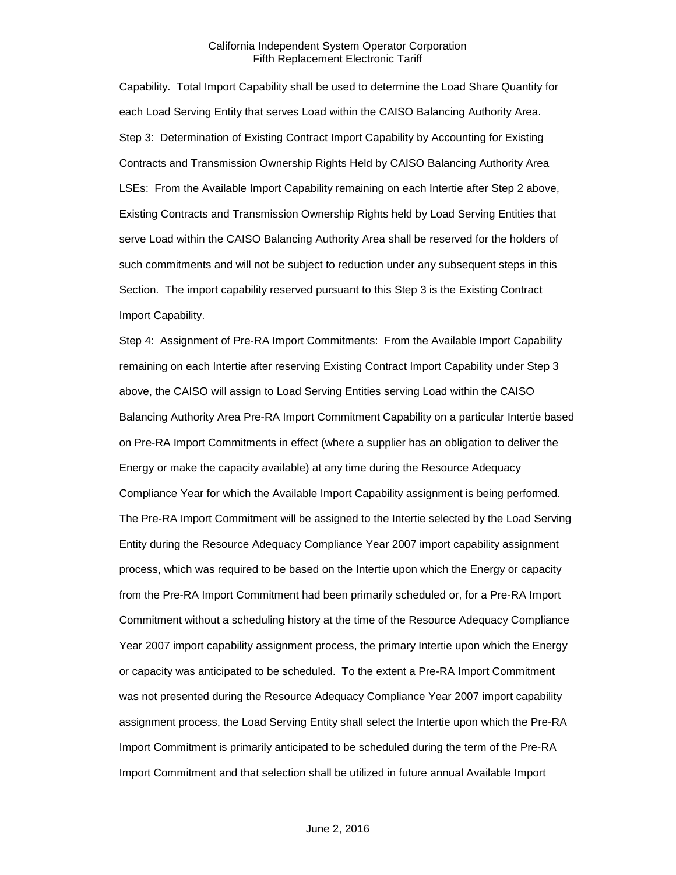Capability. Total Import Capability shall be used to determine the Load Share Quantity for each Load Serving Entity that serves Load within the CAISO Balancing Authority Area. Step 3: Determination of Existing Contract Import Capability by Accounting for Existing Contracts and Transmission Ownership Rights Held by CAISO Balancing Authority Area LSEs: From the Available Import Capability remaining on each Intertie after Step 2 above, Existing Contracts and Transmission Ownership Rights held by Load Serving Entities that serve Load within the CAISO Balancing Authority Area shall be reserved for the holders of such commitments and will not be subject to reduction under any subsequent steps in this Section. The import capability reserved pursuant to this Step 3 is the Existing Contract Import Capability.

Step 4: Assignment of Pre-RA Import Commitments: From the Available Import Capability remaining on each Intertie after reserving Existing Contract Import Capability under Step 3 above, the CAISO will assign to Load Serving Entities serving Load within the CAISO Balancing Authority Area Pre-RA Import Commitment Capability on a particular Intertie based on Pre-RA Import Commitments in effect (where a supplier has an obligation to deliver the Energy or make the capacity available) at any time during the Resource Adequacy Compliance Year for which the Available Import Capability assignment is being performed. The Pre-RA Import Commitment will be assigned to the Intertie selected by the Load Serving Entity during the Resource Adequacy Compliance Year 2007 import capability assignment process, which was required to be based on the Intertie upon which the Energy or capacity from the Pre-RA Import Commitment had been primarily scheduled or, for a Pre-RA Import Commitment without a scheduling history at the time of the Resource Adequacy Compliance Year 2007 import capability assignment process, the primary Intertie upon which the Energy or capacity was anticipated to be scheduled. To the extent a Pre-RA Import Commitment was not presented during the Resource Adequacy Compliance Year 2007 import capability assignment process, the Load Serving Entity shall select the Intertie upon which the Pre-RA Import Commitment is primarily anticipated to be scheduled during the term of the Pre-RA Import Commitment and that selection shall be utilized in future annual Available Import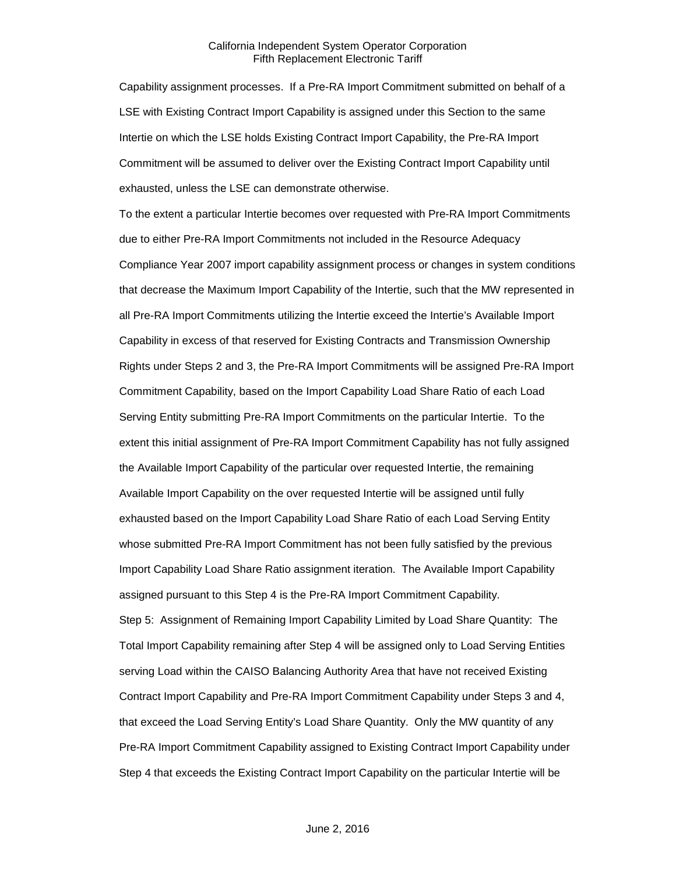Capability assignment processes. If a Pre-RA Import Commitment submitted on behalf of a LSE with Existing Contract Import Capability is assigned under this Section to the same Intertie on which the LSE holds Existing Contract Import Capability, the Pre-RA Import Commitment will be assumed to deliver over the Existing Contract Import Capability until exhausted, unless the LSE can demonstrate otherwise.

To the extent a particular Intertie becomes over requested with Pre-RA Import Commitments due to either Pre-RA Import Commitments not included in the Resource Adequacy Compliance Year 2007 import capability assignment process or changes in system conditions that decrease the Maximum Import Capability of the Intertie, such that the MW represented in all Pre-RA Import Commitments utilizing the Intertie exceed the Intertie's Available Import Capability in excess of that reserved for Existing Contracts and Transmission Ownership Rights under Steps 2 and 3, the Pre-RA Import Commitments will be assigned Pre-RA Import Commitment Capability, based on the Import Capability Load Share Ratio of each Load Serving Entity submitting Pre-RA Import Commitments on the particular Intertie. To the extent this initial assignment of Pre-RA Import Commitment Capability has not fully assigned the Available Import Capability of the particular over requested Intertie, the remaining Available Import Capability on the over requested Intertie will be assigned until fully exhausted based on the Import Capability Load Share Ratio of each Load Serving Entity whose submitted Pre-RA Import Commitment has not been fully satisfied by the previous Import Capability Load Share Ratio assignment iteration. The Available Import Capability assigned pursuant to this Step 4 is the Pre-RA Import Commitment Capability. Step 5: Assignment of Remaining Import Capability Limited by Load Share Quantity: The Total Import Capability remaining after Step 4 will be assigned only to Load Serving Entities serving Load within the CAISO Balancing Authority Area that have not received Existing Contract Import Capability and Pre-RA Import Commitment Capability under Steps 3 and 4, that exceed the Load Serving Entity's Load Share Quantity. Only the MW quantity of any Pre-RA Import Commitment Capability assigned to Existing Contract Import Capability under Step 4 that exceeds the Existing Contract Import Capability on the particular Intertie will be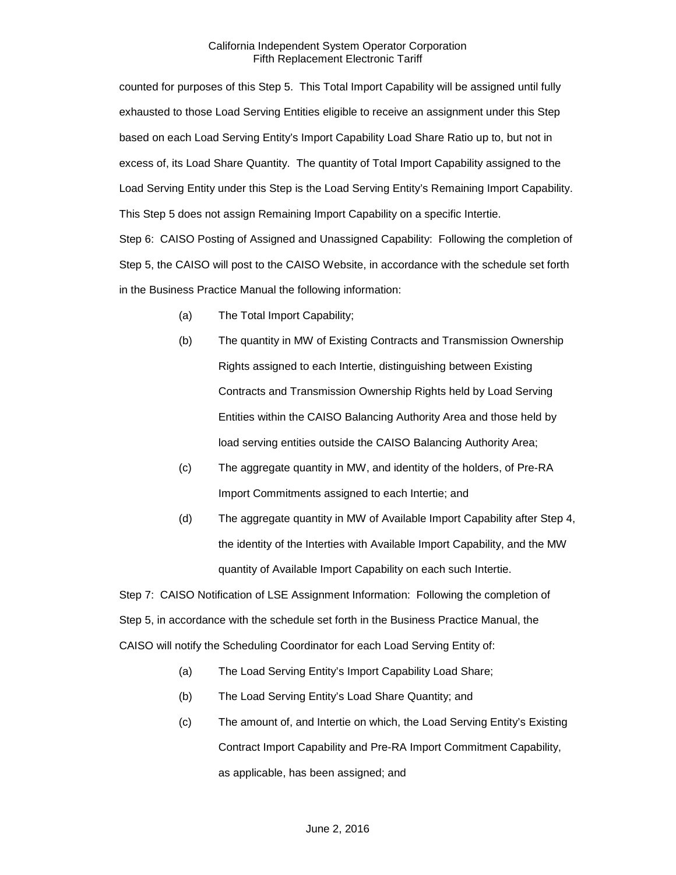counted for purposes of this Step 5. This Total Import Capability will be assigned until fully exhausted to those Load Serving Entities eligible to receive an assignment under this Step based on each Load Serving Entity's Import Capability Load Share Ratio up to, but not in excess of, its Load Share Quantity. The quantity of Total Import Capability assigned to the Load Serving Entity under this Step is the Load Serving Entity's Remaining Import Capability. This Step 5 does not assign Remaining Import Capability on a specific Intertie.

Step 6: CAISO Posting of Assigned and Unassigned Capability: Following the completion of Step 5, the CAISO will post to the CAISO Website, in accordance with the schedule set forth in the Business Practice Manual the following information:

- (a) The Total Import Capability;
- (b) The quantity in MW of Existing Contracts and Transmission Ownership Rights assigned to each Intertie, distinguishing between Existing Contracts and Transmission Ownership Rights held by Load Serving Entities within the CAISO Balancing Authority Area and those held by load serving entities outside the CAISO Balancing Authority Area;
- (c) The aggregate quantity in MW, and identity of the holders, of Pre-RA Import Commitments assigned to each Intertie; and
- (d) The aggregate quantity in MW of Available Import Capability after Step 4, the identity of the Interties with Available Import Capability, and the MW quantity of Available Import Capability on each such Intertie.

Step 7: CAISO Notification of LSE Assignment Information: Following the completion of Step 5, in accordance with the schedule set forth in the Business Practice Manual, the CAISO will notify the Scheduling Coordinator for each Load Serving Entity of:

- (a) The Load Serving Entity's Import Capability Load Share;
- (b) The Load Serving Entity's Load Share Quantity; and
- (c) The amount of, and Intertie on which, the Load Serving Entity's Existing Contract Import Capability and Pre-RA Import Commitment Capability, as applicable, has been assigned; and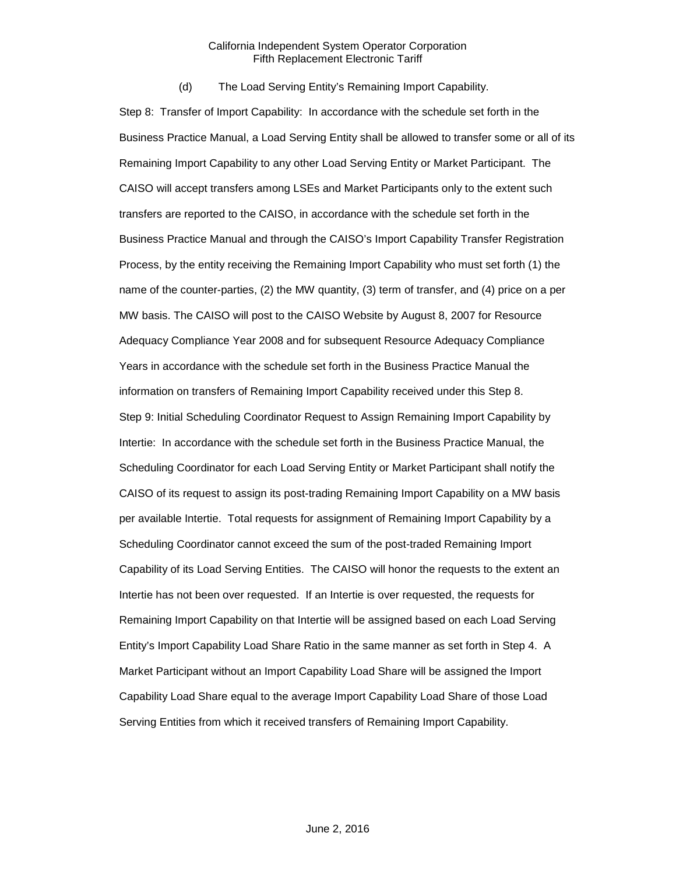(d) The Load Serving Entity's Remaining Import Capability.

Step 8: Transfer of Import Capability: In accordance with the schedule set forth in the Business Practice Manual, a Load Serving Entity shall be allowed to transfer some or all of its Remaining Import Capability to any other Load Serving Entity or Market Participant. The CAISO will accept transfers among LSEs and Market Participants only to the extent such transfers are reported to the CAISO, in accordance with the schedule set forth in the Business Practice Manual and through the CAISO's Import Capability Transfer Registration Process, by the entity receiving the Remaining Import Capability who must set forth (1) the name of the counter-parties, (2) the MW quantity, (3) term of transfer, and (4) price on a per MW basis. The CAISO will post to the CAISO Website by August 8, 2007 for Resource Adequacy Compliance Year 2008 and for subsequent Resource Adequacy Compliance Years in accordance with the schedule set forth in the Business Practice Manual the information on transfers of Remaining Import Capability received under this Step 8. Step 9: Initial Scheduling Coordinator Request to Assign Remaining Import Capability by Intertie: In accordance with the schedule set forth in the Business Practice Manual, the Scheduling Coordinator for each Load Serving Entity or Market Participant shall notify the CAISO of its request to assign its post-trading Remaining Import Capability on a MW basis per available Intertie. Total requests for assignment of Remaining Import Capability by a Scheduling Coordinator cannot exceed the sum of the post-traded Remaining Import Capability of its Load Serving Entities. The CAISO will honor the requests to the extent an Intertie has not been over requested. If an Intertie is over requested, the requests for Remaining Import Capability on that Intertie will be assigned based on each Load Serving Entity's Import Capability Load Share Ratio in the same manner as set forth in Step 4. A Market Participant without an Import Capability Load Share will be assigned the Import Capability Load Share equal to the average Import Capability Load Share of those Load Serving Entities from which it received transfers of Remaining Import Capability.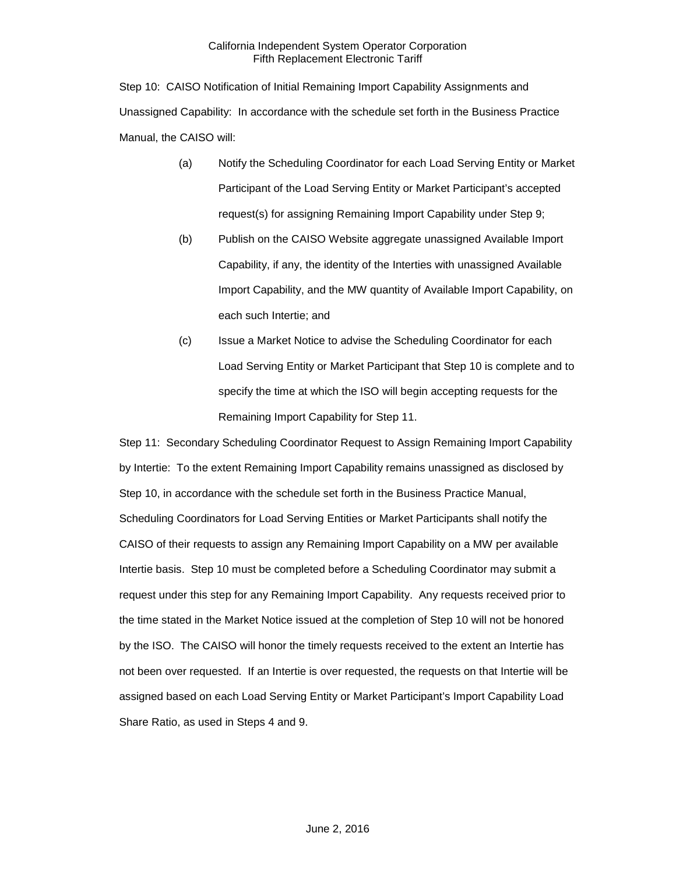Step 10: CAISO Notification of Initial Remaining Import Capability Assignments and Unassigned Capability: In accordance with the schedule set forth in the Business Practice Manual, the CAISO will:

- (a) Notify the Scheduling Coordinator for each Load Serving Entity or Market Participant of the Load Serving Entity or Market Participant's accepted request(s) for assigning Remaining Import Capability under Step 9;
- (b) Publish on the CAISO Website aggregate unassigned Available Import Capability, if any, the identity of the Interties with unassigned Available Import Capability, and the MW quantity of Available Import Capability, on each such Intertie; and
- (c) Issue a Market Notice to advise the Scheduling Coordinator for each Load Serving Entity or Market Participant that Step 10 is complete and to specify the time at which the ISO will begin accepting requests for the Remaining Import Capability for Step 11.

Step 11: Secondary Scheduling Coordinator Request to Assign Remaining Import Capability by Intertie: To the extent Remaining Import Capability remains unassigned as disclosed by Step 10, in accordance with the schedule set forth in the Business Practice Manual, Scheduling Coordinators for Load Serving Entities or Market Participants shall notify the CAISO of their requests to assign any Remaining Import Capability on a MW per available Intertie basis. Step 10 must be completed before a Scheduling Coordinator may submit a request under this step for any Remaining Import Capability. Any requests received prior to the time stated in the Market Notice issued at the completion of Step 10 will not be honored by the ISO. The CAISO will honor the timely requests received to the extent an Intertie has not been over requested. If an Intertie is over requested, the requests on that Intertie will be assigned based on each Load Serving Entity or Market Participant's Import Capability Load Share Ratio, as used in Steps 4 and 9.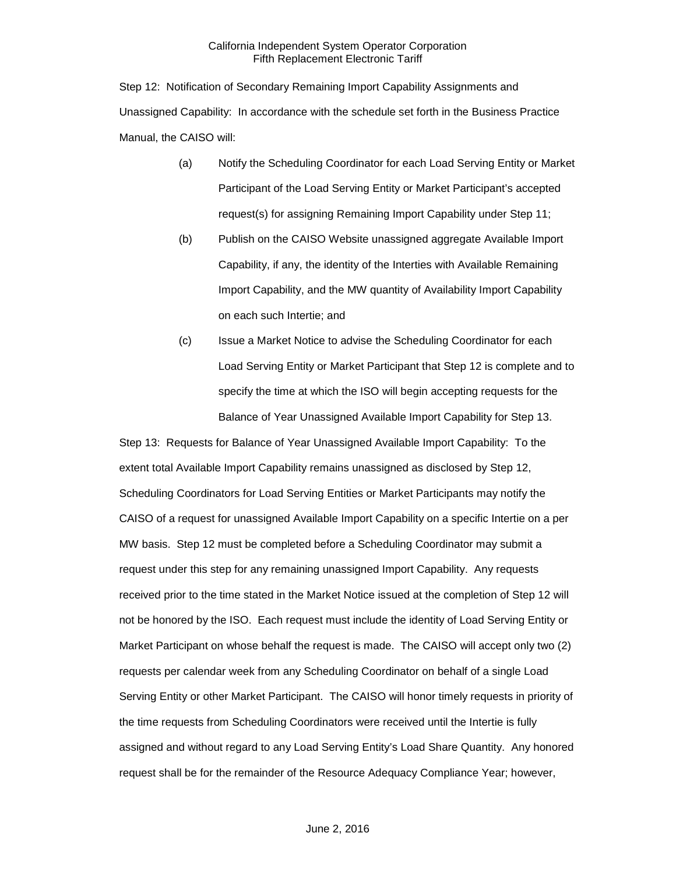Step 12: Notification of Secondary Remaining Import Capability Assignments and Unassigned Capability: In accordance with the schedule set forth in the Business Practice Manual, the CAISO will:

- (a) Notify the Scheduling Coordinator for each Load Serving Entity or Market Participant of the Load Serving Entity or Market Participant's accepted request(s) for assigning Remaining Import Capability under Step 11;
- (b) Publish on the CAISO Website unassigned aggregate Available Import Capability, if any, the identity of the Interties with Available Remaining Import Capability, and the MW quantity of Availability Import Capability on each such Intertie; and
- (c) Issue a Market Notice to advise the Scheduling Coordinator for each Load Serving Entity or Market Participant that Step 12 is complete and to specify the time at which the ISO will begin accepting requests for the Balance of Year Unassigned Available Import Capability for Step 13.

Step 13: Requests for Balance of Year Unassigned Available Import Capability: To the extent total Available Import Capability remains unassigned as disclosed by Step 12, Scheduling Coordinators for Load Serving Entities or Market Participants may notify the CAISO of a request for unassigned Available Import Capability on a specific Intertie on a per MW basis. Step 12 must be completed before a Scheduling Coordinator may submit a request under this step for any remaining unassigned Import Capability. Any requests received prior to the time stated in the Market Notice issued at the completion of Step 12 will not be honored by the ISO. Each request must include the identity of Load Serving Entity or Market Participant on whose behalf the request is made. The CAISO will accept only two (2) requests per calendar week from any Scheduling Coordinator on behalf of a single Load Serving Entity or other Market Participant. The CAISO will honor timely requests in priority of the time requests from Scheduling Coordinators were received until the Intertie is fully assigned and without regard to any Load Serving Entity's Load Share Quantity. Any honored request shall be for the remainder of the Resource Adequacy Compliance Year; however,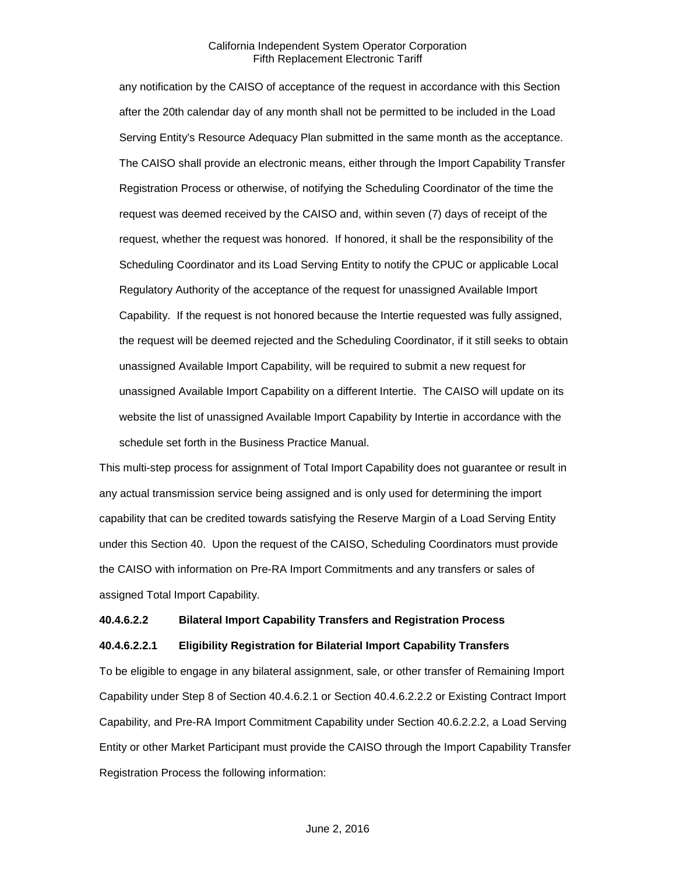any notification by the CAISO of acceptance of the request in accordance with this Section after the 20th calendar day of any month shall not be permitted to be included in the Load Serving Entity's Resource Adequacy Plan submitted in the same month as the acceptance. The CAISO shall provide an electronic means, either through the Import Capability Transfer Registration Process or otherwise, of notifying the Scheduling Coordinator of the time the request was deemed received by the CAISO and, within seven (7) days of receipt of the request, whether the request was honored. If honored, it shall be the responsibility of the Scheduling Coordinator and its Load Serving Entity to notify the CPUC or applicable Local Regulatory Authority of the acceptance of the request for unassigned Available Import Capability. If the request is not honored because the Intertie requested was fully assigned, the request will be deemed rejected and the Scheduling Coordinator, if it still seeks to obtain unassigned Available Import Capability, will be required to submit a new request for unassigned Available Import Capability on a different Intertie. The CAISO will update on its website the list of unassigned Available Import Capability by Intertie in accordance with the schedule set forth in the Business Practice Manual.

This multi-step process for assignment of Total Import Capability does not guarantee or result in any actual transmission service being assigned and is only used for determining the import capability that can be credited towards satisfying the Reserve Margin of a Load Serving Entity under this Section 40. Upon the request of the CAISO, Scheduling Coordinators must provide the CAISO with information on Pre-RA Import Commitments and any transfers or sales of assigned Total Import Capability.

#### **40.4.6.2.2 Bilateral Import Capability Transfers and Registration Process**

## **40.4.6.2.2.1 Eligibility Registration for Bilaterial Import Capability Transfers**

To be eligible to engage in any bilateral assignment, sale, or other transfer of Remaining Import Capability under Step 8 of Section 40.4.6.2.1 or Section 40.4.6.2.2.2 or Existing Contract Import Capability, and Pre-RA Import Commitment Capability under Section 40.6.2.2.2, a Load Serving Entity or other Market Participant must provide the CAISO through the Import Capability Transfer Registration Process the following information: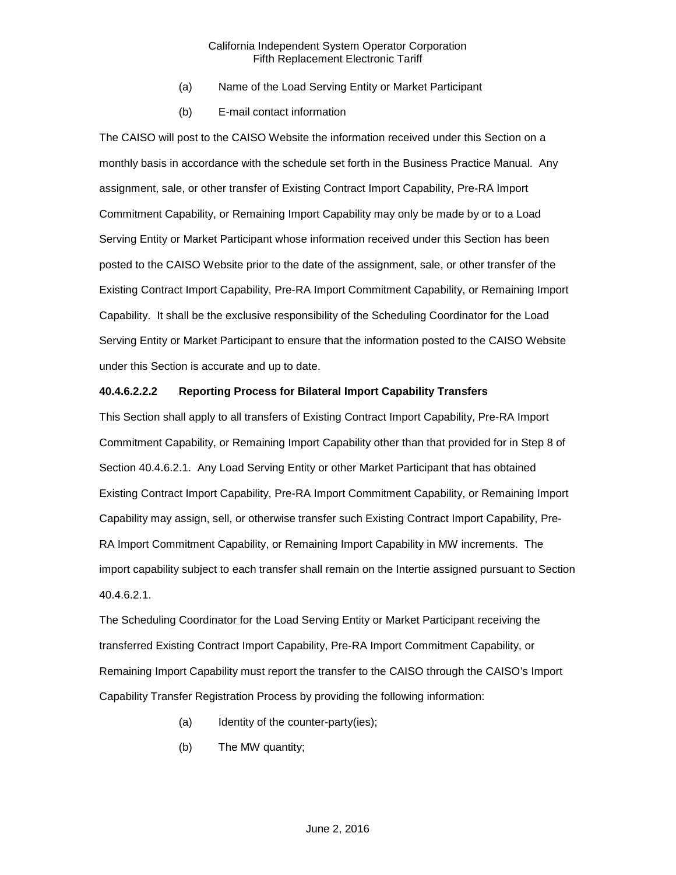- (a) Name of the Load Serving Entity or Market Participant
- (b) E-mail contact information

The CAISO will post to the CAISO Website the information received under this Section on a monthly basis in accordance with the schedule set forth in the Business Practice Manual. Any assignment, sale, or other transfer of Existing Contract Import Capability, Pre-RA Import Commitment Capability, or Remaining Import Capability may only be made by or to a Load Serving Entity or Market Participant whose information received under this Section has been posted to the CAISO Website prior to the date of the assignment, sale, or other transfer of the Existing Contract Import Capability, Pre-RA Import Commitment Capability, or Remaining Import Capability. It shall be the exclusive responsibility of the Scheduling Coordinator for the Load Serving Entity or Market Participant to ensure that the information posted to the CAISO Website under this Section is accurate and up to date.

## **40.4.6.2.2.2 Reporting Process for Bilateral Import Capability Transfers**

This Section shall apply to all transfers of Existing Contract Import Capability, Pre-RA Import Commitment Capability, or Remaining Import Capability other than that provided for in Step 8 of Section 40.4.6.2.1. Any Load Serving Entity or other Market Participant that has obtained Existing Contract Import Capability, Pre-RA Import Commitment Capability, or Remaining Import Capability may assign, sell, or otherwise transfer such Existing Contract Import Capability, Pre-RA Import Commitment Capability, or Remaining Import Capability in MW increments. The import capability subject to each transfer shall remain on the Intertie assigned pursuant to Section 40.4.6.2.1.

The Scheduling Coordinator for the Load Serving Entity or Market Participant receiving the transferred Existing Contract Import Capability, Pre-RA Import Commitment Capability, or Remaining Import Capability must report the transfer to the CAISO through the CAISO's Import Capability Transfer Registration Process by providing the following information:

- (a) Identity of the counter-party(ies);
- (b) The MW quantity;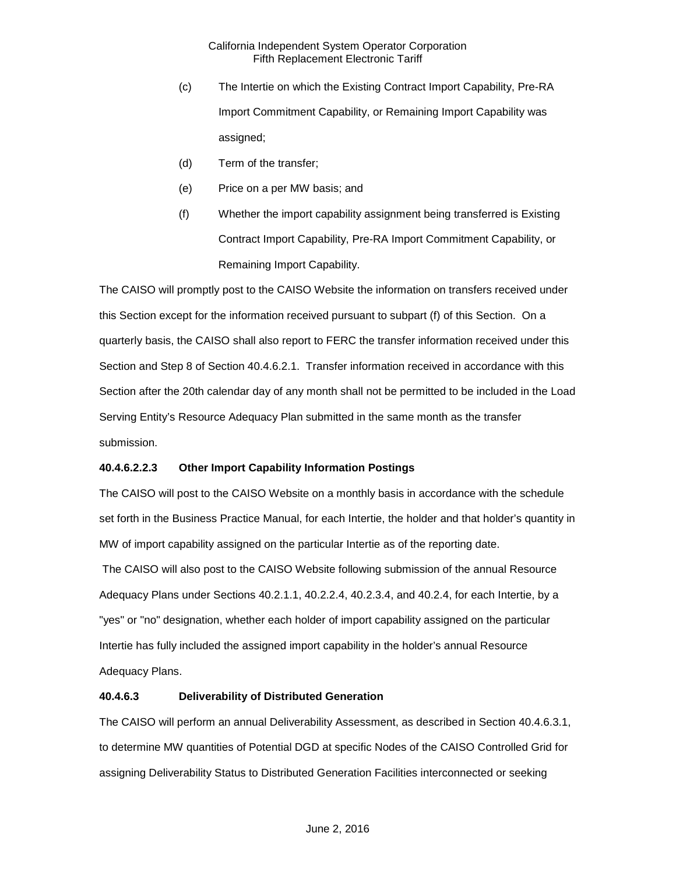- (c) The Intertie on which the Existing Contract Import Capability, Pre-RA Import Commitment Capability, or Remaining Import Capability was assigned;
- (d) Term of the transfer;
- (e) Price on a per MW basis; and
- (f) Whether the import capability assignment being transferred is Existing Contract Import Capability, Pre-RA Import Commitment Capability, or Remaining Import Capability.

The CAISO will promptly post to the CAISO Website the information on transfers received under this Section except for the information received pursuant to subpart (f) of this Section. On a quarterly basis, the CAISO shall also report to FERC the transfer information received under this Section and Step 8 of Section 40.4.6.2.1. Transfer information received in accordance with this Section after the 20th calendar day of any month shall not be permitted to be included in the Load Serving Entity's Resource Adequacy Plan submitted in the same month as the transfer submission.

# **40.4.6.2.2.3 Other Import Capability Information Postings**

The CAISO will post to the CAISO Website on a monthly basis in accordance with the schedule set forth in the Business Practice Manual, for each Intertie, the holder and that holder's quantity in MW of import capability assigned on the particular Intertie as of the reporting date. The CAISO will also post to the CAISO Website following submission of the annual Resource Adequacy Plans under Sections 40.2.1.1, 40.2.2.4, 40.2.3.4, and 40.2.4, for each Intertie, by a "yes" or "no" designation, whether each holder of import capability assigned on the particular Intertie has fully included the assigned import capability in the holder's annual Resource Adequacy Plans.

## **40.4.6.3 Deliverability of Distributed Generation**

The CAISO will perform an annual Deliverability Assessment, as described in Section 40.4.6.3.1, to determine MW quantities of Potential DGD at specific Nodes of the CAISO Controlled Grid for assigning Deliverability Status to Distributed Generation Facilities interconnected or seeking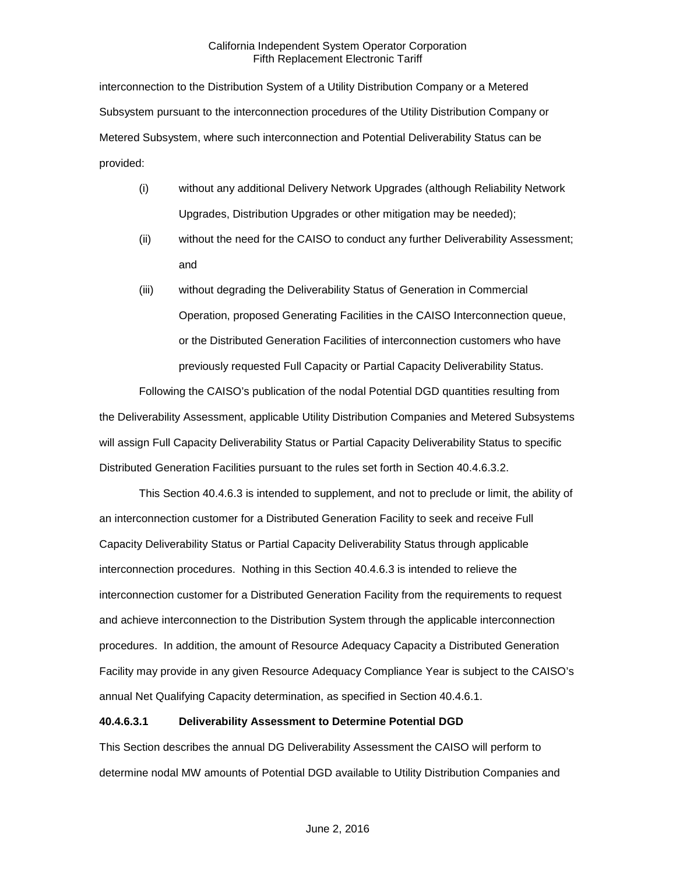interconnection to the Distribution System of a Utility Distribution Company or a Metered Subsystem pursuant to the interconnection procedures of the Utility Distribution Company or Metered Subsystem, where such interconnection and Potential Deliverability Status can be provided:

- (i) without any additional Delivery Network Upgrades (although Reliability Network Upgrades, Distribution Upgrades or other mitigation may be needed);
- (ii) without the need for the CAISO to conduct any further Deliverability Assessment; and
- (iii) without degrading the Deliverability Status of Generation in Commercial Operation, proposed Generating Facilities in the CAISO Interconnection queue, or the Distributed Generation Facilities of interconnection customers who have previously requested Full Capacity or Partial Capacity Deliverability Status.

Following the CAISO's publication of the nodal Potential DGD quantities resulting from the Deliverability Assessment, applicable Utility Distribution Companies and Metered Subsystems will assign Full Capacity Deliverability Status or Partial Capacity Deliverability Status to specific Distributed Generation Facilities pursuant to the rules set forth in Section 40.4.6.3.2.

This Section 40.4.6.3 is intended to supplement, and not to preclude or limit, the ability of an interconnection customer for a Distributed Generation Facility to seek and receive Full Capacity Deliverability Status or Partial Capacity Deliverability Status through applicable interconnection procedures. Nothing in this Section 40.4.6.3 is intended to relieve the interconnection customer for a Distributed Generation Facility from the requirements to request and achieve interconnection to the Distribution System through the applicable interconnection procedures. In addition, the amount of Resource Adequacy Capacity a Distributed Generation Facility may provide in any given Resource Adequacy Compliance Year is subject to the CAISO's annual Net Qualifying Capacity determination, as specified in Section 40.4.6.1.

# **40.4.6.3.1 Deliverability Assessment to Determine Potential DGD**

This Section describes the annual DG Deliverability Assessment the CAISO will perform to determine nodal MW amounts of Potential DGD available to Utility Distribution Companies and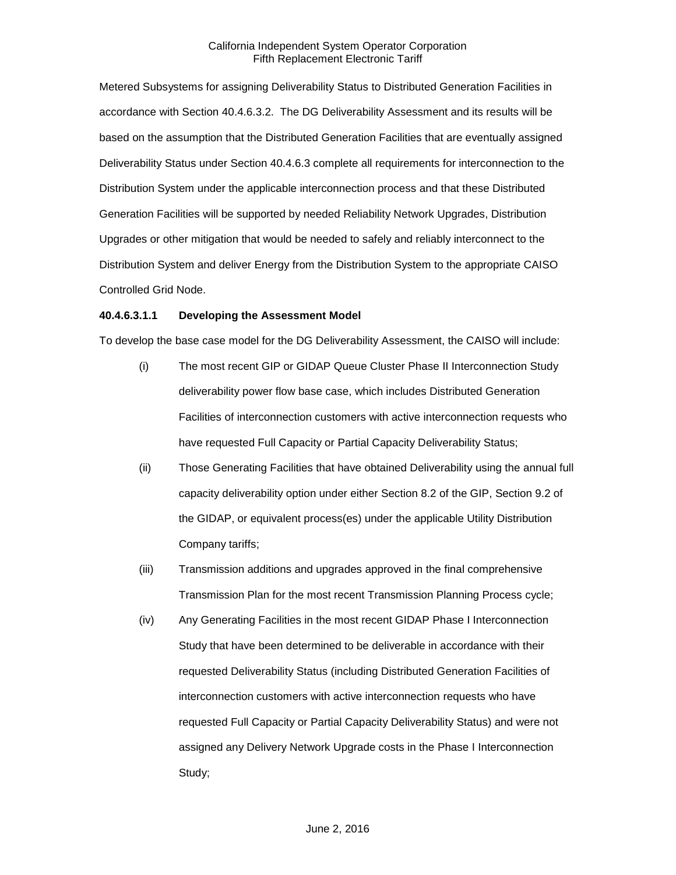Metered Subsystems for assigning Deliverability Status to Distributed Generation Facilities in accordance with Section 40.4.6.3.2. The DG Deliverability Assessment and its results will be based on the assumption that the Distributed Generation Facilities that are eventually assigned Deliverability Status under Section 40.4.6.3 complete all requirements for interconnection to the Distribution System under the applicable interconnection process and that these Distributed Generation Facilities will be supported by needed Reliability Network Upgrades, Distribution Upgrades or other mitigation that would be needed to safely and reliably interconnect to the Distribution System and deliver Energy from the Distribution System to the appropriate CAISO Controlled Grid Node.

#### **40.4.6.3.1.1 Developing the Assessment Model**

To develop the base case model for the DG Deliverability Assessment, the CAISO will include:

- (i) The most recent GIP or GIDAP Queue Cluster Phase II Interconnection Study deliverability power flow base case, which includes Distributed Generation Facilities of interconnection customers with active interconnection requests who have requested Full Capacity or Partial Capacity Deliverability Status;
- (ii) Those Generating Facilities that have obtained Deliverability using the annual full capacity deliverability option under either Section 8.2 of the GIP, Section 9.2 of the GIDAP, or equivalent process(es) under the applicable Utility Distribution Company tariffs;
- (iii) Transmission additions and upgrades approved in the final comprehensive Transmission Plan for the most recent Transmission Planning Process cycle;
- (iv) Any Generating Facilities in the most recent GIDAP Phase I Interconnection Study that have been determined to be deliverable in accordance with their requested Deliverability Status (including Distributed Generation Facilities of interconnection customers with active interconnection requests who have requested Full Capacity or Partial Capacity Deliverability Status) and were not assigned any Delivery Network Upgrade costs in the Phase I Interconnection Study;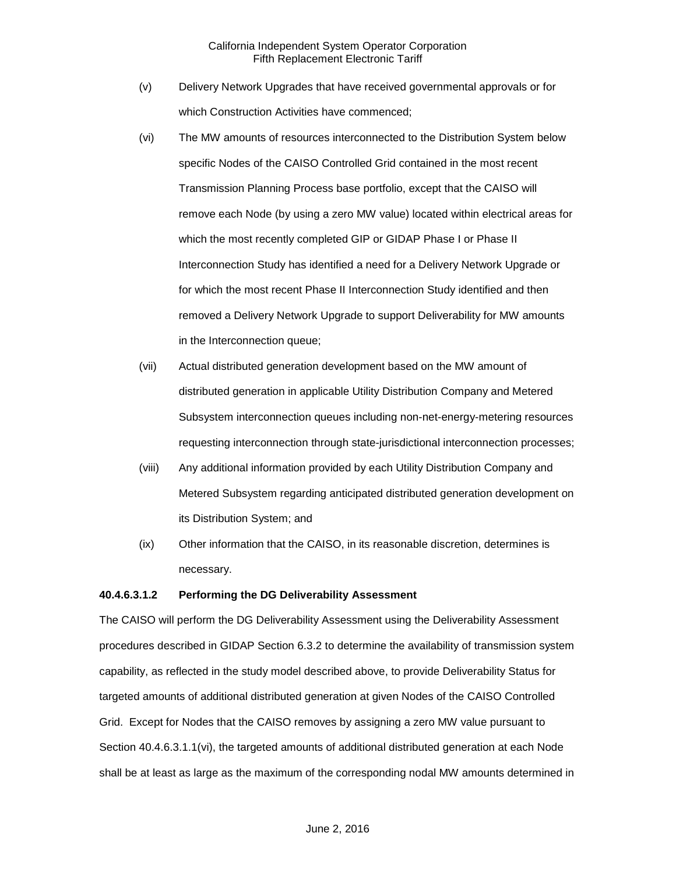- (v) Delivery Network Upgrades that have received governmental approvals or for which Construction Activities have commenced;
- (vi) The MW amounts of resources interconnected to the Distribution System below specific Nodes of the CAISO Controlled Grid contained in the most recent Transmission Planning Process base portfolio, except that the CAISO will remove each Node (by using a zero MW value) located within electrical areas for which the most recently completed GIP or GIDAP Phase I or Phase II Interconnection Study has identified a need for a Delivery Network Upgrade or for which the most recent Phase II Interconnection Study identified and then removed a Delivery Network Upgrade to support Deliverability for MW amounts in the Interconnection queue;
- (vii) Actual distributed generation development based on the MW amount of distributed generation in applicable Utility Distribution Company and Metered Subsystem interconnection queues including non-net-energy-metering resources requesting interconnection through state-jurisdictional interconnection processes;
- (viii) Any additional information provided by each Utility Distribution Company and Metered Subsystem regarding anticipated distributed generation development on its Distribution System; and
- (ix) Other information that the CAISO, in its reasonable discretion, determines is necessary.

## **40.4.6.3.1.2 Performing the DG Deliverability Assessment**

The CAISO will perform the DG Deliverability Assessment using the Deliverability Assessment procedures described in GIDAP Section 6.3.2 to determine the availability of transmission system capability, as reflected in the study model described above, to provide Deliverability Status for targeted amounts of additional distributed generation at given Nodes of the CAISO Controlled Grid. Except for Nodes that the CAISO removes by assigning a zero MW value pursuant to Section 40.4.6.3.1.1(vi), the targeted amounts of additional distributed generation at each Node shall be at least as large as the maximum of the corresponding nodal MW amounts determined in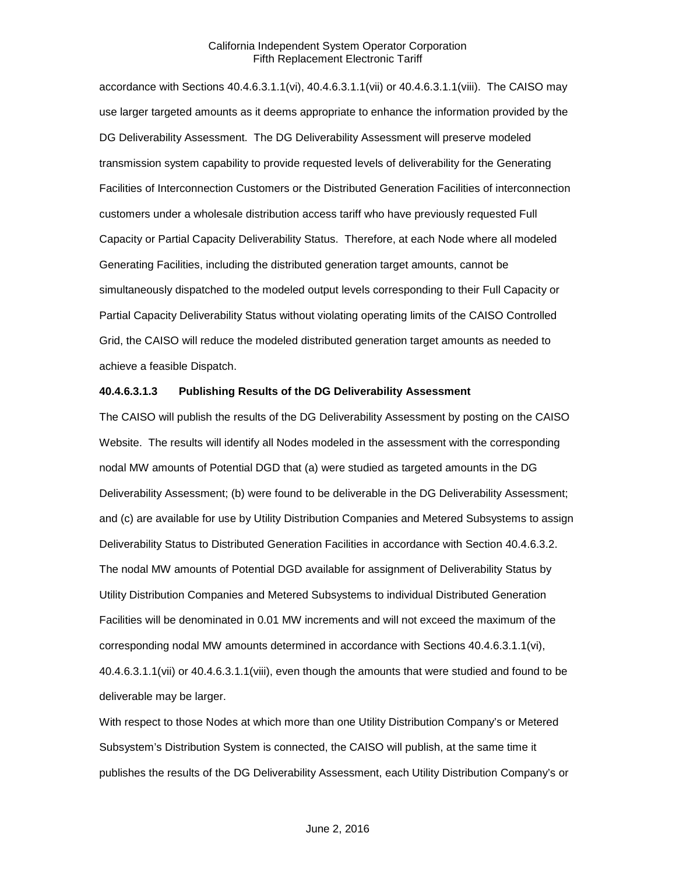accordance with Sections 40.4.6.3.1.1(vi), 40.4.6.3.1.1(vii) or 40.4.6.3.1.1(viii). The CAISO may use larger targeted amounts as it deems appropriate to enhance the information provided by the DG Deliverability Assessment. The DG Deliverability Assessment will preserve modeled transmission system capability to provide requested levels of deliverability for the Generating Facilities of Interconnection Customers or the Distributed Generation Facilities of interconnection customers under a wholesale distribution access tariff who have previously requested Full Capacity or Partial Capacity Deliverability Status. Therefore, at each Node where all modeled Generating Facilities, including the distributed generation target amounts, cannot be simultaneously dispatched to the modeled output levels corresponding to their Full Capacity or Partial Capacity Deliverability Status without violating operating limits of the CAISO Controlled Grid, the CAISO will reduce the modeled distributed generation target amounts as needed to achieve a feasible Dispatch.

#### **40.4.6.3.1.3 Publishing Results of the DG Deliverability Assessment**

The CAISO will publish the results of the DG Deliverability Assessment by posting on the CAISO Website. The results will identify all Nodes modeled in the assessment with the corresponding nodal MW amounts of Potential DGD that (a) were studied as targeted amounts in the DG Deliverability Assessment; (b) were found to be deliverable in the DG Deliverability Assessment; and (c) are available for use by Utility Distribution Companies and Metered Subsystems to assign Deliverability Status to Distributed Generation Facilities in accordance with Section 40.4.6.3.2. The nodal MW amounts of Potential DGD available for assignment of Deliverability Status by Utility Distribution Companies and Metered Subsystems to individual Distributed Generation Facilities will be denominated in 0.01 MW increments and will not exceed the maximum of the corresponding nodal MW amounts determined in accordance with Sections 40.4.6.3.1.1(vi), 40.4.6.3.1.1(vii) or 40.4.6.3.1.1(viii), even though the amounts that were studied and found to be deliverable may be larger.

With respect to those Nodes at which more than one Utility Distribution Company's or Metered Subsystem's Distribution System is connected, the CAISO will publish, at the same time it publishes the results of the DG Deliverability Assessment, each Utility Distribution Company's or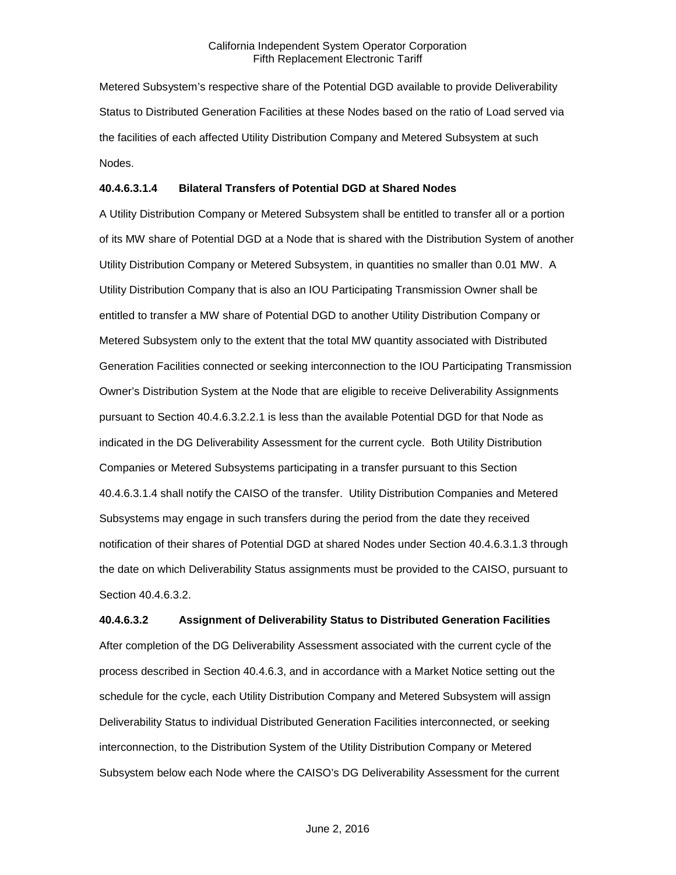Metered Subsystem's respective share of the Potential DGD available to provide Deliverability Status to Distributed Generation Facilities at these Nodes based on the ratio of Load served via the facilities of each affected Utility Distribution Company and Metered Subsystem at such Nodes.

# **40.4.6.3.1.4 Bilateral Transfers of Potential DGD at Shared Nodes**

A Utility Distribution Company or Metered Subsystem shall be entitled to transfer all or a portion of its MW share of Potential DGD at a Node that is shared with the Distribution System of another Utility Distribution Company or Metered Subsystem, in quantities no smaller than 0.01 MW. A Utility Distribution Company that is also an IOU Participating Transmission Owner shall be entitled to transfer a MW share of Potential DGD to another Utility Distribution Company or Metered Subsystem only to the extent that the total MW quantity associated with Distributed Generation Facilities connected or seeking interconnection to the IOU Participating Transmission Owner's Distribution System at the Node that are eligible to receive Deliverability Assignments pursuant to Section 40.4.6.3.2.2.1 is less than the available Potential DGD for that Node as indicated in the DG Deliverability Assessment for the current cycle. Both Utility Distribution Companies or Metered Subsystems participating in a transfer pursuant to this Section 40.4.6.3.1.4 shall notify the CAISO of the transfer. Utility Distribution Companies and Metered Subsystems may engage in such transfers during the period from the date they received notification of their shares of Potential DGD at shared Nodes under Section 40.4.6.3.1.3 through the date on which Deliverability Status assignments must be provided to the CAISO, pursuant to Section 40.4.6.3.2.

**40.4.6.3.2 Assignment of Deliverability Status to Distributed Generation Facilities** After completion of the DG Deliverability Assessment associated with the current cycle of the process described in Section 40.4.6.3, and in accordance with a Market Notice setting out the schedule for the cycle, each Utility Distribution Company and Metered Subsystem will assign Deliverability Status to individual Distributed Generation Facilities interconnected, or seeking interconnection, to the Distribution System of the Utility Distribution Company or Metered Subsystem below each Node where the CAISO's DG Deliverability Assessment for the current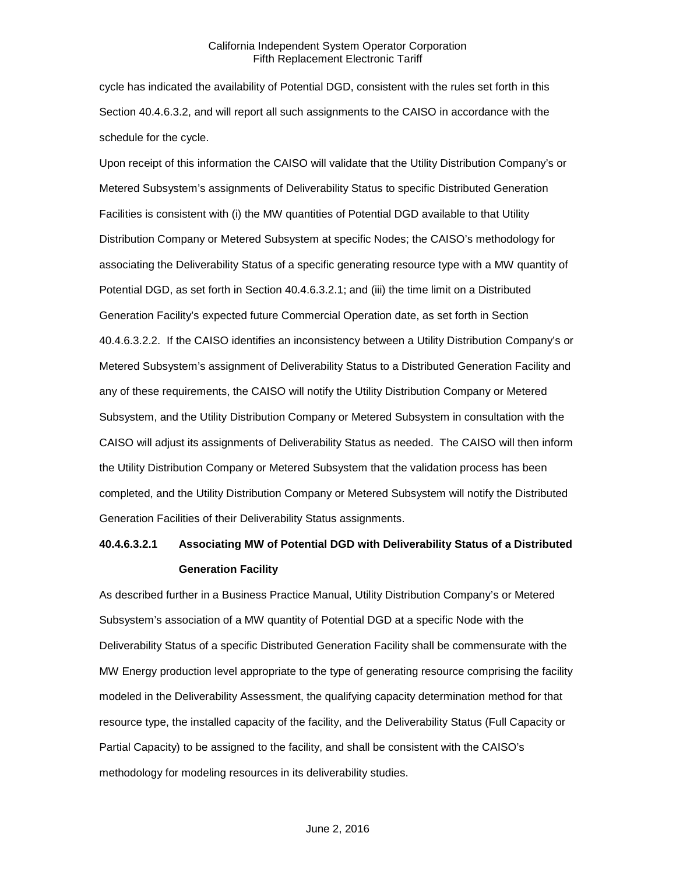cycle has indicated the availability of Potential DGD, consistent with the rules set forth in this Section 40.4.6.3.2, and will report all such assignments to the CAISO in accordance with the schedule for the cycle.

Upon receipt of this information the CAISO will validate that the Utility Distribution Company's or Metered Subsystem's assignments of Deliverability Status to specific Distributed Generation Facilities is consistent with (i) the MW quantities of Potential DGD available to that Utility Distribution Company or Metered Subsystem at specific Nodes; the CAISO's methodology for associating the Deliverability Status of a specific generating resource type with a MW quantity of Potential DGD, as set forth in Section 40.4.6.3.2.1; and (iii) the time limit on a Distributed Generation Facility's expected future Commercial Operation date, as set forth in Section 40.4.6.3.2.2. If the CAISO identifies an inconsistency between a Utility Distribution Company's or Metered Subsystem's assignment of Deliverability Status to a Distributed Generation Facility and any of these requirements, the CAISO will notify the Utility Distribution Company or Metered Subsystem, and the Utility Distribution Company or Metered Subsystem in consultation with the CAISO will adjust its assignments of Deliverability Status as needed. The CAISO will then inform the Utility Distribution Company or Metered Subsystem that the validation process has been completed, and the Utility Distribution Company or Metered Subsystem will notify the Distributed Generation Facilities of their Deliverability Status assignments.

# **40.4.6.3.2.1 Associating MW of Potential DGD with Deliverability Status of a Distributed Generation Facility**

As described further in a Business Practice Manual, Utility Distribution Company's or Metered Subsystem's association of a MW quantity of Potential DGD at a specific Node with the Deliverability Status of a specific Distributed Generation Facility shall be commensurate with the MW Energy production level appropriate to the type of generating resource comprising the facility modeled in the Deliverability Assessment, the qualifying capacity determination method for that resource type, the installed capacity of the facility, and the Deliverability Status (Full Capacity or Partial Capacity) to be assigned to the facility, and shall be consistent with the CAISO's methodology for modeling resources in its deliverability studies.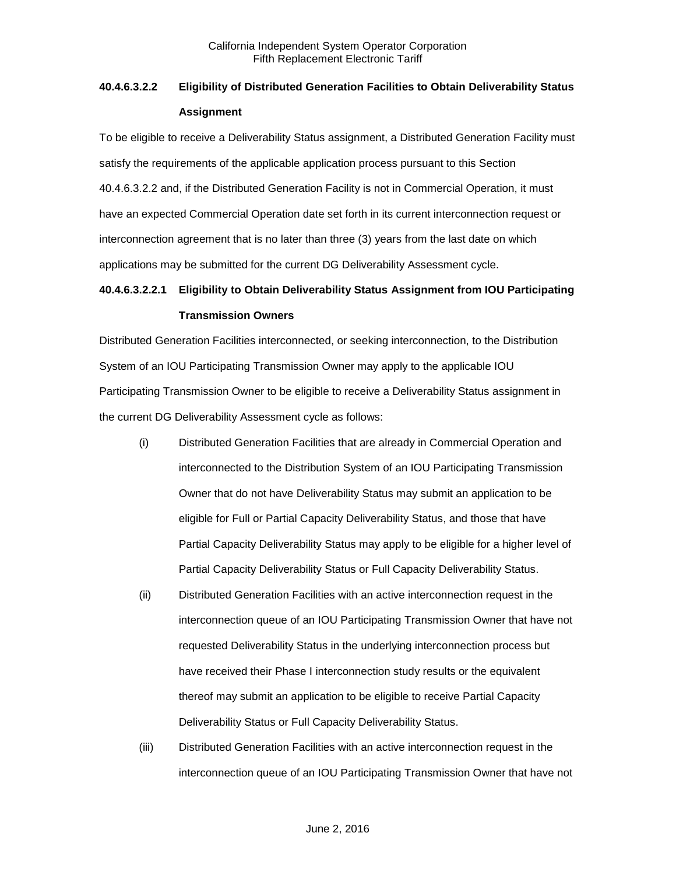# **40.4.6.3.2.2 Eligibility of Distributed Generation Facilities to Obtain Deliverability Status Assignment**

To be eligible to receive a Deliverability Status assignment, a Distributed Generation Facility must satisfy the requirements of the applicable application process pursuant to this Section 40.4.6.3.2.2 and, if the Distributed Generation Facility is not in Commercial Operation, it must have an expected Commercial Operation date set forth in its current interconnection request or interconnection agreement that is no later than three (3) years from the last date on which applications may be submitted for the current DG Deliverability Assessment cycle.

# **40.4.6.3.2.2.1 Eligibility to Obtain Deliverability Status Assignment from IOU Participating Transmission Owners**

Distributed Generation Facilities interconnected, or seeking interconnection, to the Distribution System of an IOU Participating Transmission Owner may apply to the applicable IOU Participating Transmission Owner to be eligible to receive a Deliverability Status assignment in the current DG Deliverability Assessment cycle as follows:

- (i) Distributed Generation Facilities that are already in Commercial Operation and interconnected to the Distribution System of an IOU Participating Transmission Owner that do not have Deliverability Status may submit an application to be eligible for Full or Partial Capacity Deliverability Status, and those that have Partial Capacity Deliverability Status may apply to be eligible for a higher level of Partial Capacity Deliverability Status or Full Capacity Deliverability Status.
- (ii) Distributed Generation Facilities with an active interconnection request in the interconnection queue of an IOU Participating Transmission Owner that have not requested Deliverability Status in the underlying interconnection process but have received their Phase I interconnection study results or the equivalent thereof may submit an application to be eligible to receive Partial Capacity Deliverability Status or Full Capacity Deliverability Status.
- (iii) Distributed Generation Facilities with an active interconnection request in the interconnection queue of an IOU Participating Transmission Owner that have not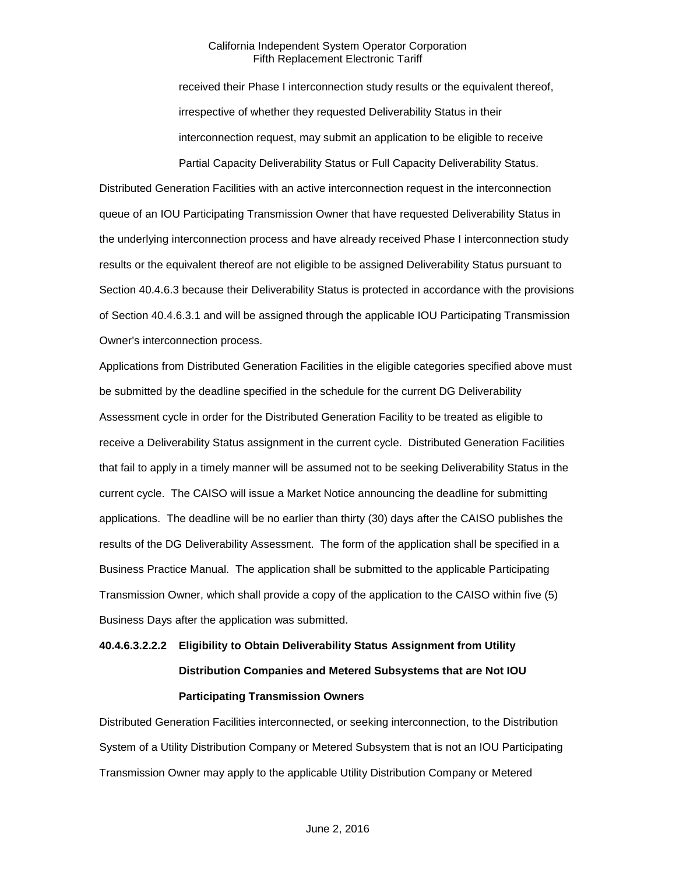received their Phase I interconnection study results or the equivalent thereof, irrespective of whether they requested Deliverability Status in their interconnection request, may submit an application to be eligible to receive Partial Capacity Deliverability Status or Full Capacity Deliverability Status.

Distributed Generation Facilities with an active interconnection request in the interconnection queue of an IOU Participating Transmission Owner that have requested Deliverability Status in the underlying interconnection process and have already received Phase I interconnection study results or the equivalent thereof are not eligible to be assigned Deliverability Status pursuant to Section 40.4.6.3 because their Deliverability Status is protected in accordance with the provisions of Section 40.4.6.3.1 and will be assigned through the applicable IOU Participating Transmission Owner's interconnection process.

Applications from Distributed Generation Facilities in the eligible categories specified above must be submitted by the deadline specified in the schedule for the current DG Deliverability Assessment cycle in order for the Distributed Generation Facility to be treated as eligible to receive a Deliverability Status assignment in the current cycle. Distributed Generation Facilities that fail to apply in a timely manner will be assumed not to be seeking Deliverability Status in the current cycle. The CAISO will issue a Market Notice announcing the deadline for submitting applications. The deadline will be no earlier than thirty (30) days after the CAISO publishes the results of the DG Deliverability Assessment. The form of the application shall be specified in a Business Practice Manual. The application shall be submitted to the applicable Participating Transmission Owner, which shall provide a copy of the application to the CAISO within five (5) Business Days after the application was submitted.

# **40.4.6.3.2.2.2 Eligibility to Obtain Deliverability Status Assignment from Utility Distribution Companies and Metered Subsystems that are Not IOU Participating Transmission Owners**

Distributed Generation Facilities interconnected, or seeking interconnection, to the Distribution System of a Utility Distribution Company or Metered Subsystem that is not an IOU Participating Transmission Owner may apply to the applicable Utility Distribution Company or Metered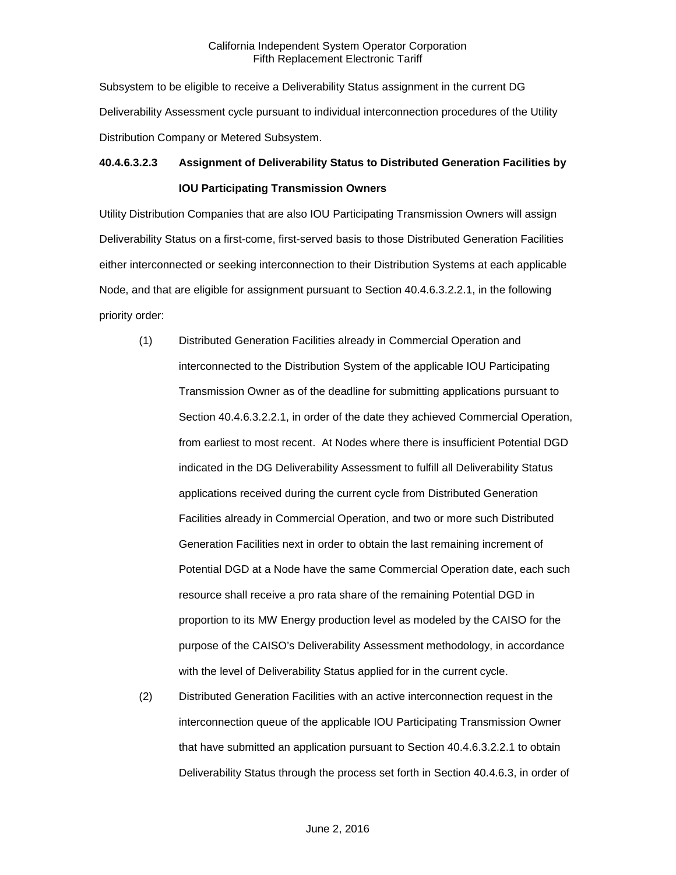Subsystem to be eligible to receive a Deliverability Status assignment in the current DG Deliverability Assessment cycle pursuant to individual interconnection procedures of the Utility Distribution Company or Metered Subsystem.

# **40.4.6.3.2.3 Assignment of Deliverability Status to Distributed Generation Facilities by IOU Participating Transmission Owners**

Utility Distribution Companies that are also IOU Participating Transmission Owners will assign Deliverability Status on a first-come, first-served basis to those Distributed Generation Facilities either interconnected or seeking interconnection to their Distribution Systems at each applicable Node, and that are eligible for assignment pursuant to Section 40.4.6.3.2.2.1, in the following priority order:

- (1) Distributed Generation Facilities already in Commercial Operation and interconnected to the Distribution System of the applicable IOU Participating Transmission Owner as of the deadline for submitting applications pursuant to Section 40.4.6.3.2.2.1, in order of the date they achieved Commercial Operation, from earliest to most recent. At Nodes where there is insufficient Potential DGD indicated in the DG Deliverability Assessment to fulfill all Deliverability Status applications received during the current cycle from Distributed Generation Facilities already in Commercial Operation, and two or more such Distributed Generation Facilities next in order to obtain the last remaining increment of Potential DGD at a Node have the same Commercial Operation date, each such resource shall receive a pro rata share of the remaining Potential DGD in proportion to its MW Energy production level as modeled by the CAISO for the purpose of the CAISO's Deliverability Assessment methodology, in accordance with the level of Deliverability Status applied for in the current cycle.
- (2) Distributed Generation Facilities with an active interconnection request in the interconnection queue of the applicable IOU Participating Transmission Owner that have submitted an application pursuant to Section 40.4.6.3.2.2.1 to obtain Deliverability Status through the process set forth in Section 40.4.6.3, in order of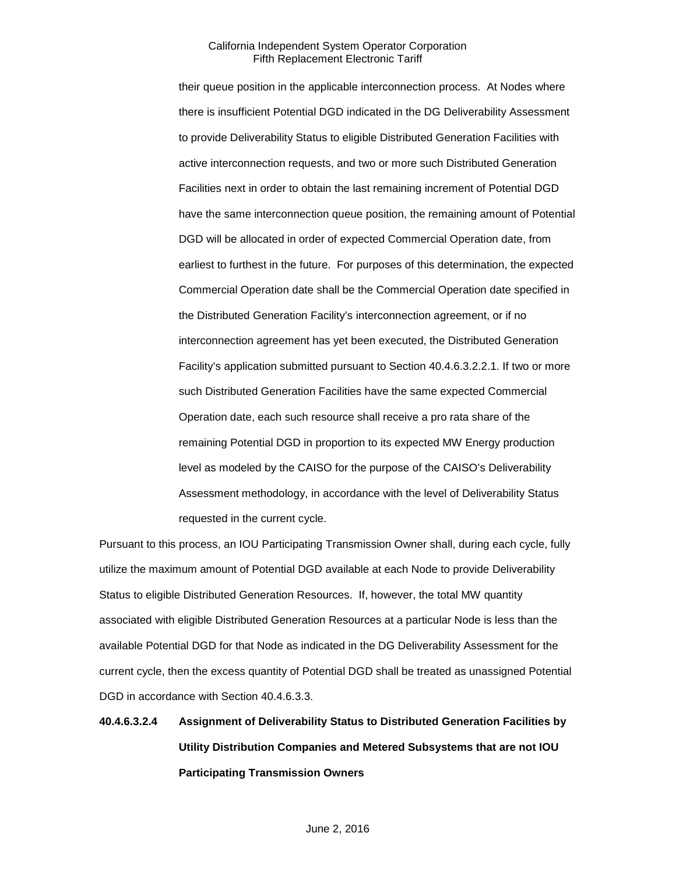their queue position in the applicable interconnection process. At Nodes where there is insufficient Potential DGD indicated in the DG Deliverability Assessment to provide Deliverability Status to eligible Distributed Generation Facilities with active interconnection requests, and two or more such Distributed Generation Facilities next in order to obtain the last remaining increment of Potential DGD have the same interconnection queue position, the remaining amount of Potential DGD will be allocated in order of expected Commercial Operation date, from earliest to furthest in the future. For purposes of this determination, the expected Commercial Operation date shall be the Commercial Operation date specified in the Distributed Generation Facility's interconnection agreement, or if no interconnection agreement has yet been executed, the Distributed Generation Facility's application submitted pursuant to Section 40.4.6.3.2.2.1. If two or more such Distributed Generation Facilities have the same expected Commercial Operation date, each such resource shall receive a pro rata share of the remaining Potential DGD in proportion to its expected MW Energy production level as modeled by the CAISO for the purpose of the CAISO's Deliverability Assessment methodology, in accordance with the level of Deliverability Status requested in the current cycle.

Pursuant to this process, an IOU Participating Transmission Owner shall, during each cycle, fully utilize the maximum amount of Potential DGD available at each Node to provide Deliverability Status to eligible Distributed Generation Resources. If, however, the total MW quantity associated with eligible Distributed Generation Resources at a particular Node is less than the available Potential DGD for that Node as indicated in the DG Deliverability Assessment for the current cycle, then the excess quantity of Potential DGD shall be treated as unassigned Potential DGD in accordance with Section 40.4.6.3.3.

# **40.4.6.3.2.4 Assignment of Deliverability Status to Distributed Generation Facilities by Utility Distribution Companies and Metered Subsystems that are not IOU Participating Transmission Owners**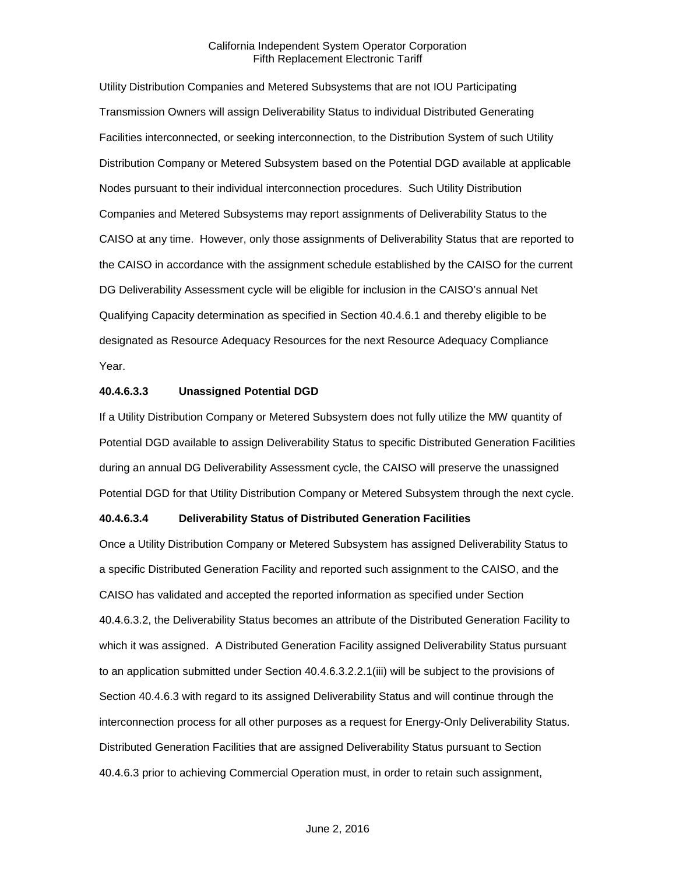Utility Distribution Companies and Metered Subsystems that are not IOU Participating Transmission Owners will assign Deliverability Status to individual Distributed Generating Facilities interconnected, or seeking interconnection, to the Distribution System of such Utility Distribution Company or Metered Subsystem based on the Potential DGD available at applicable Nodes pursuant to their individual interconnection procedures. Such Utility Distribution Companies and Metered Subsystems may report assignments of Deliverability Status to the CAISO at any time. However, only those assignments of Deliverability Status that are reported to the CAISO in accordance with the assignment schedule established by the CAISO for the current DG Deliverability Assessment cycle will be eligible for inclusion in the CAISO's annual Net Qualifying Capacity determination as specified in Section 40.4.6.1 and thereby eligible to be designated as Resource Adequacy Resources for the next Resource Adequacy Compliance Year.

#### **40.4.6.3.3 Unassigned Potential DGD**

If a Utility Distribution Company or Metered Subsystem does not fully utilize the MW quantity of Potential DGD available to assign Deliverability Status to specific Distributed Generation Facilities during an annual DG Deliverability Assessment cycle, the CAISO will preserve the unassigned Potential DGD for that Utility Distribution Company or Metered Subsystem through the next cycle.

## **40.4.6.3.4 Deliverability Status of Distributed Generation Facilities**

Once a Utility Distribution Company or Metered Subsystem has assigned Deliverability Status to a specific Distributed Generation Facility and reported such assignment to the CAISO, and the CAISO has validated and accepted the reported information as specified under Section 40.4.6.3.2, the Deliverability Status becomes an attribute of the Distributed Generation Facility to which it was assigned. A Distributed Generation Facility assigned Deliverability Status pursuant to an application submitted under Section 40.4.6.3.2.2.1(iii) will be subject to the provisions of Section 40.4.6.3 with regard to its assigned Deliverability Status and will continue through the interconnection process for all other purposes as a request for Energy-Only Deliverability Status. Distributed Generation Facilities that are assigned Deliverability Status pursuant to Section 40.4.6.3 prior to achieving Commercial Operation must, in order to retain such assignment,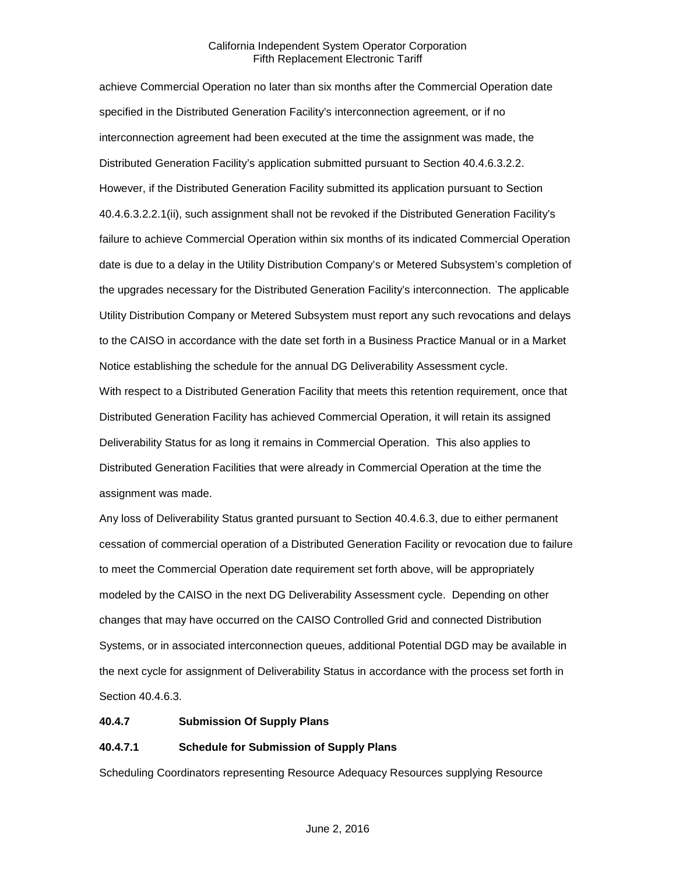achieve Commercial Operation no later than six months after the Commercial Operation date specified in the Distributed Generation Facility's interconnection agreement, or if no interconnection agreement had been executed at the time the assignment was made, the Distributed Generation Facility's application submitted pursuant to Section 40.4.6.3.2.2. However, if the Distributed Generation Facility submitted its application pursuant to Section 40.4.6.3.2.2.1(ii), such assignment shall not be revoked if the Distributed Generation Facility's failure to achieve Commercial Operation within six months of its indicated Commercial Operation date is due to a delay in the Utility Distribution Company's or Metered Subsystem's completion of the upgrades necessary for the Distributed Generation Facility's interconnection. The applicable Utility Distribution Company or Metered Subsystem must report any such revocations and delays to the CAISO in accordance with the date set forth in a Business Practice Manual or in a Market Notice establishing the schedule for the annual DG Deliverability Assessment cycle. With respect to a Distributed Generation Facility that meets this retention requirement, once that Distributed Generation Facility has achieved Commercial Operation, it will retain its assigned Deliverability Status for as long it remains in Commercial Operation. This also applies to Distributed Generation Facilities that were already in Commercial Operation at the time the assignment was made.

Any loss of Deliverability Status granted pursuant to Section 40.4.6.3, due to either permanent cessation of commercial operation of a Distributed Generation Facility or revocation due to failure to meet the Commercial Operation date requirement set forth above, will be appropriately modeled by the CAISO in the next DG Deliverability Assessment cycle. Depending on other changes that may have occurred on the CAISO Controlled Grid and connected Distribution Systems, or in associated interconnection queues, additional Potential DGD may be available in the next cycle for assignment of Deliverability Status in accordance with the process set forth in Section 40.4.6.3.

#### **40.4.7 Submission Of Supply Plans**

# **40.4.7.1 Schedule for Submission of Supply Plans**

Scheduling Coordinators representing Resource Adequacy Resources supplying Resource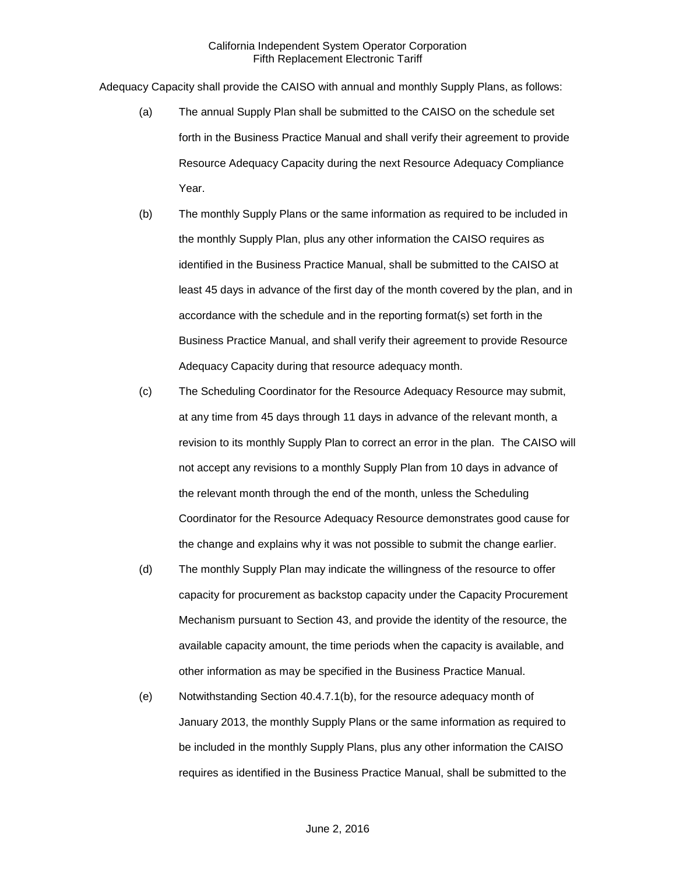Adequacy Capacity shall provide the CAISO with annual and monthly Supply Plans, as follows:

- (a) The annual Supply Plan shall be submitted to the CAISO on the schedule set forth in the Business Practice Manual and shall verify their agreement to provide Resource Adequacy Capacity during the next Resource Adequacy Compliance Year.
- (b) The monthly Supply Plans or the same information as required to be included in the monthly Supply Plan, plus any other information the CAISO requires as identified in the Business Practice Manual, shall be submitted to the CAISO at least 45 days in advance of the first day of the month covered by the plan, and in accordance with the schedule and in the reporting format(s) set forth in the Business Practice Manual, and shall verify their agreement to provide Resource Adequacy Capacity during that resource adequacy month.
- (c) The Scheduling Coordinator for the Resource Adequacy Resource may submit, at any time from 45 days through 11 days in advance of the relevant month, a revision to its monthly Supply Plan to correct an error in the plan. The CAISO will not accept any revisions to a monthly Supply Plan from 10 days in advance of the relevant month through the end of the month, unless the Scheduling Coordinator for the Resource Adequacy Resource demonstrates good cause for the change and explains why it was not possible to submit the change earlier.
- (d) The monthly Supply Plan may indicate the willingness of the resource to offer capacity for procurement as backstop capacity under the Capacity Procurement Mechanism pursuant to Section 43, and provide the identity of the resource, the available capacity amount, the time periods when the capacity is available, and other information as may be specified in the Business Practice Manual.
- (e) Notwithstanding Section 40.4.7.1(b), for the resource adequacy month of January 2013, the monthly Supply Plans or the same information as required to be included in the monthly Supply Plans, plus any other information the CAISO requires as identified in the Business Practice Manual, shall be submitted to the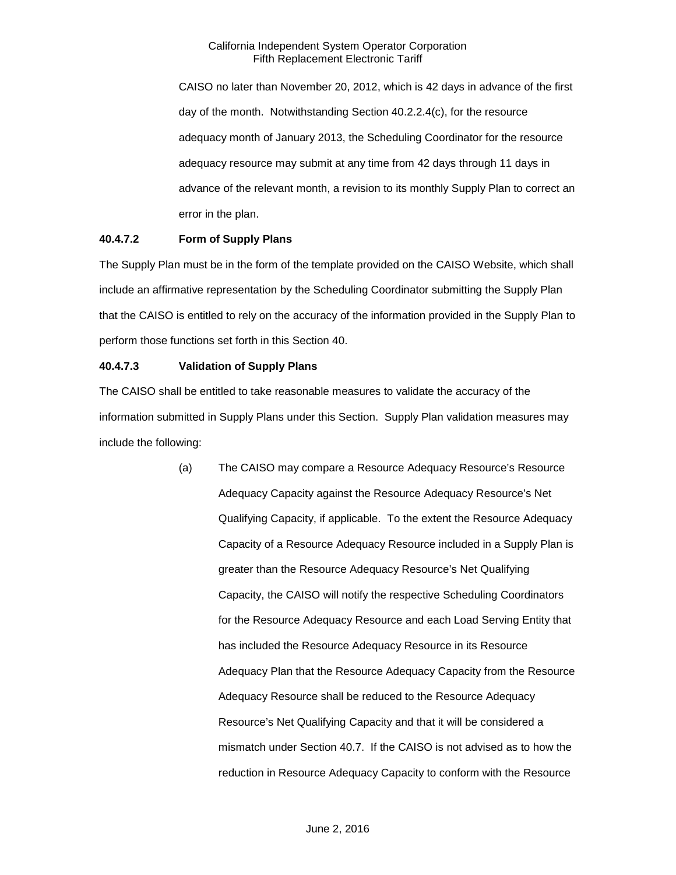CAISO no later than November 20, 2012, which is 42 days in advance of the first day of the month. Notwithstanding Section 40.2.2.4(c), for the resource adequacy month of January 2013, the Scheduling Coordinator for the resource adequacy resource may submit at any time from 42 days through 11 days in advance of the relevant month, a revision to its monthly Supply Plan to correct an error in the plan.

# **40.4.7.2 Form of Supply Plans**

The Supply Plan must be in the form of the template provided on the CAISO Website, which shall include an affirmative representation by the Scheduling Coordinator submitting the Supply Plan that the CAISO is entitled to rely on the accuracy of the information provided in the Supply Plan to perform those functions set forth in this Section 40.

# **40.4.7.3 Validation of Supply Plans**

The CAISO shall be entitled to take reasonable measures to validate the accuracy of the information submitted in Supply Plans under this Section. Supply Plan validation measures may include the following:

> (a) The CAISO may compare a Resource Adequacy Resource's Resource Adequacy Capacity against the Resource Adequacy Resource's Net Qualifying Capacity, if applicable. To the extent the Resource Adequacy Capacity of a Resource Adequacy Resource included in a Supply Plan is greater than the Resource Adequacy Resource's Net Qualifying Capacity, the CAISO will notify the respective Scheduling Coordinators for the Resource Adequacy Resource and each Load Serving Entity that has included the Resource Adequacy Resource in its Resource Adequacy Plan that the Resource Adequacy Capacity from the Resource Adequacy Resource shall be reduced to the Resource Adequacy Resource's Net Qualifying Capacity and that it will be considered a mismatch under Section 40.7. If the CAISO is not advised as to how the reduction in Resource Adequacy Capacity to conform with the Resource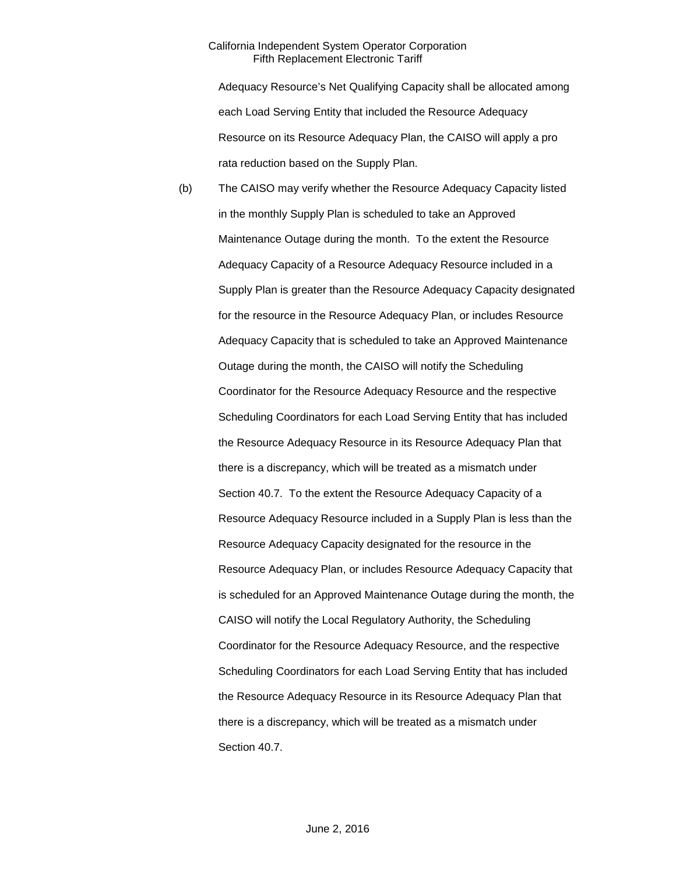Adequacy Resource's Net Qualifying Capacity shall be allocated among each Load Serving Entity that included the Resource Adequacy Resource on its Resource Adequacy Plan, the CAISO will apply a pro rata reduction based on the Supply Plan.

(b) The CAISO may verify whether the Resource Adequacy Capacity listed in the monthly Supply Plan is scheduled to take an Approved Maintenance Outage during the month. To the extent the Resource Adequacy Capacity of a Resource Adequacy Resource included in a Supply Plan is greater than the Resource Adequacy Capacity designated for the resource in the Resource Adequacy Plan, or includes Resource Adequacy Capacity that is scheduled to take an Approved Maintenance Outage during the month, the CAISO will notify the Scheduling Coordinator for the Resource Adequacy Resource and the respective Scheduling Coordinators for each Load Serving Entity that has included the Resource Adequacy Resource in its Resource Adequacy Plan that there is a discrepancy, which will be treated as a mismatch under Section 40.7. To the extent the Resource Adequacy Capacity of a Resource Adequacy Resource included in a Supply Plan is less than the Resource Adequacy Capacity designated for the resource in the Resource Adequacy Plan, or includes Resource Adequacy Capacity that is scheduled for an Approved Maintenance Outage during the month, the CAISO will notify the Local Regulatory Authority, the Scheduling Coordinator for the Resource Adequacy Resource, and the respective Scheduling Coordinators for each Load Serving Entity that has included the Resource Adequacy Resource in its Resource Adequacy Plan that there is a discrepancy, which will be treated as a mismatch under Section 40.7.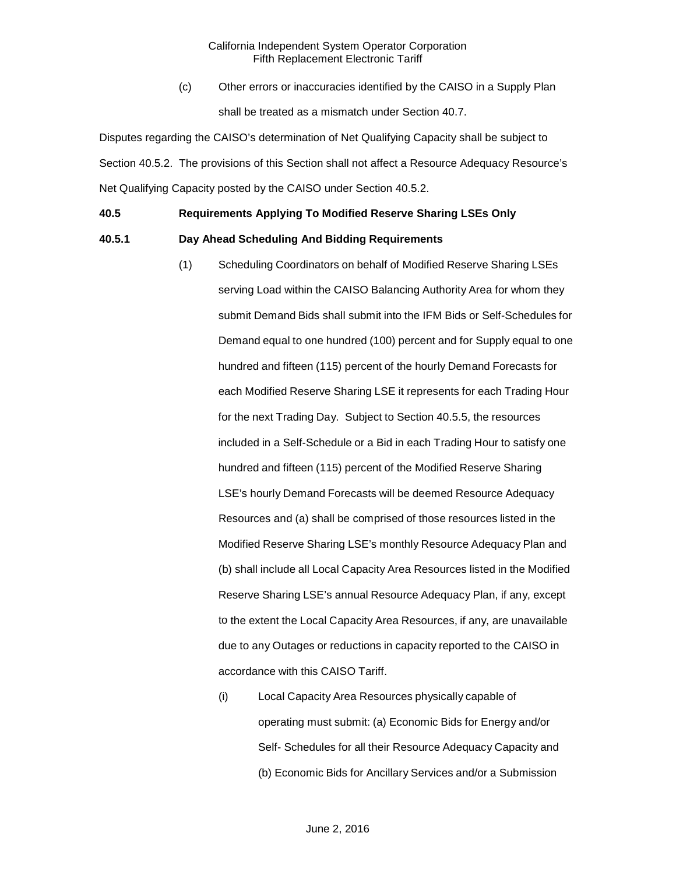(c) Other errors or inaccuracies identified by the CAISO in a Supply Plan shall be treated as a mismatch under Section 40.7.

Disputes regarding the CAISO's determination of Net Qualifying Capacity shall be subject to Section 40.5.2. The provisions of this Section shall not affect a Resource Adequacy Resource's Net Qualifying Capacity posted by the CAISO under Section 40.5.2.

# **40.5 Requirements Applying To Modified Reserve Sharing LSEs Only**

## **40.5.1 Day Ahead Scheduling And Bidding Requirements**

- (1) Scheduling Coordinators on behalf of Modified Reserve Sharing LSEs serving Load within the CAISO Balancing Authority Area for whom they submit Demand Bids shall submit into the IFM Bids or Self-Schedules for Demand equal to one hundred (100) percent and for Supply equal to one hundred and fifteen (115) percent of the hourly Demand Forecasts for each Modified Reserve Sharing LSE it represents for each Trading Hour for the next Trading Day. Subject to Section 40.5.5, the resources included in a Self-Schedule or a Bid in each Trading Hour to satisfy one hundred and fifteen (115) percent of the Modified Reserve Sharing LSE's hourly Demand Forecasts will be deemed Resource Adequacy Resources and (a) shall be comprised of those resources listed in the Modified Reserve Sharing LSE's monthly Resource Adequacy Plan and (b) shall include all Local Capacity Area Resources listed in the Modified Reserve Sharing LSE's annual Resource Adequacy Plan, if any, except to the extent the Local Capacity Area Resources, if any, are unavailable due to any Outages or reductions in capacity reported to the CAISO in accordance with this CAISO Tariff.
	- (i) Local Capacity Area Resources physically capable of operating must submit: (a) Economic Bids for Energy and/or Self- Schedules for all their Resource Adequacy Capacity and (b) Economic Bids for Ancillary Services and/or a Submission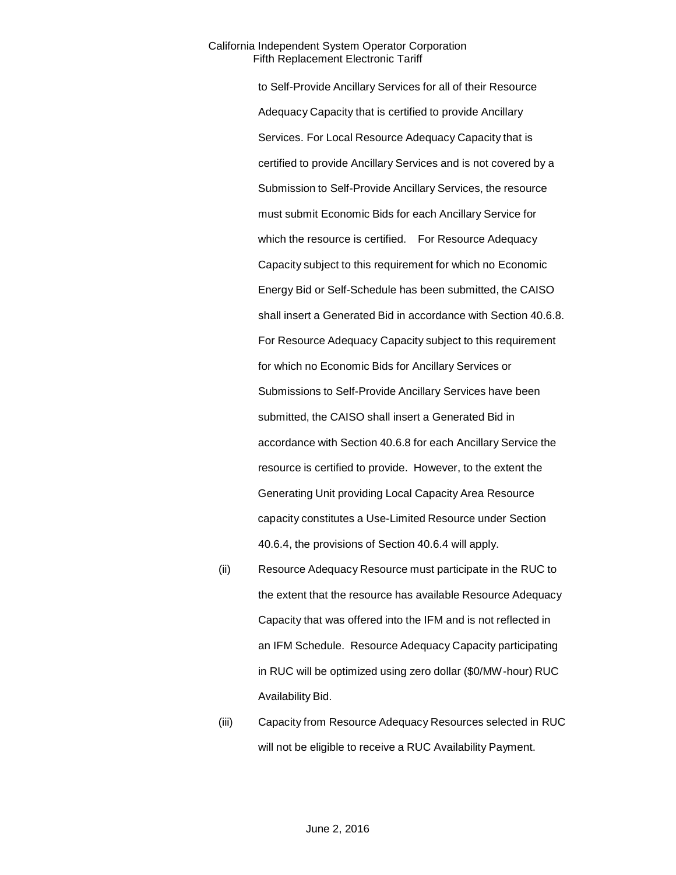to Self-Provide Ancillary Services for all of their Resource Adequacy Capacity that is certified to provide Ancillary Services. For Local Resource Adequacy Capacity that is certified to provide Ancillary Services and is not covered by a Submission to Self-Provide Ancillary Services, the resource must submit Economic Bids for each Ancillary Service for which the resource is certified. For Resource Adequacy Capacity subject to this requirement for which no Economic Energy Bid or Self-Schedule has been submitted, the CAISO shall insert a Generated Bid in accordance with Section 40.6.8. For Resource Adequacy Capacity subject to this requirement for which no Economic Bids for Ancillary Services or Submissions to Self-Provide Ancillary Services have been submitted, the CAISO shall insert a Generated Bid in accordance with Section 40.6.8 for each Ancillary Service the resource is certified to provide. However, to the extent the Generating Unit providing Local Capacity Area Resource capacity constitutes a Use-Limited Resource under Section 40.6.4, the provisions of Section 40.6.4 will apply.

- (ii) Resource Adequacy Resource must participate in the RUC to the extent that the resource has available Resource Adequacy Capacity that was offered into the IFM and is not reflected in an IFM Schedule. Resource Adequacy Capacity participating in RUC will be optimized using zero dollar (\$0/MW-hour) RUC Availability Bid.
- (iii) Capacity from Resource Adequacy Resources selected in RUC will not be eligible to receive a RUC Availability Payment.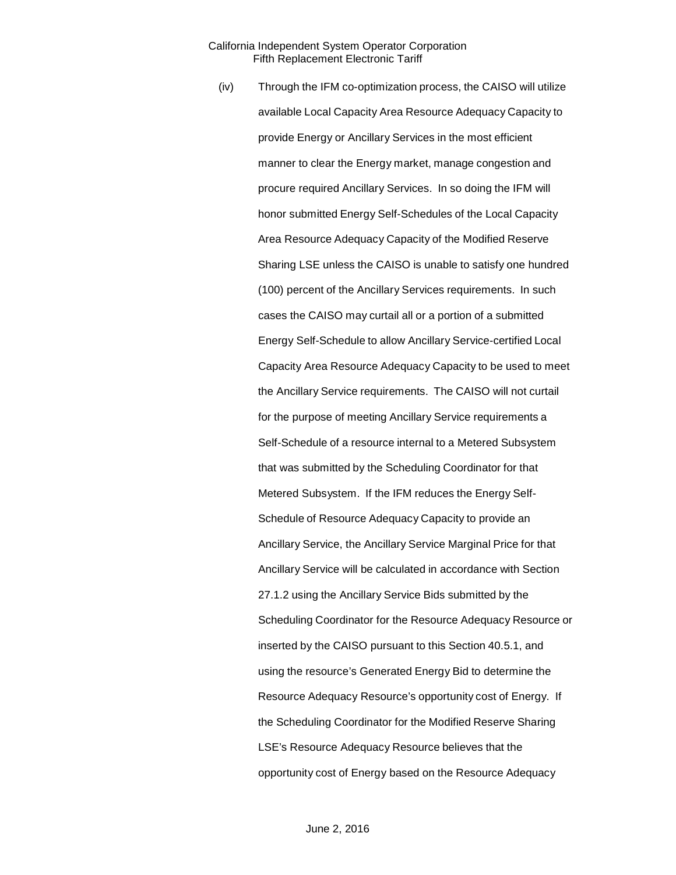(iv) Through the IFM co-optimization process, the CAISO will utilize available Local Capacity Area Resource Adequacy Capacity to provide Energy or Ancillary Services in the most efficient manner to clear the Energy market, manage congestion and procure required Ancillary Services. In so doing the IFM will honor submitted Energy Self-Schedules of the Local Capacity Area Resource Adequacy Capacity of the Modified Reserve Sharing LSE unless the CAISO is unable to satisfy one hundred (100) percent of the Ancillary Services requirements. In such cases the CAISO may curtail all or a portion of a submitted Energy Self-Schedule to allow Ancillary Service-certified Local Capacity Area Resource Adequacy Capacity to be used to meet the Ancillary Service requirements. The CAISO will not curtail for the purpose of meeting Ancillary Service requirements a Self-Schedule of a resource internal to a Metered Subsystem that was submitted by the Scheduling Coordinator for that Metered Subsystem. If the IFM reduces the Energy Self-Schedule of Resource Adequacy Capacity to provide an Ancillary Service, the Ancillary Service Marginal Price for that Ancillary Service will be calculated in accordance with Section 27.1.2 using the Ancillary Service Bids submitted by the Scheduling Coordinator for the Resource Adequacy Resource or inserted by the CAISO pursuant to this Section 40.5.1, and using the resource's Generated Energy Bid to determine the Resource Adequacy Resource's opportunity cost of Energy. If the Scheduling Coordinator for the Modified Reserve Sharing LSE's Resource Adequacy Resource believes that the opportunity cost of Energy based on the Resource Adequacy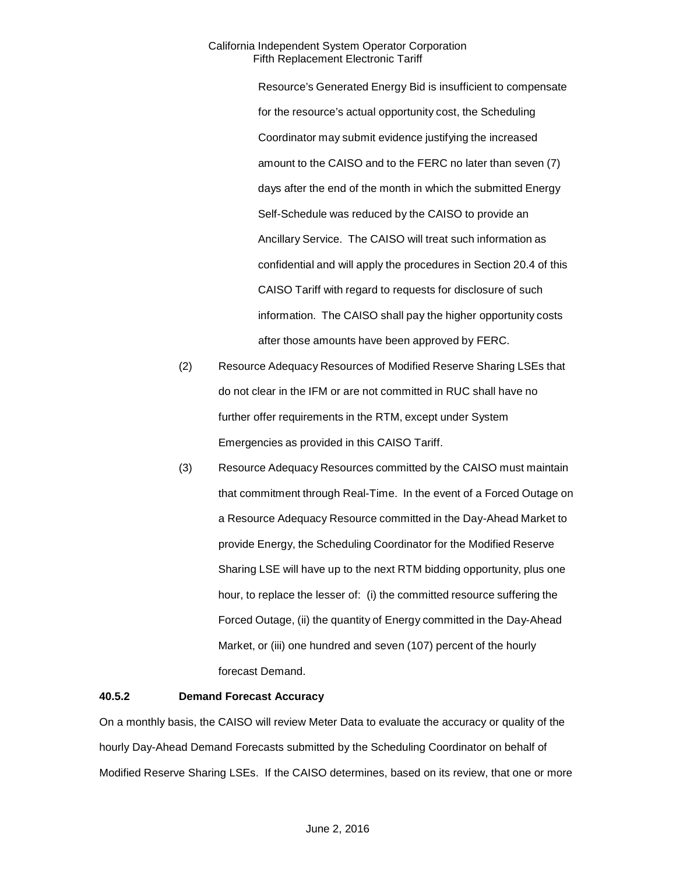Resource's Generated Energy Bid is insufficient to compensate for the resource's actual opportunity cost, the Scheduling Coordinator may submit evidence justifying the increased amount to the CAISO and to the FERC no later than seven (7) days after the end of the month in which the submitted Energy Self-Schedule was reduced by the CAISO to provide an Ancillary Service. The CAISO will treat such information as confidential and will apply the procedures in Section 20.4 of this CAISO Tariff with regard to requests for disclosure of such information. The CAISO shall pay the higher opportunity costs after those amounts have been approved by FERC.

- (2) Resource Adequacy Resources of Modified Reserve Sharing LSEs that do not clear in the IFM or are not committed in RUC shall have no further offer requirements in the RTM, except under System Emergencies as provided in this CAISO Tariff.
- (3) Resource Adequacy Resources committed by the CAISO must maintain that commitment through Real-Time. In the event of a Forced Outage on a Resource Adequacy Resource committed in the Day-Ahead Market to provide Energy, the Scheduling Coordinator for the Modified Reserve Sharing LSE will have up to the next RTM bidding opportunity, plus one hour, to replace the lesser of: (i) the committed resource suffering the Forced Outage, (ii) the quantity of Energy committed in the Day-Ahead Market, or (iii) one hundred and seven (107) percent of the hourly forecast Demand.

# **40.5.2 Demand Forecast Accuracy**

On a monthly basis, the CAISO will review Meter Data to evaluate the accuracy or quality of the hourly Day-Ahead Demand Forecasts submitted by the Scheduling Coordinator on behalf of Modified Reserve Sharing LSEs. If the CAISO determines, based on its review, that one or more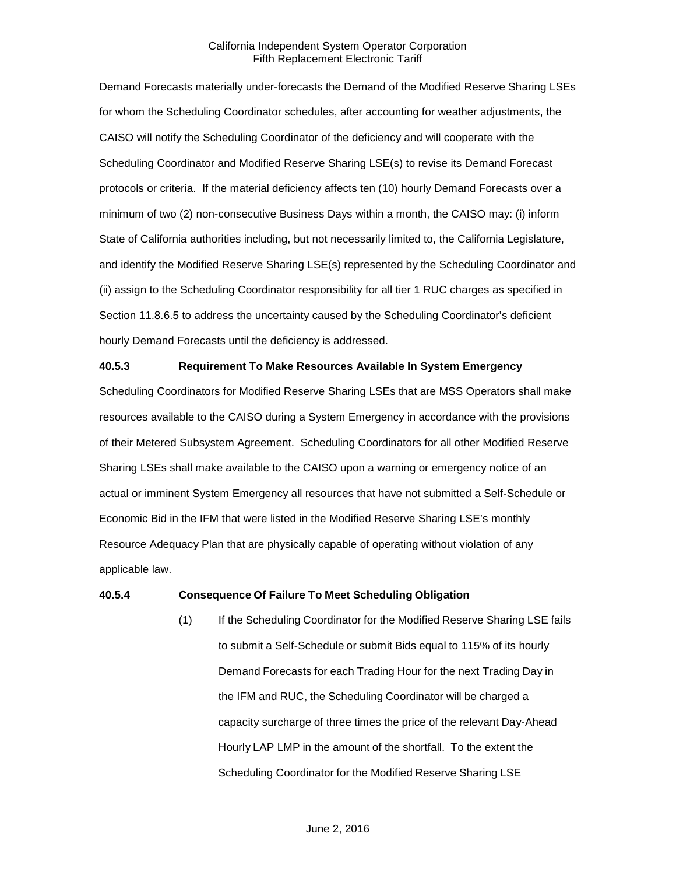Demand Forecasts materially under-forecasts the Demand of the Modified Reserve Sharing LSEs for whom the Scheduling Coordinator schedules, after accounting for weather adjustments, the CAISO will notify the Scheduling Coordinator of the deficiency and will cooperate with the Scheduling Coordinator and Modified Reserve Sharing LSE(s) to revise its Demand Forecast protocols or criteria. If the material deficiency affects ten (10) hourly Demand Forecasts over a minimum of two (2) non-consecutive Business Days within a month, the CAISO may: (i) inform State of California authorities including, but not necessarily limited to, the California Legislature, and identify the Modified Reserve Sharing LSE(s) represented by the Scheduling Coordinator and (ii) assign to the Scheduling Coordinator responsibility for all tier 1 RUC charges as specified in Section 11.8.6.5 to address the uncertainty caused by the Scheduling Coordinator's deficient hourly Demand Forecasts until the deficiency is addressed.

#### **40.5.3 Requirement To Make Resources Available In System Emergency**

Scheduling Coordinators for Modified Reserve Sharing LSEs that are MSS Operators shall make resources available to the CAISO during a System Emergency in accordance with the provisions of their Metered Subsystem Agreement. Scheduling Coordinators for all other Modified Reserve Sharing LSEs shall make available to the CAISO upon a warning or emergency notice of an actual or imminent System Emergency all resources that have not submitted a Self-Schedule or Economic Bid in the IFM that were listed in the Modified Reserve Sharing LSE's monthly Resource Adequacy Plan that are physically capable of operating without violation of any applicable law.

#### **40.5.4 Consequence Of Failure To Meet Scheduling Obligation**

(1) If the Scheduling Coordinator for the Modified Reserve Sharing LSE fails to submit a Self-Schedule or submit Bids equal to 115% of its hourly Demand Forecasts for each Trading Hour for the next Trading Day in the IFM and RUC, the Scheduling Coordinator will be charged a capacity surcharge of three times the price of the relevant Day-Ahead Hourly LAP LMP in the amount of the shortfall. To the extent the Scheduling Coordinator for the Modified Reserve Sharing LSE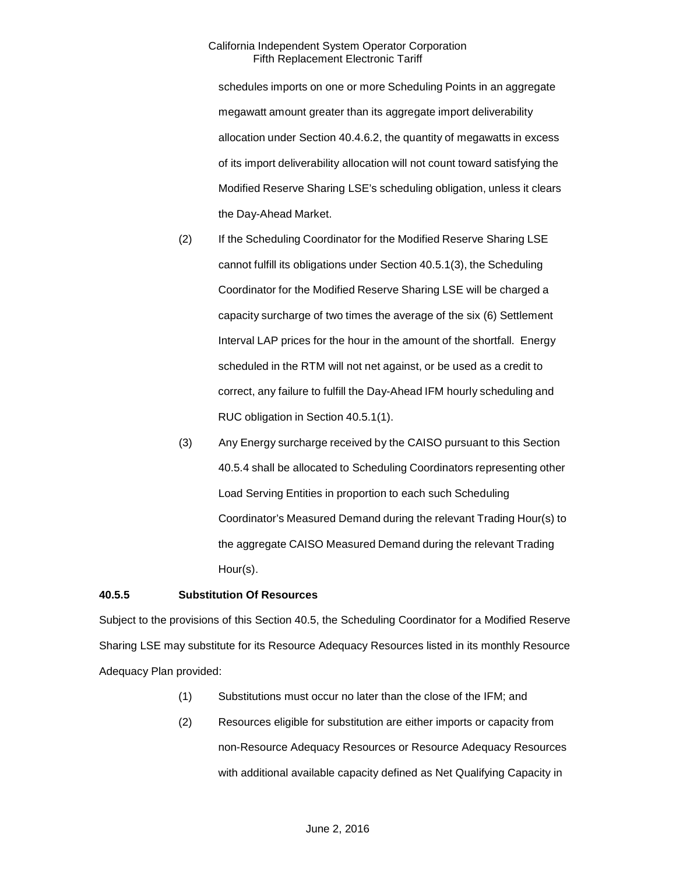schedules imports on one or more Scheduling Points in an aggregate megawatt amount greater than its aggregate import deliverability allocation under Section 40.4.6.2, the quantity of megawatts in excess of its import deliverability allocation will not count toward satisfying the Modified Reserve Sharing LSE's scheduling obligation, unless it clears the Day-Ahead Market.

- (2) If the Scheduling Coordinator for the Modified Reserve Sharing LSE cannot fulfill its obligations under Section 40.5.1(3), the Scheduling Coordinator for the Modified Reserve Sharing LSE will be charged a capacity surcharge of two times the average of the six (6) Settlement Interval LAP prices for the hour in the amount of the shortfall. Energy scheduled in the RTM will not net against, or be used as a credit to correct, any failure to fulfill the Day-Ahead IFM hourly scheduling and RUC obligation in Section 40.5.1(1).
- (3) Any Energy surcharge received by the CAISO pursuant to this Section 40.5.4 shall be allocated to Scheduling Coordinators representing other Load Serving Entities in proportion to each such Scheduling Coordinator's Measured Demand during the relevant Trading Hour(s) to the aggregate CAISO Measured Demand during the relevant Trading Hour(s).

# **40.5.5 Substitution Of Resources**

Subject to the provisions of this Section 40.5, the Scheduling Coordinator for a Modified Reserve Sharing LSE may substitute for its Resource Adequacy Resources listed in its monthly Resource Adequacy Plan provided:

- (1) Substitutions must occur no later than the close of the IFM; and
- (2) Resources eligible for substitution are either imports or capacity from non-Resource Adequacy Resources or Resource Adequacy Resources with additional available capacity defined as Net Qualifying Capacity in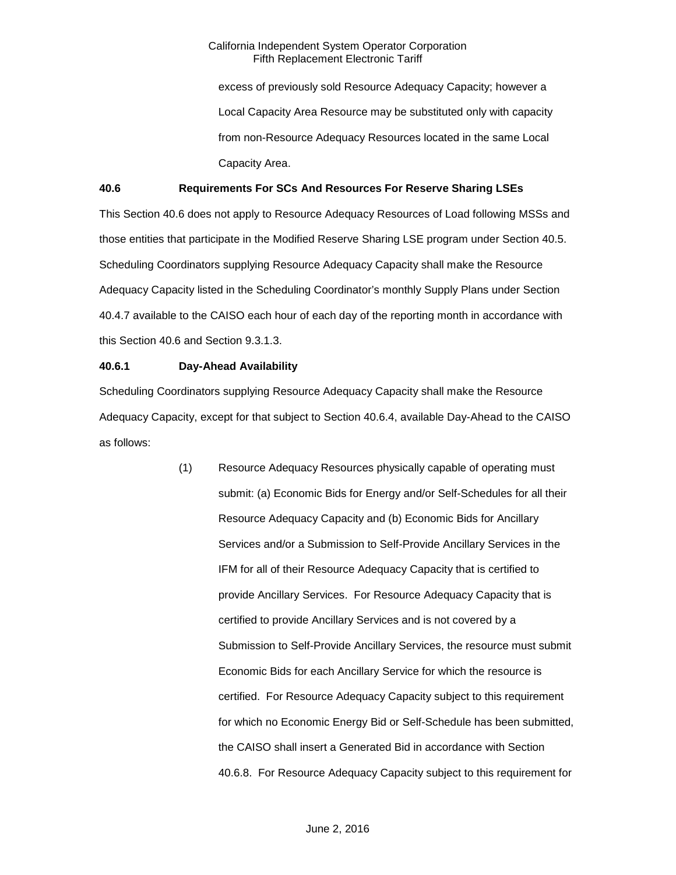excess of previously sold Resource Adequacy Capacity; however a Local Capacity Area Resource may be substituted only with capacity from non-Resource Adequacy Resources located in the same Local Capacity Area.

# **40.6 Requirements For SCs And Resources For Reserve Sharing LSEs**

This Section 40.6 does not apply to Resource Adequacy Resources of Load following MSSs and those entities that participate in the Modified Reserve Sharing LSE program under Section 40.5. Scheduling Coordinators supplying Resource Adequacy Capacity shall make the Resource Adequacy Capacity listed in the Scheduling Coordinator's monthly Supply Plans under Section 40.4.7 available to the CAISO each hour of each day of the reporting month in accordance with this Section 40.6 and Section 9.3.1.3.

#### **40.6.1 Day-Ahead Availability**

Scheduling Coordinators supplying Resource Adequacy Capacity shall make the Resource Adequacy Capacity, except for that subject to Section 40.6.4, available Day-Ahead to the CAISO as follows:

> (1) Resource Adequacy Resources physically capable of operating must submit: (a) Economic Bids for Energy and/or Self-Schedules for all their Resource Adequacy Capacity and (b) Economic Bids for Ancillary Services and/or a Submission to Self-Provide Ancillary Services in the IFM for all of their Resource Adequacy Capacity that is certified to provide Ancillary Services. For Resource Adequacy Capacity that is certified to provide Ancillary Services and is not covered by a Submission to Self-Provide Ancillary Services, the resource must submit Economic Bids for each Ancillary Service for which the resource is certified. For Resource Adequacy Capacity subject to this requirement for which no Economic Energy Bid or Self-Schedule has been submitted, the CAISO shall insert a Generated Bid in accordance with Section 40.6.8. For Resource Adequacy Capacity subject to this requirement for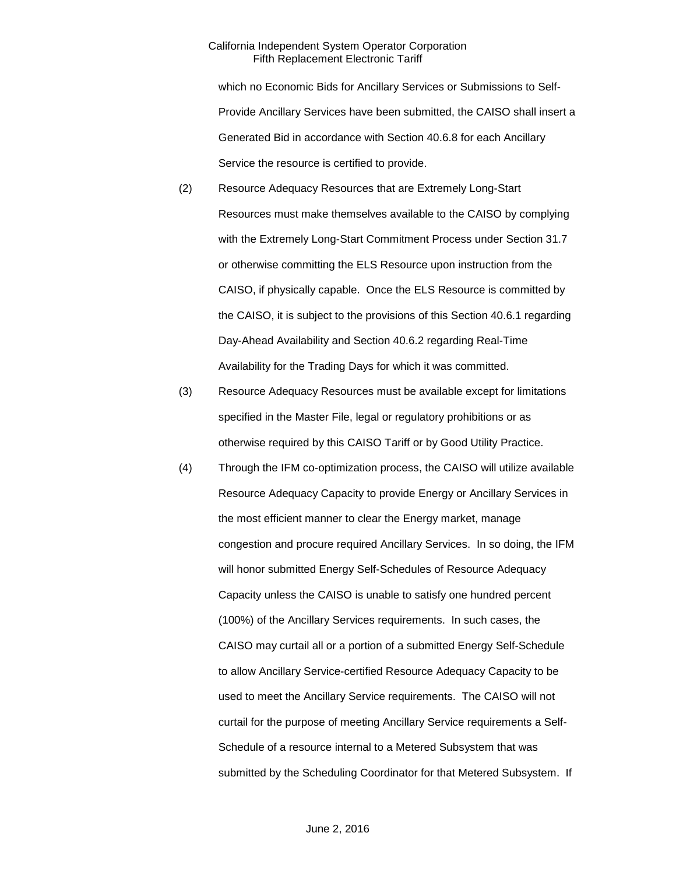which no Economic Bids for Ancillary Services or Submissions to Self-Provide Ancillary Services have been submitted, the CAISO shall insert a Generated Bid in accordance with Section 40.6.8 for each Ancillary Service the resource is certified to provide.

- (2) Resource Adequacy Resources that are Extremely Long-Start Resources must make themselves available to the CAISO by complying with the Extremely Long-Start Commitment Process under Section 31.7 or otherwise committing the ELS Resource upon instruction from the CAISO, if physically capable. Once the ELS Resource is committed by the CAISO, it is subject to the provisions of this Section 40.6.1 regarding Day-Ahead Availability and Section 40.6.2 regarding Real-Time Availability for the Trading Days for which it was committed.
- (3) Resource Adequacy Resources must be available except for limitations specified in the Master File, legal or regulatory prohibitions or as otherwise required by this CAISO Tariff or by Good Utility Practice.
- (4) Through the IFM co-optimization process, the CAISO will utilize available Resource Adequacy Capacity to provide Energy or Ancillary Services in the most efficient manner to clear the Energy market, manage congestion and procure required Ancillary Services. In so doing, the IFM will honor submitted Energy Self-Schedules of Resource Adequacy Capacity unless the CAISO is unable to satisfy one hundred percent (100%) of the Ancillary Services requirements. In such cases, the CAISO may curtail all or a portion of a submitted Energy Self-Schedule to allow Ancillary Service-certified Resource Adequacy Capacity to be used to meet the Ancillary Service requirements. The CAISO will not curtail for the purpose of meeting Ancillary Service requirements a Self-Schedule of a resource internal to a Metered Subsystem that was submitted by the Scheduling Coordinator for that Metered Subsystem. If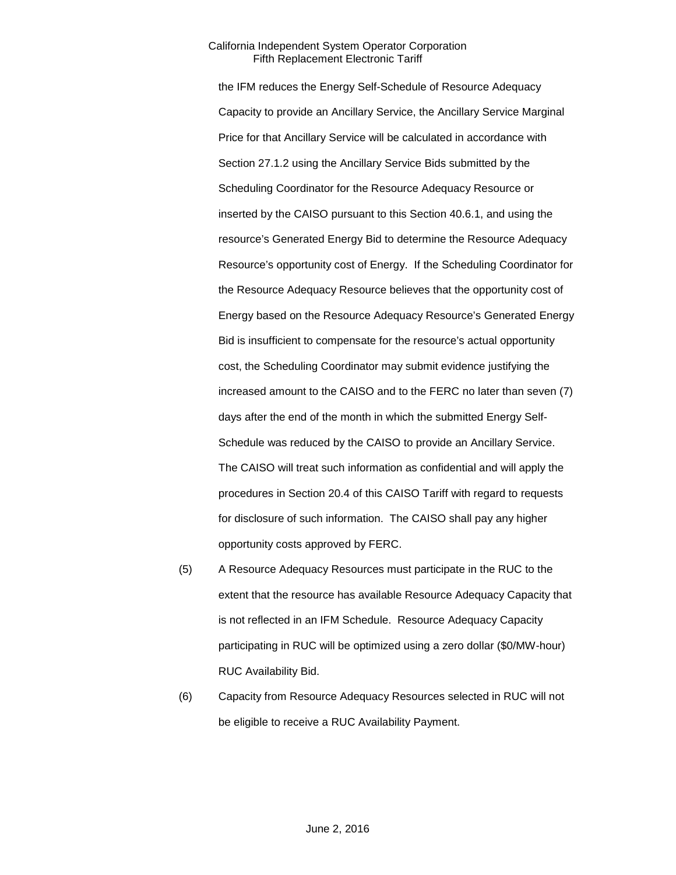the IFM reduces the Energy Self-Schedule of Resource Adequacy Capacity to provide an Ancillary Service, the Ancillary Service Marginal Price for that Ancillary Service will be calculated in accordance with Section 27.1.2 using the Ancillary Service Bids submitted by the Scheduling Coordinator for the Resource Adequacy Resource or inserted by the CAISO pursuant to this Section 40.6.1, and using the resource's Generated Energy Bid to determine the Resource Adequacy Resource's opportunity cost of Energy. If the Scheduling Coordinator for the Resource Adequacy Resource believes that the opportunity cost of Energy based on the Resource Adequacy Resource's Generated Energy Bid is insufficient to compensate for the resource's actual opportunity cost, the Scheduling Coordinator may submit evidence justifying the increased amount to the CAISO and to the FERC no later than seven (7) days after the end of the month in which the submitted Energy Self-Schedule was reduced by the CAISO to provide an Ancillary Service. The CAISO will treat such information as confidential and will apply the procedures in Section 20.4 of this CAISO Tariff with regard to requests for disclosure of such information. The CAISO shall pay any higher opportunity costs approved by FERC.

- (5) A Resource Adequacy Resources must participate in the RUC to the extent that the resource has available Resource Adequacy Capacity that is not reflected in an IFM Schedule. Resource Adequacy Capacity participating in RUC will be optimized using a zero dollar (\$0/MW-hour) RUC Availability Bid.
- (6) Capacity from Resource Adequacy Resources selected in RUC will not be eligible to receive a RUC Availability Payment.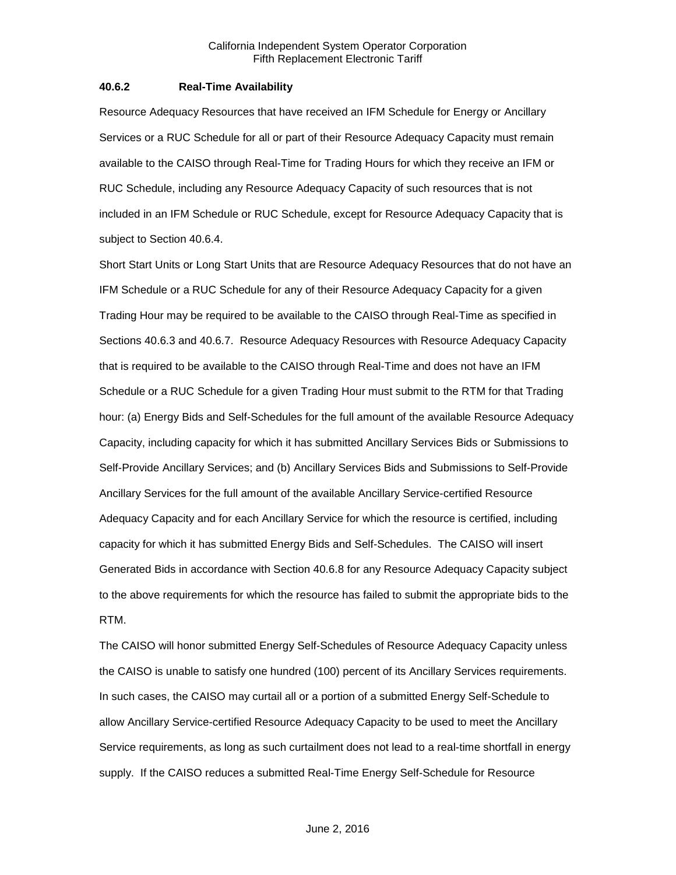#### **40.6.2 Real-Time Availability**

Resource Adequacy Resources that have received an IFM Schedule for Energy or Ancillary Services or a RUC Schedule for all or part of their Resource Adequacy Capacity must remain available to the CAISO through Real-Time for Trading Hours for which they receive an IFM or RUC Schedule, including any Resource Adequacy Capacity of such resources that is not included in an IFM Schedule or RUC Schedule, except for Resource Adequacy Capacity that is subject to Section 40.6.4.

Short Start Units or Long Start Units that are Resource Adequacy Resources that do not have an IFM Schedule or a RUC Schedule for any of their Resource Adequacy Capacity for a given Trading Hour may be required to be available to the CAISO through Real-Time as specified in Sections 40.6.3 and 40.6.7. Resource Adequacy Resources with Resource Adequacy Capacity that is required to be available to the CAISO through Real-Time and does not have an IFM Schedule or a RUC Schedule for a given Trading Hour must submit to the RTM for that Trading hour: (a) Energy Bids and Self-Schedules for the full amount of the available Resource Adequacy Capacity, including capacity for which it has submitted Ancillary Services Bids or Submissions to Self-Provide Ancillary Services; and (b) Ancillary Services Bids and Submissions to Self-Provide Ancillary Services for the full amount of the available Ancillary Service-certified Resource Adequacy Capacity and for each Ancillary Service for which the resource is certified, including capacity for which it has submitted Energy Bids and Self-Schedules. The CAISO will insert Generated Bids in accordance with Section 40.6.8 for any Resource Adequacy Capacity subject to the above requirements for which the resource has failed to submit the appropriate bids to the RTM.

The CAISO will honor submitted Energy Self-Schedules of Resource Adequacy Capacity unless the CAISO is unable to satisfy one hundred (100) percent of its Ancillary Services requirements. In such cases, the CAISO may curtail all or a portion of a submitted Energy Self-Schedule to allow Ancillary Service-certified Resource Adequacy Capacity to be used to meet the Ancillary Service requirements, as long as such curtailment does not lead to a real-time shortfall in energy supply. If the CAISO reduces a submitted Real-Time Energy Self-Schedule for Resource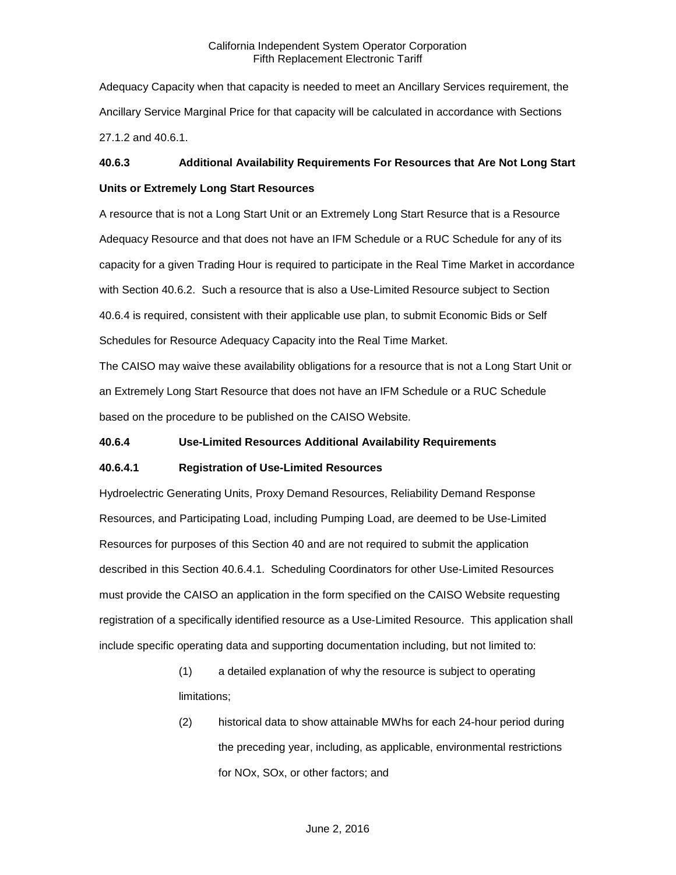Adequacy Capacity when that capacity is needed to meet an Ancillary Services requirement, the Ancillary Service Marginal Price for that capacity will be calculated in accordance with Sections 27.1.2 and 40.6.1.

# **40.6.3 Additional Availability Requirements For Resources that Are Not Long Start Units or Extremely Long Start Resources**

A resource that is not a Long Start Unit or an Extremely Long Start Resurce that is a Resource Adequacy Resource and that does not have an IFM Schedule or a RUC Schedule for any of its capacity for a given Trading Hour is required to participate in the Real Time Market in accordance with Section 40.6.2. Such a resource that is also a Use-Limited Resource subject to Section 40.6.4 is required, consistent with their applicable use plan, to submit Economic Bids or Self Schedules for Resource Adequacy Capacity into the Real Time Market.

The CAISO may waive these availability obligations for a resource that is not a Long Start Unit or an Extremely Long Start Resource that does not have an IFM Schedule or a RUC Schedule based on the procedure to be published on the CAISO Website.

# **40.6.4 Use-Limited Resources Additional Availability Requirements**

# **40.6.4.1 Registration of Use-Limited Resources**

Hydroelectric Generating Units, Proxy Demand Resources, Reliability Demand Response Resources, and Participating Load, including Pumping Load, are deemed to be Use-Limited Resources for purposes of this Section 40 and are not required to submit the application described in this Section 40.6.4.1. Scheduling Coordinators for other Use-Limited Resources must provide the CAISO an application in the form specified on the CAISO Website requesting registration of a specifically identified resource as a Use-Limited Resource. This application shall include specific operating data and supporting documentation including, but not limited to:

> (1) a detailed explanation of why the resource is subject to operating limitations;

(2) historical data to show attainable MWhs for each 24-hour period during the preceding year, including, as applicable, environmental restrictions for NOx, SOx, or other factors; and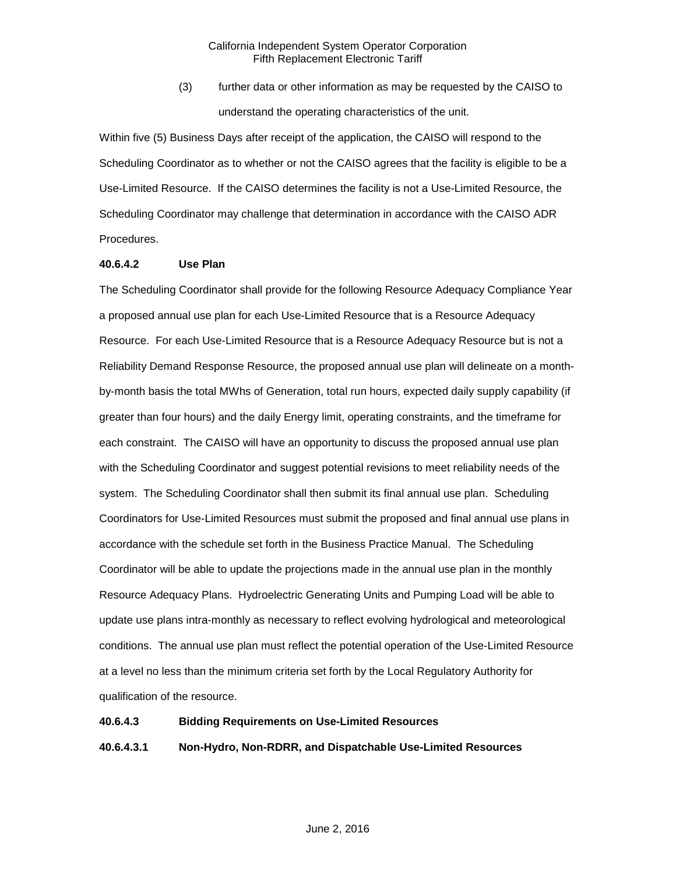(3) further data or other information as may be requested by the CAISO to understand the operating characteristics of the unit.

Within five (5) Business Days after receipt of the application, the CAISO will respond to the Scheduling Coordinator as to whether or not the CAISO agrees that the facility is eligible to be a Use-Limited Resource. If the CAISO determines the facility is not a Use-Limited Resource, the Scheduling Coordinator may challenge that determination in accordance with the CAISO ADR Procedures.

#### **40.6.4.2 Use Plan**

The Scheduling Coordinator shall provide for the following Resource Adequacy Compliance Year a proposed annual use plan for each Use-Limited Resource that is a Resource Adequacy Resource. For each Use-Limited Resource that is a Resource Adequacy Resource but is not a Reliability Demand Response Resource, the proposed annual use plan will delineate on a monthby-month basis the total MWhs of Generation, total run hours, expected daily supply capability (if greater than four hours) and the daily Energy limit, operating constraints, and the timeframe for each constraint. The CAISO will have an opportunity to discuss the proposed annual use plan with the Scheduling Coordinator and suggest potential revisions to meet reliability needs of the system. The Scheduling Coordinator shall then submit its final annual use plan. Scheduling Coordinators for Use-Limited Resources must submit the proposed and final annual use plans in accordance with the schedule set forth in the Business Practice Manual. The Scheduling Coordinator will be able to update the projections made in the annual use plan in the monthly Resource Adequacy Plans. Hydroelectric Generating Units and Pumping Load will be able to update use plans intra-monthly as necessary to reflect evolving hydrological and meteorological conditions. The annual use plan must reflect the potential operation of the Use-Limited Resource at a level no less than the minimum criteria set forth by the Local Regulatory Authority for qualification of the resource.

#### **40.6.4.3 Bidding Requirements on Use-Limited Resources**

# **40.6.4.3.1 Non-Hydro, Non-RDRR, and Dispatchable Use-Limited Resources**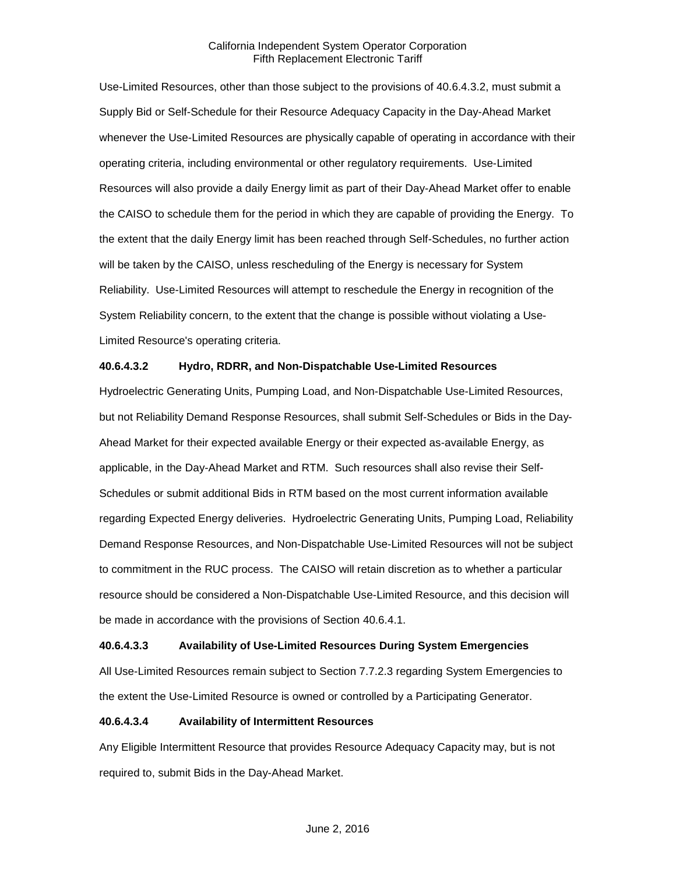Use-Limited Resources, other than those subject to the provisions of 40.6.4.3.2, must submit a Supply Bid or Self-Schedule for their Resource Adequacy Capacity in the Day-Ahead Market whenever the Use-Limited Resources are physically capable of operating in accordance with their operating criteria, including environmental or other regulatory requirements. Use-Limited Resources will also provide a daily Energy limit as part of their Day-Ahead Market offer to enable the CAISO to schedule them for the period in which they are capable of providing the Energy. To the extent that the daily Energy limit has been reached through Self-Schedules, no further action will be taken by the CAISO, unless rescheduling of the Energy is necessary for System Reliability. Use-Limited Resources will attempt to reschedule the Energy in recognition of the System Reliability concern, to the extent that the change is possible without violating a Use-Limited Resource's operating criteria.

#### **40.6.4.3.2 Hydro, RDRR, and Non-Dispatchable Use-Limited Resources**

Hydroelectric Generating Units, Pumping Load, and Non-Dispatchable Use-Limited Resources, but not Reliability Demand Response Resources, shall submit Self-Schedules or Bids in the Day-Ahead Market for their expected available Energy or their expected as-available Energy, as applicable, in the Day-Ahead Market and RTM. Such resources shall also revise their Self-Schedules or submit additional Bids in RTM based on the most current information available regarding Expected Energy deliveries. Hydroelectric Generating Units, Pumping Load, Reliability Demand Response Resources, and Non-Dispatchable Use-Limited Resources will not be subject to commitment in the RUC process. The CAISO will retain discretion as to whether a particular resource should be considered a Non-Dispatchable Use-Limited Resource, and this decision will be made in accordance with the provisions of Section 40.6.4.1.

#### **40.6.4.3.3 Availability of Use-Limited Resources During System Emergencies**

All Use-Limited Resources remain subject to Section 7.7.2.3 regarding System Emergencies to the extent the Use-Limited Resource is owned or controlled by a Participating Generator.

#### **40.6.4.3.4 Availability of Intermittent Resources**

Any Eligible Intermittent Resource that provides Resource Adequacy Capacity may, but is not required to, submit Bids in the Day-Ahead Market.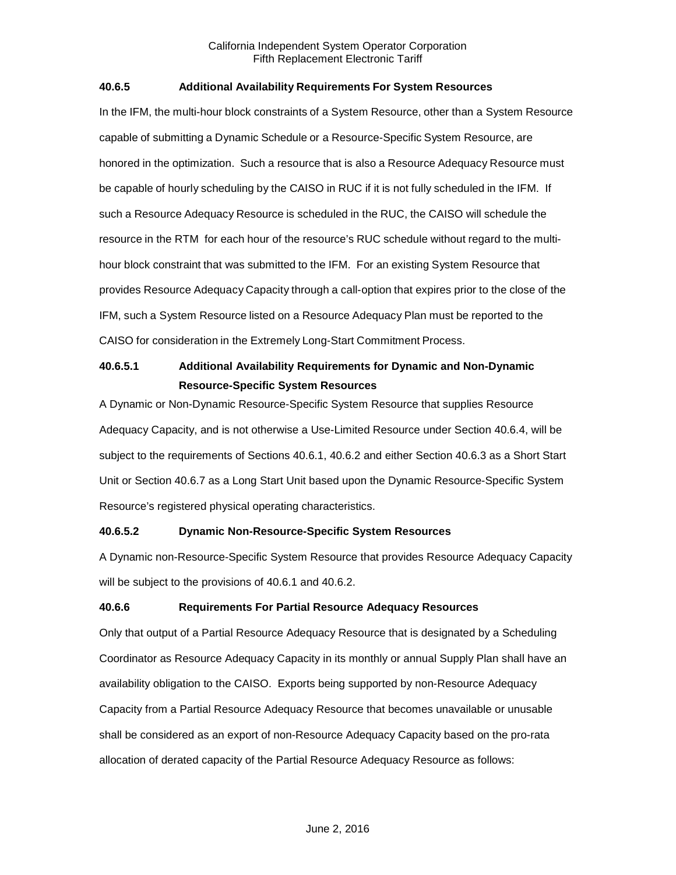# **40.6.5 Additional Availability Requirements For System Resources**

In the IFM, the multi-hour block constraints of a System Resource, other than a System Resource capable of submitting a Dynamic Schedule or a Resource-Specific System Resource, are honored in the optimization. Such a resource that is also a Resource Adequacy Resource must be capable of hourly scheduling by the CAISO in RUC if it is not fully scheduled in the IFM. If such a Resource Adequacy Resource is scheduled in the RUC, the CAISO will schedule the resource in the RTM for each hour of the resource's RUC schedule without regard to the multihour block constraint that was submitted to the IFM. For an existing System Resource that provides Resource Adequacy Capacity through a call-option that expires prior to the close of the IFM, such a System Resource listed on a Resource Adequacy Plan must be reported to the CAISO for consideration in the Extremely Long-Start Commitment Process.

# **40.6.5.1 Additional Availability Requirements for Dynamic and Non-Dynamic Resource-Specific System Resources**

A Dynamic or Non-Dynamic Resource-Specific System Resource that supplies Resource Adequacy Capacity, and is not otherwise a Use-Limited Resource under Section 40.6.4, will be subject to the requirements of Sections 40.6.1, 40.6.2 and either Section 40.6.3 as a Short Start Unit or Section 40.6.7 as a Long Start Unit based upon the Dynamic Resource-Specific System Resource's registered physical operating characteristics.

# **40.6.5.2 Dynamic Non-Resource-Specific System Resources**

A Dynamic non-Resource-Specific System Resource that provides Resource Adequacy Capacity will be subject to the provisions of 40.6.1 and 40.6.2.

# **40.6.6 Requirements For Partial Resource Adequacy Resources**

Only that output of a Partial Resource Adequacy Resource that is designated by a Scheduling Coordinator as Resource Adequacy Capacity in its monthly or annual Supply Plan shall have an availability obligation to the CAISO. Exports being supported by non-Resource Adequacy Capacity from a Partial Resource Adequacy Resource that becomes unavailable or unusable shall be considered as an export of non-Resource Adequacy Capacity based on the pro-rata allocation of derated capacity of the Partial Resource Adequacy Resource as follows: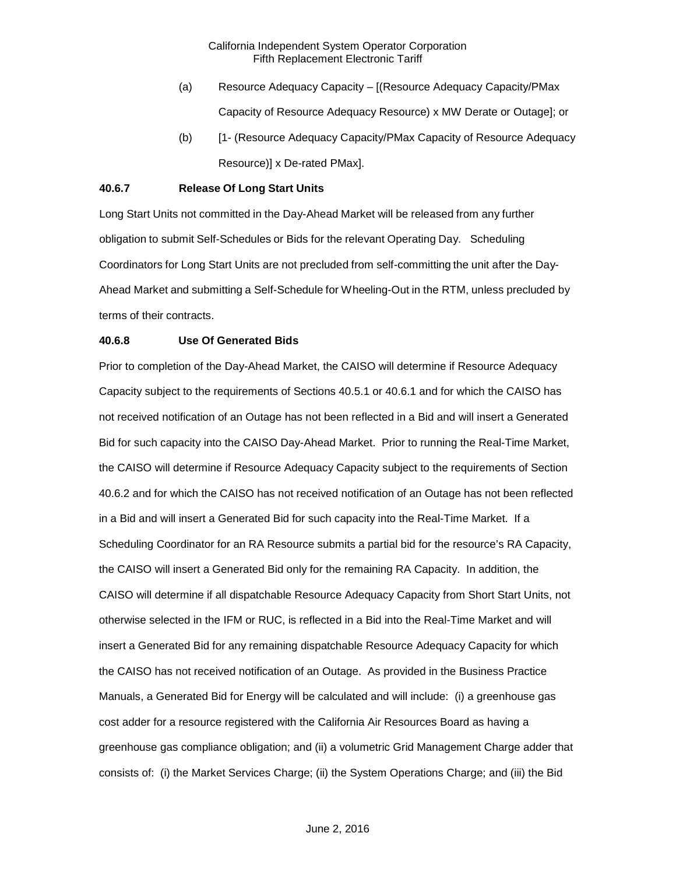- (a) Resource Adequacy Capacity [(Resource Adequacy Capacity/PMax Capacity of Resource Adequacy Resource) x MW Derate or Outage]; or
- (b) [1- (Resource Adequacy Capacity/PMax Capacity of Resource Adequacy Resource)] x De-rated PMax].

# **40.6.7 Release Of Long Start Units**

Long Start Units not committed in the Day-Ahead Market will be released from any further obligation to submit Self-Schedules or Bids for the relevant Operating Day. Scheduling Coordinators for Long Start Units are not precluded from self-committing the unit after the Day-Ahead Market and submitting a Self-Schedule for Wheeling-Out in the RTM, unless precluded by terms of their contracts.

#### **40.6.8 Use Of Generated Bids**

Prior to completion of the Day-Ahead Market, the CAISO will determine if Resource Adequacy Capacity subject to the requirements of Sections 40.5.1 or 40.6.1 and for which the CAISO has not received notification of an Outage has not been reflected in a Bid and will insert a Generated Bid for such capacity into the CAISO Day-Ahead Market. Prior to running the Real-Time Market, the CAISO will determine if Resource Adequacy Capacity subject to the requirements of Section 40.6.2 and for which the CAISO has not received notification of an Outage has not been reflected in a Bid and will insert a Generated Bid for such capacity into the Real-Time Market. If a Scheduling Coordinator for an RA Resource submits a partial bid for the resource's RA Capacity, the CAISO will insert a Generated Bid only for the remaining RA Capacity. In addition, the CAISO will determine if all dispatchable Resource Adequacy Capacity from Short Start Units, not otherwise selected in the IFM or RUC, is reflected in a Bid into the Real-Time Market and will insert a Generated Bid for any remaining dispatchable Resource Adequacy Capacity for which the CAISO has not received notification of an Outage. As provided in the Business Practice Manuals, a Generated Bid for Energy will be calculated and will include: (i) a greenhouse gas cost adder for a resource registered with the California Air Resources Board as having a greenhouse gas compliance obligation; and (ii) a volumetric Grid Management Charge adder that consists of: (i) the Market Services Charge; (ii) the System Operations Charge; and (iii) the Bid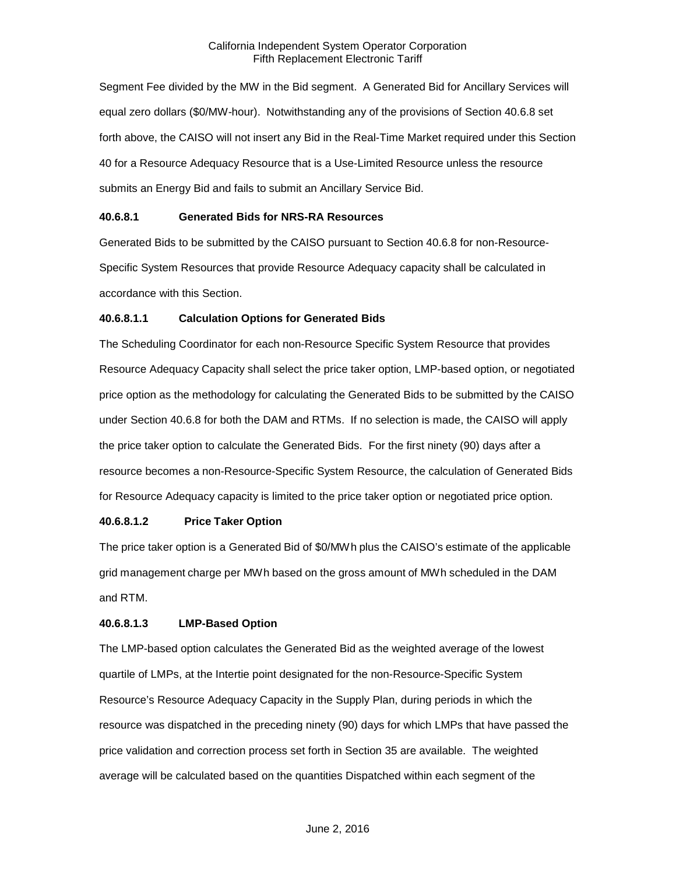Segment Fee divided by the MW in the Bid segment. A Generated Bid for Ancillary Services will equal zero dollars (\$0/MW-hour). Notwithstanding any of the provisions of Section 40.6.8 set forth above, the CAISO will not insert any Bid in the Real-Time Market required under this Section 40 for a Resource Adequacy Resource that is a Use-Limited Resource unless the resource submits an Energy Bid and fails to submit an Ancillary Service Bid.

# **40.6.8.1 Generated Bids for NRS-RA Resources**

Generated Bids to be submitted by the CAISO pursuant to Section 40.6.8 for non-Resource-Specific System Resources that provide Resource Adequacy capacity shall be calculated in accordance with this Section.

# **40.6.8.1.1 Calculation Options for Generated Bids**

The Scheduling Coordinator for each non-Resource Specific System Resource that provides Resource Adequacy Capacity shall select the price taker option, LMP-based option, or negotiated price option as the methodology for calculating the Generated Bids to be submitted by the CAISO under Section 40.6.8 for both the DAM and RTMs. If no selection is made, the CAISO will apply the price taker option to calculate the Generated Bids. For the first ninety (90) days after a resource becomes a non-Resource-Specific System Resource, the calculation of Generated Bids for Resource Adequacy capacity is limited to the price taker option or negotiated price option.

# **40.6.8.1.2 Price Taker Option**

The price taker option is a Generated Bid of \$0/MWh plus the CAISO's estimate of the applicable grid management charge per MWh based on the gross amount of MWh scheduled in the DAM and RTM.

#### **40.6.8.1.3 LMP-Based Option**

The LMP-based option calculates the Generated Bid as the weighted average of the lowest quartile of LMPs, at the Intertie point designated for the non-Resource-Specific System Resource's Resource Adequacy Capacity in the Supply Plan, during periods in which the resource was dispatched in the preceding ninety (90) days for which LMPs that have passed the price validation and correction process set forth in Section 35 are available. The weighted average will be calculated based on the quantities Dispatched within each segment of the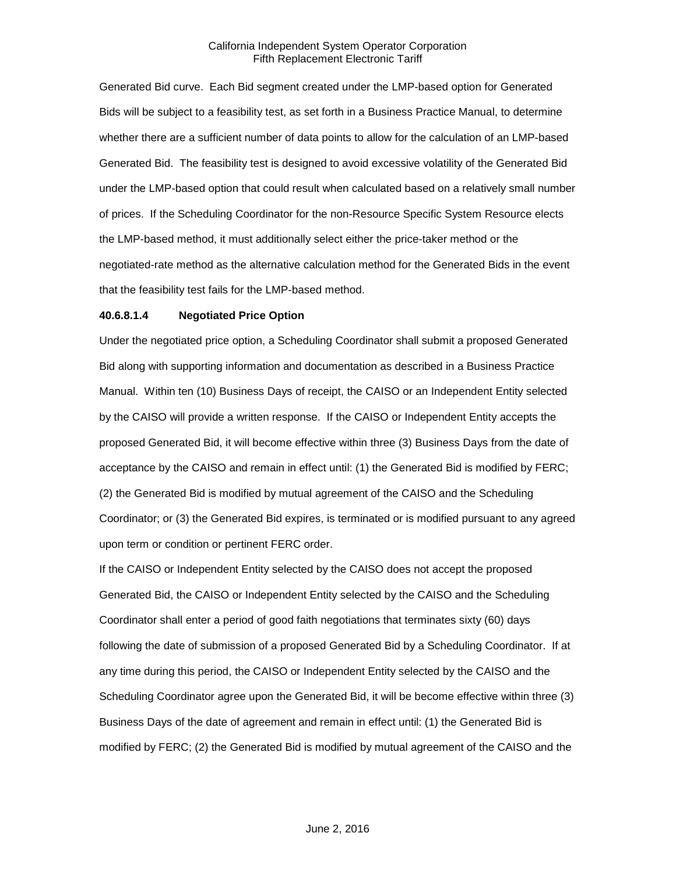Generated Bid curve. Each Bid segment created under the LMP-based option for Generated Bids will be subject to a feasibility test, as set forth in a Business Practice Manual, to determine whether there are a sufficient number of data points to allow for the calculation of an LMP-based Generated Bid. The feasibility test is designed to avoid excessive volatility of the Generated Bid under the LMP-based option that could result when calculated based on a relatively small number of prices. If the Scheduling Coordinator for the non-Resource Specific System Resource elects the LMP-based method, it must additionally select either the price-taker method or the negotiated-rate method as the alternative calculation method for the Generated Bids in the event that the feasibility test fails for the LMP-based method.

## **40.6.8.1.4 Negotiated Price Option**

Under the negotiated price option, a Scheduling Coordinator shall submit a proposed Generated Bid along with supporting information and documentation as described in a Business Practice Manual. Within ten (10) Business Days of receipt, the CAISO or an Independent Entity selected by the CAISO will provide a written response. If the CAISO or Independent Entity accepts the proposed Generated Bid, it will become effective within three (3) Business Days from the date of acceptance by the CAISO and remain in effect until: (1) the Generated Bid is modified by FERC; (2) the Generated Bid is modified by mutual agreement of the CAISO and the Scheduling Coordinator; or (3) the Generated Bid expires, is terminated or is modified pursuant to any agreed upon term or condition or pertinent FERC order.

If the CAISO or Independent Entity selected by the CAISO does not accept the proposed Generated Bid, the CAISO or Independent Entity selected by the CAISO and the Scheduling Coordinator shall enter a period of good faith negotiations that terminates sixty (60) days following the date of submission of a proposed Generated Bid by a Scheduling Coordinator. If at any time during this period, the CAISO or Independent Entity selected by the CAISO and the Scheduling Coordinator agree upon the Generated Bid, it will be become effective within three (3) Business Days of the date of agreement and remain in effect until: (1) the Generated Bid is modified by FERC; (2) the Generated Bid is modified by mutual agreement of the CAISO and the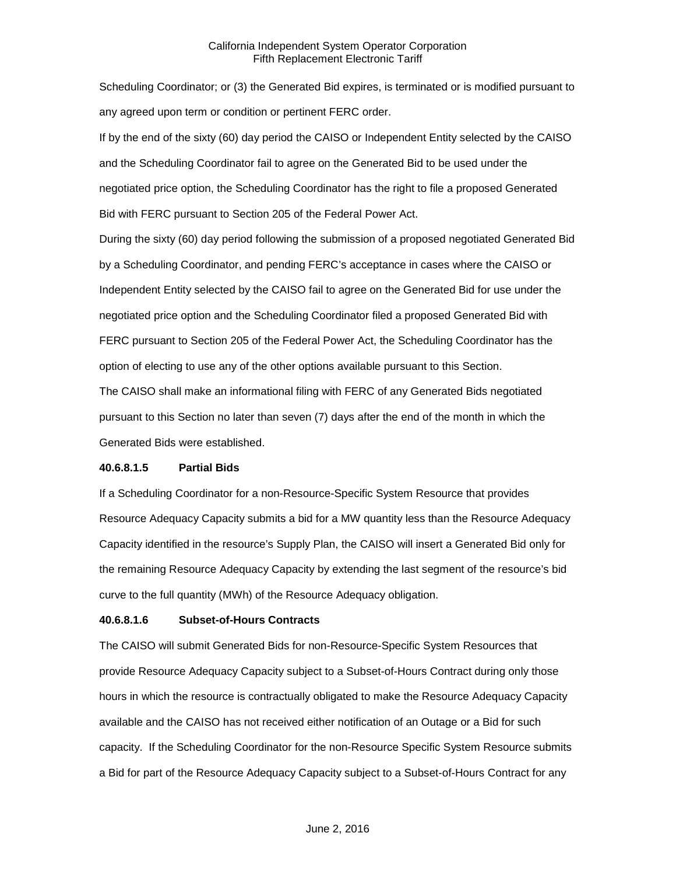Scheduling Coordinator; or (3) the Generated Bid expires, is terminated or is modified pursuant to any agreed upon term or condition or pertinent FERC order.

If by the end of the sixty (60) day period the CAISO or Independent Entity selected by the CAISO and the Scheduling Coordinator fail to agree on the Generated Bid to be used under the negotiated price option, the Scheduling Coordinator has the right to file a proposed Generated Bid with FERC pursuant to Section 205 of the Federal Power Act.

During the sixty (60) day period following the submission of a proposed negotiated Generated Bid by a Scheduling Coordinator, and pending FERC's acceptance in cases where the CAISO or Independent Entity selected by the CAISO fail to agree on the Generated Bid for use under the negotiated price option and the Scheduling Coordinator filed a proposed Generated Bid with FERC pursuant to Section 205 of the Federal Power Act, the Scheduling Coordinator has the option of electing to use any of the other options available pursuant to this Section.

The CAISO shall make an informational filing with FERC of any Generated Bids negotiated pursuant to this Section no later than seven (7) days after the end of the month in which the Generated Bids were established.

# **40.6.8.1.5 Partial Bids**

If a Scheduling Coordinator for a non-Resource-Specific System Resource that provides Resource Adequacy Capacity submits a bid for a MW quantity less than the Resource Adequacy Capacity identified in the resource's Supply Plan, the CAISO will insert a Generated Bid only for the remaining Resource Adequacy Capacity by extending the last segment of the resource's bid curve to the full quantity (MWh) of the Resource Adequacy obligation.

# **40.6.8.1.6 Subset-of-Hours Contracts**

The CAISO will submit Generated Bids for non-Resource-Specific System Resources that provide Resource Adequacy Capacity subject to a Subset-of-Hours Contract during only those hours in which the resource is contractually obligated to make the Resource Adequacy Capacity available and the CAISO has not received either notification of an Outage or a Bid for such capacity. If the Scheduling Coordinator for the non-Resource Specific System Resource submits a Bid for part of the Resource Adequacy Capacity subject to a Subset-of-Hours Contract for any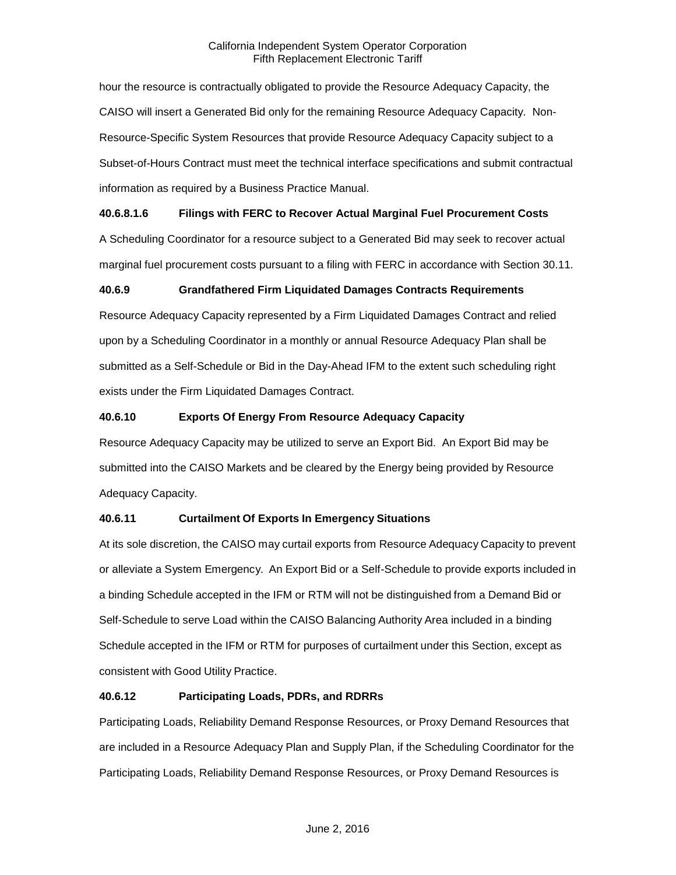hour the resource is contractually obligated to provide the Resource Adequacy Capacity, the CAISO will insert a Generated Bid only for the remaining Resource Adequacy Capacity. Non-Resource-Specific System Resources that provide Resource Adequacy Capacity subject to a Subset-of-Hours Contract must meet the technical interface specifications and submit contractual information as required by a Business Practice Manual.

# **40.6.8.1.6 Filings with FERC to Recover Actual Marginal Fuel Procurement Costs**

A Scheduling Coordinator for a resource subject to a Generated Bid may seek to recover actual marginal fuel procurement costs pursuant to a filing with FERC in accordance with Section 30.11.

# **40.6.9 Grandfathered Firm Liquidated Damages Contracts Requirements**

Resource Adequacy Capacity represented by a Firm Liquidated Damages Contract and relied upon by a Scheduling Coordinator in a monthly or annual Resource Adequacy Plan shall be submitted as a Self-Schedule or Bid in the Day-Ahead IFM to the extent such scheduling right exists under the Firm Liquidated Damages Contract.

# **40.6.10 Exports Of Energy From Resource Adequacy Capacity**

Resource Adequacy Capacity may be utilized to serve an Export Bid. An Export Bid may be submitted into the CAISO Markets and be cleared by the Energy being provided by Resource Adequacy Capacity.

# **40.6.11 Curtailment Of Exports In Emergency Situations**

At its sole discretion, the CAISO may curtail exports from Resource Adequacy Capacity to prevent or alleviate a System Emergency. An Export Bid or a Self-Schedule to provide exports included in a binding Schedule accepted in the IFM or RTM will not be distinguished from a Demand Bid or Self-Schedule to serve Load within the CAISO Balancing Authority Area included in a binding Schedule accepted in the IFM or RTM for purposes of curtailment under this Section, except as consistent with Good Utility Practice.

# **40.6.12 Participating Loads, PDRs, and RDRRs**

Participating Loads, Reliability Demand Response Resources, or Proxy Demand Resources that are included in a Resource Adequacy Plan and Supply Plan, if the Scheduling Coordinator for the Participating Loads, Reliability Demand Response Resources, or Proxy Demand Resources is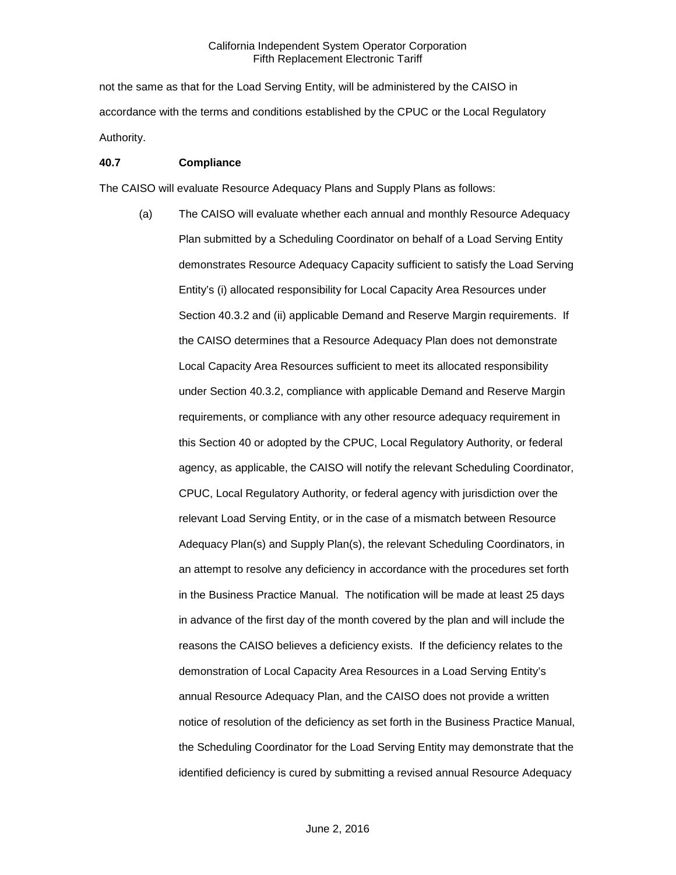not the same as that for the Load Serving Entity, will be administered by the CAISO in accordance with the terms and conditions established by the CPUC or the Local Regulatory Authority.

#### **40.7 Compliance**

The CAISO will evaluate Resource Adequacy Plans and Supply Plans as follows:

(a) The CAISO will evaluate whether each annual and monthly Resource Adequacy Plan submitted by a Scheduling Coordinator on behalf of a Load Serving Entity demonstrates Resource Adequacy Capacity sufficient to satisfy the Load Serving Entity's (i) allocated responsibility for Local Capacity Area Resources under Section 40.3.2 and (ii) applicable Demand and Reserve Margin requirements. If the CAISO determines that a Resource Adequacy Plan does not demonstrate Local Capacity Area Resources sufficient to meet its allocated responsibility under Section 40.3.2, compliance with applicable Demand and Reserve Margin requirements, or compliance with any other resource adequacy requirement in this Section 40 or adopted by the CPUC, Local Regulatory Authority, or federal agency, as applicable, the CAISO will notify the relevant Scheduling Coordinator, CPUC, Local Regulatory Authority, or federal agency with jurisdiction over the relevant Load Serving Entity, or in the case of a mismatch between Resource Adequacy Plan(s) and Supply Plan(s), the relevant Scheduling Coordinators, in an attempt to resolve any deficiency in accordance with the procedures set forth in the Business Practice Manual. The notification will be made at least 25 days in advance of the first day of the month covered by the plan and will include the reasons the CAISO believes a deficiency exists. If the deficiency relates to the demonstration of Local Capacity Area Resources in a Load Serving Entity's annual Resource Adequacy Plan, and the CAISO does not provide a written notice of resolution of the deficiency as set forth in the Business Practice Manual, the Scheduling Coordinator for the Load Serving Entity may demonstrate that the identified deficiency is cured by submitting a revised annual Resource Adequacy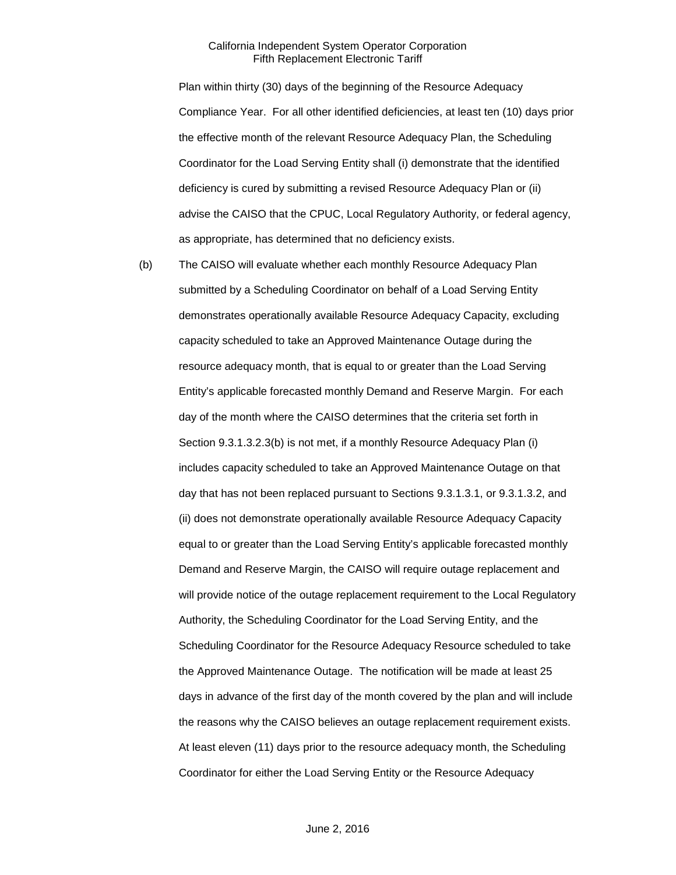Plan within thirty (30) days of the beginning of the Resource Adequacy Compliance Year. For all other identified deficiencies, at least ten (10) days prior the effective month of the relevant Resource Adequacy Plan, the Scheduling Coordinator for the Load Serving Entity shall (i) demonstrate that the identified deficiency is cured by submitting a revised Resource Adequacy Plan or (ii) advise the CAISO that the CPUC, Local Regulatory Authority, or federal agency, as appropriate, has determined that no deficiency exists.

(b) The CAISO will evaluate whether each monthly Resource Adequacy Plan submitted by a Scheduling Coordinator on behalf of a Load Serving Entity demonstrates operationally available Resource Adequacy Capacity, excluding capacity scheduled to take an Approved Maintenance Outage during the resource adequacy month, that is equal to or greater than the Load Serving Entity's applicable forecasted monthly Demand and Reserve Margin. For each day of the month where the CAISO determines that the criteria set forth in Section 9.3.1.3.2.3(b) is not met, if a monthly Resource Adequacy Plan (i) includes capacity scheduled to take an Approved Maintenance Outage on that day that has not been replaced pursuant to Sections 9.3.1.3.1, or 9.3.1.3.2, and (ii) does not demonstrate operationally available Resource Adequacy Capacity equal to or greater than the Load Serving Entity's applicable forecasted monthly Demand and Reserve Margin, the CAISO will require outage replacement and will provide notice of the outage replacement requirement to the Local Regulatory Authority, the Scheduling Coordinator for the Load Serving Entity, and the Scheduling Coordinator for the Resource Adequacy Resource scheduled to take the Approved Maintenance Outage. The notification will be made at least 25 days in advance of the first day of the month covered by the plan and will include the reasons why the CAISO believes an outage replacement requirement exists. At least eleven (11) days prior to the resource adequacy month, the Scheduling Coordinator for either the Load Serving Entity or the Resource Adequacy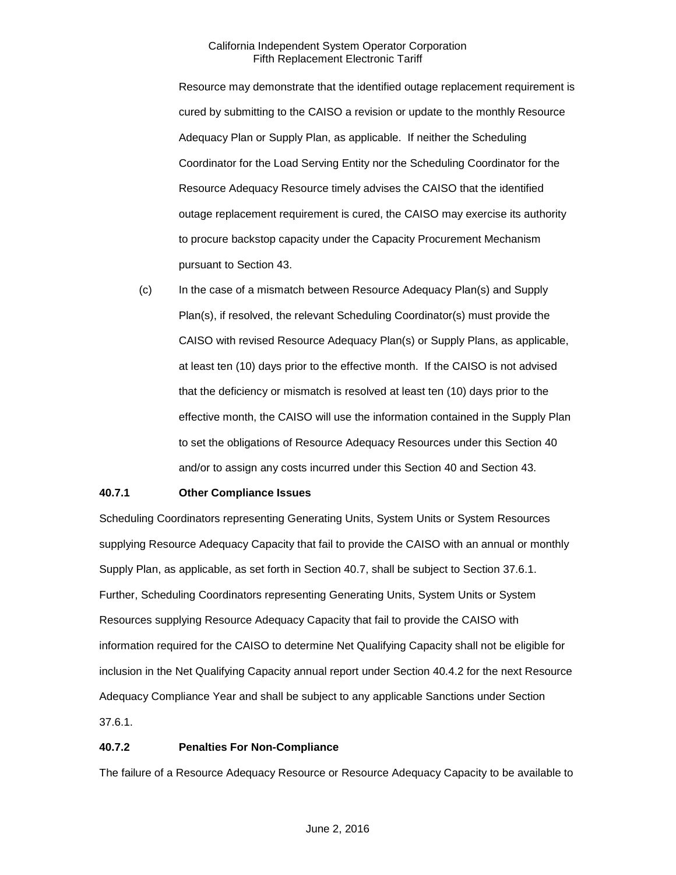Resource may demonstrate that the identified outage replacement requirement is cured by submitting to the CAISO a revision or update to the monthly Resource Adequacy Plan or Supply Plan, as applicable. If neither the Scheduling Coordinator for the Load Serving Entity nor the Scheduling Coordinator for the Resource Adequacy Resource timely advises the CAISO that the identified outage replacement requirement is cured, the CAISO may exercise its authority to procure backstop capacity under the Capacity Procurement Mechanism pursuant to Section 43.

(c) In the case of a mismatch between Resource Adequacy Plan(s) and Supply Plan(s), if resolved, the relevant Scheduling Coordinator(s) must provide the CAISO with revised Resource Adequacy Plan(s) or Supply Plans, as applicable, at least ten (10) days prior to the effective month. If the CAISO is not advised that the deficiency or mismatch is resolved at least ten (10) days prior to the effective month, the CAISO will use the information contained in the Supply Plan to set the obligations of Resource Adequacy Resources under this Section 40 and/or to assign any costs incurred under this Section 40 and Section 43.

# **40.7.1 Other Compliance Issues**

Scheduling Coordinators representing Generating Units, System Units or System Resources supplying Resource Adequacy Capacity that fail to provide the CAISO with an annual or monthly Supply Plan, as applicable, as set forth in Section 40.7, shall be subject to Section 37.6.1. Further, Scheduling Coordinators representing Generating Units, System Units or System Resources supplying Resource Adequacy Capacity that fail to provide the CAISO with information required for the CAISO to determine Net Qualifying Capacity shall not be eligible for inclusion in the Net Qualifying Capacity annual report under Section 40.4.2 for the next Resource Adequacy Compliance Year and shall be subject to any applicable Sanctions under Section 37.6.1.

# **40.7.2 Penalties For Non-Compliance**

The failure of a Resource Adequacy Resource or Resource Adequacy Capacity to be available to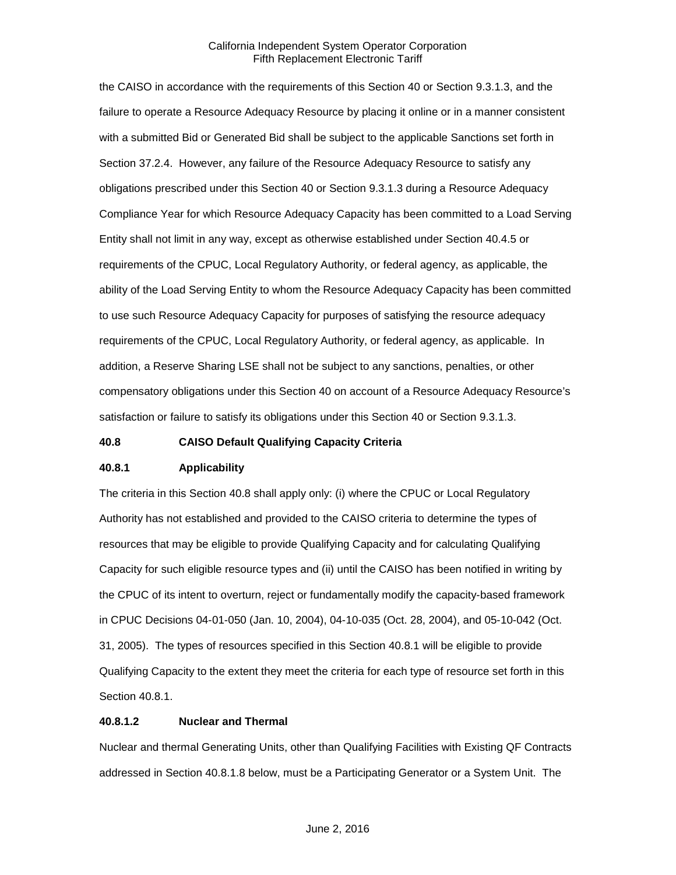the CAISO in accordance with the requirements of this Section 40 or Section 9.3.1.3, and the failure to operate a Resource Adequacy Resource by placing it online or in a manner consistent with a submitted Bid or Generated Bid shall be subject to the applicable Sanctions set forth in Section 37.2.4. However, any failure of the Resource Adequacy Resource to satisfy any obligations prescribed under this Section 40 or Section 9.3.1.3 during a Resource Adequacy Compliance Year for which Resource Adequacy Capacity has been committed to a Load Serving Entity shall not limit in any way, except as otherwise established under Section 40.4.5 or requirements of the CPUC, Local Regulatory Authority, or federal agency, as applicable, the ability of the Load Serving Entity to whom the Resource Adequacy Capacity has been committed to use such Resource Adequacy Capacity for purposes of satisfying the resource adequacy requirements of the CPUC, Local Regulatory Authority, or federal agency, as applicable. In addition, a Reserve Sharing LSE shall not be subject to any sanctions, penalties, or other compensatory obligations under this Section 40 on account of a Resource Adequacy Resource's satisfaction or failure to satisfy its obligations under this Section 40 or Section 9.3.1.3.

#### **40.8 CAISO Default Qualifying Capacity Criteria**

# **40.8.1 Applicability**

The criteria in this Section 40.8 shall apply only: (i) where the CPUC or Local Regulatory Authority has not established and provided to the CAISO criteria to determine the types of resources that may be eligible to provide Qualifying Capacity and for calculating Qualifying Capacity for such eligible resource types and (ii) until the CAISO has been notified in writing by the CPUC of its intent to overturn, reject or fundamentally modify the capacity-based framework in CPUC Decisions 04-01-050 (Jan. 10, 2004), 04-10-035 (Oct. 28, 2004), and 05-10-042 (Oct. 31, 2005). The types of resources specified in this Section 40.8.1 will be eligible to provide Qualifying Capacity to the extent they meet the criteria for each type of resource set forth in this Section 40.8.1.

# **40.8.1.2 Nuclear and Thermal**

Nuclear and thermal Generating Units, other than Qualifying Facilities with Existing QF Contracts addressed in Section 40.8.1.8 below, must be a Participating Generator or a System Unit. The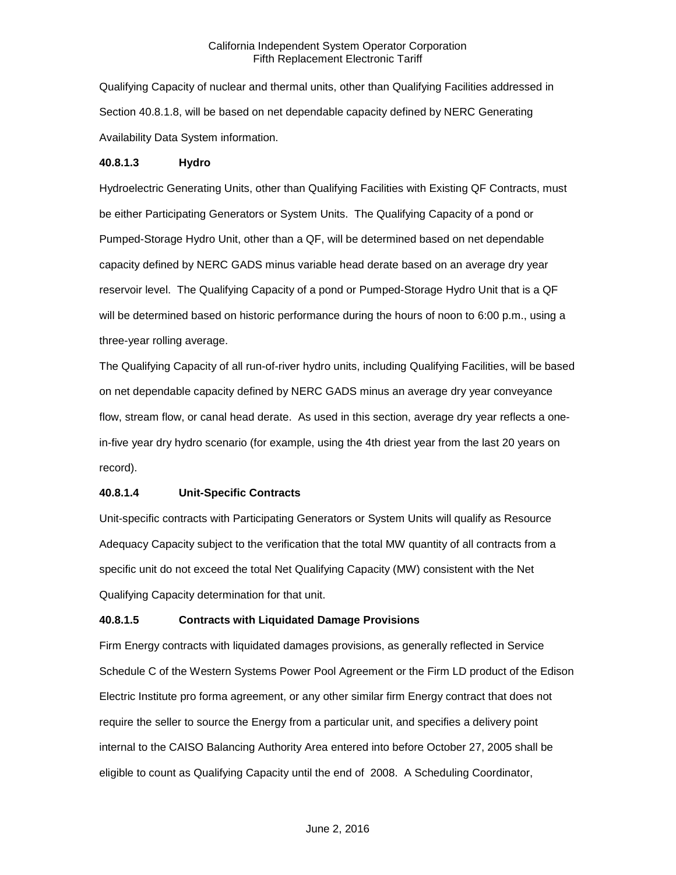Qualifying Capacity of nuclear and thermal units, other than Qualifying Facilities addressed in Section 40.8.1.8, will be based on net dependable capacity defined by NERC Generating Availability Data System information.

#### **40.8.1.3 Hydro**

Hydroelectric Generating Units, other than Qualifying Facilities with Existing QF Contracts, must be either Participating Generators or System Units. The Qualifying Capacity of a pond or Pumped-Storage Hydro Unit, other than a QF, will be determined based on net dependable capacity defined by NERC GADS minus variable head derate based on an average dry year reservoir level. The Qualifying Capacity of a pond or Pumped-Storage Hydro Unit that is a QF will be determined based on historic performance during the hours of noon to 6:00 p.m., using a three-year rolling average.

The Qualifying Capacity of all run-of-river hydro units, including Qualifying Facilities, will be based on net dependable capacity defined by NERC GADS minus an average dry year conveyance flow, stream flow, or canal head derate. As used in this section, average dry year reflects a onein-five year dry hydro scenario (for example, using the 4th driest year from the last 20 years on record).

# **40.8.1.4 Unit-Specific Contracts**

Unit-specific contracts with Participating Generators or System Units will qualify as Resource Adequacy Capacity subject to the verification that the total MW quantity of all contracts from a specific unit do not exceed the total Net Qualifying Capacity (MW) consistent with the Net Qualifying Capacity determination for that unit.

# **40.8.1.5 Contracts with Liquidated Damage Provisions**

Firm Energy contracts with liquidated damages provisions, as generally reflected in Service Schedule C of the Western Systems Power Pool Agreement or the Firm LD product of the Edison Electric Institute pro forma agreement, or any other similar firm Energy contract that does not require the seller to source the Energy from a particular unit, and specifies a delivery point internal to the CAISO Balancing Authority Area entered into before October 27, 2005 shall be eligible to count as Qualifying Capacity until the end of 2008. A Scheduling Coordinator,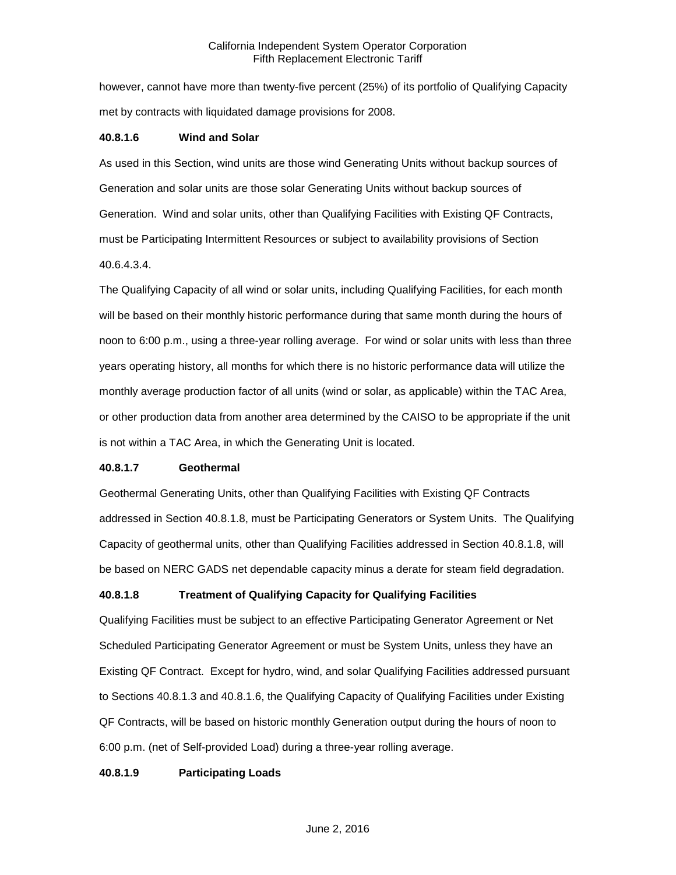however, cannot have more than twenty-five percent (25%) of its portfolio of Qualifying Capacity met by contracts with liquidated damage provisions for 2008.

#### **40.8.1.6 Wind and Solar**

As used in this Section, wind units are those wind Generating Units without backup sources of Generation and solar units are those solar Generating Units without backup sources of Generation. Wind and solar units, other than Qualifying Facilities with Existing QF Contracts, must be Participating Intermittent Resources or subject to availability provisions of Section 40.6.4.3.4.

The Qualifying Capacity of all wind or solar units, including Qualifying Facilities, for each month will be based on their monthly historic performance during that same month during the hours of noon to 6:00 p.m., using a three-year rolling average. For wind or solar units with less than three years operating history, all months for which there is no historic performance data will utilize the monthly average production factor of all units (wind or solar, as applicable) within the TAC Area, or other production data from another area determined by the CAISO to be appropriate if the unit is not within a TAC Area, in which the Generating Unit is located.

#### **40.8.1.7 Geothermal**

Geothermal Generating Units, other than Qualifying Facilities with Existing QF Contracts addressed in Section 40.8.1.8, must be Participating Generators or System Units. The Qualifying Capacity of geothermal units, other than Qualifying Facilities addressed in Section 40.8.1.8, will be based on NERC GADS net dependable capacity minus a derate for steam field degradation.

# **40.8.1.8 Treatment of Qualifying Capacity for Qualifying Facilities**

Qualifying Facilities must be subject to an effective Participating Generator Agreement or Net Scheduled Participating Generator Agreement or must be System Units, unless they have an Existing QF Contract. Except for hydro, wind, and solar Qualifying Facilities addressed pursuant to Sections 40.8.1.3 and 40.8.1.6, the Qualifying Capacity of Qualifying Facilities under Existing QF Contracts, will be based on historic monthly Generation output during the hours of noon to 6:00 p.m. (net of Self-provided Load) during a three-year rolling average.

#### **40.8.1.9 Participating Loads**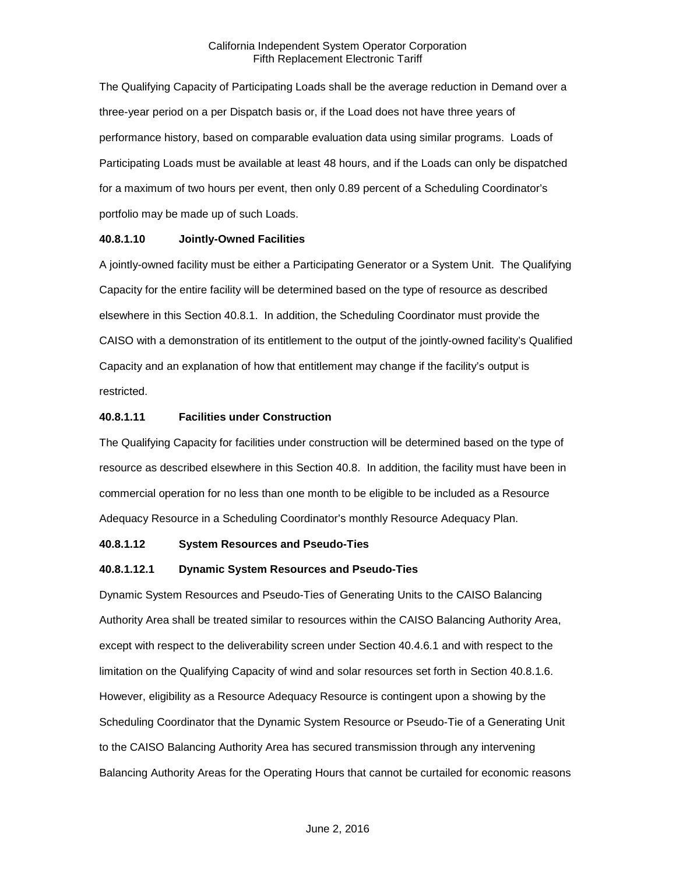The Qualifying Capacity of Participating Loads shall be the average reduction in Demand over a three-year period on a per Dispatch basis or, if the Load does not have three years of performance history, based on comparable evaluation data using similar programs. Loads of Participating Loads must be available at least 48 hours, and if the Loads can only be dispatched for a maximum of two hours per event, then only 0.89 percent of a Scheduling Coordinator's portfolio may be made up of such Loads.

# **40.8.1.10 Jointly-Owned Facilities**

A jointly-owned facility must be either a Participating Generator or a System Unit. The Qualifying Capacity for the entire facility will be determined based on the type of resource as described elsewhere in this Section 40.8.1. In addition, the Scheduling Coordinator must provide the CAISO with a demonstration of its entitlement to the output of the jointly-owned facility's Qualified Capacity and an explanation of how that entitlement may change if the facility's output is restricted.

## **40.8.1.11 Facilities under Construction**

The Qualifying Capacity for facilities under construction will be determined based on the type of resource as described elsewhere in this Section 40.8. In addition, the facility must have been in commercial operation for no less than one month to be eligible to be included as a Resource Adequacy Resource in a Scheduling Coordinator's monthly Resource Adequacy Plan.

#### **40.8.1.12 System Resources and Pseudo-Ties**

# **40.8.1.12.1 Dynamic System Resources and Pseudo-Ties**

Dynamic System Resources and Pseudo-Ties of Generating Units to the CAISO Balancing Authority Area shall be treated similar to resources within the CAISO Balancing Authority Area, except with respect to the deliverability screen under Section 40.4.6.1 and with respect to the limitation on the Qualifying Capacity of wind and solar resources set forth in Section 40.8.1.6. However, eligibility as a Resource Adequacy Resource is contingent upon a showing by the Scheduling Coordinator that the Dynamic System Resource or Pseudo-Tie of a Generating Unit to the CAISO Balancing Authority Area has secured transmission through any intervening Balancing Authority Areas for the Operating Hours that cannot be curtailed for economic reasons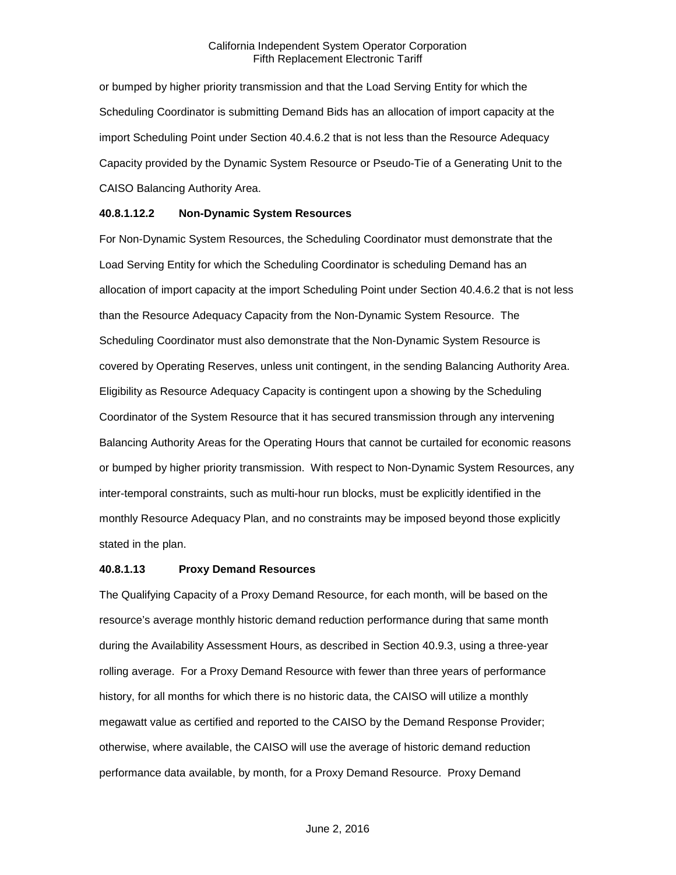or bumped by higher priority transmission and that the Load Serving Entity for which the Scheduling Coordinator is submitting Demand Bids has an allocation of import capacity at the import Scheduling Point under Section 40.4.6.2 that is not less than the Resource Adequacy Capacity provided by the Dynamic System Resource or Pseudo-Tie of a Generating Unit to the CAISO Balancing Authority Area.

# **40.8.1.12.2 Non-Dynamic System Resources**

For Non-Dynamic System Resources, the Scheduling Coordinator must demonstrate that the Load Serving Entity for which the Scheduling Coordinator is scheduling Demand has an allocation of import capacity at the import Scheduling Point under Section 40.4.6.2 that is not less than the Resource Adequacy Capacity from the Non-Dynamic System Resource. The Scheduling Coordinator must also demonstrate that the Non-Dynamic System Resource is covered by Operating Reserves, unless unit contingent, in the sending Balancing Authority Area. Eligibility as Resource Adequacy Capacity is contingent upon a showing by the Scheduling Coordinator of the System Resource that it has secured transmission through any intervening Balancing Authority Areas for the Operating Hours that cannot be curtailed for economic reasons or bumped by higher priority transmission. With respect to Non-Dynamic System Resources, any inter-temporal constraints, such as multi-hour run blocks, must be explicitly identified in the monthly Resource Adequacy Plan, and no constraints may be imposed beyond those explicitly stated in the plan.

#### **40.8.1.13 Proxy Demand Resources**

The Qualifying Capacity of a Proxy Demand Resource, for each month, will be based on the resource's average monthly historic demand reduction performance during that same month during the Availability Assessment Hours, as described in Section 40.9.3, using a three-year rolling average. For a Proxy Demand Resource with fewer than three years of performance history, for all months for which there is no historic data, the CAISO will utilize a monthly megawatt value as certified and reported to the CAISO by the Demand Response Provider; otherwise, where available, the CAISO will use the average of historic demand reduction performance data available, by month, for a Proxy Demand Resource. Proxy Demand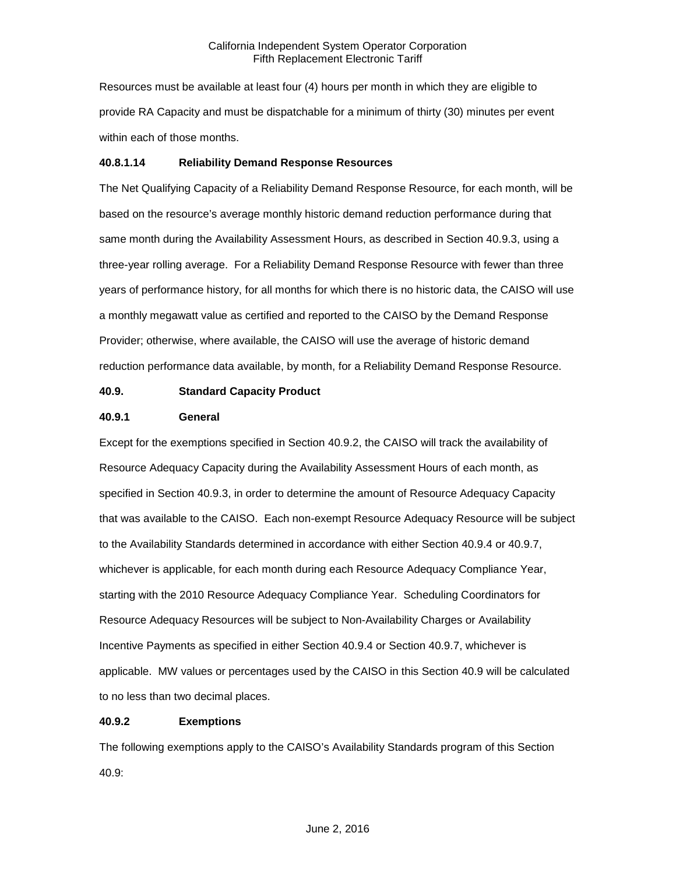Resources must be available at least four (4) hours per month in which they are eligible to provide RA Capacity and must be dispatchable for a minimum of thirty (30) minutes per event within each of those months.

### **40.8.1.14 Reliability Demand Response Resources**

The Net Qualifying Capacity of a Reliability Demand Response Resource, for each month, will be based on the resource's average monthly historic demand reduction performance during that same month during the Availability Assessment Hours, as described in Section 40.9.3, using a three-year rolling average. For a Reliability Demand Response Resource with fewer than three years of performance history, for all months for which there is no historic data, the CAISO will use a monthly megawatt value as certified and reported to the CAISO by the Demand Response Provider; otherwise, where available, the CAISO will use the average of historic demand reduction performance data available, by month, for a Reliability Demand Response Resource.

# **40.9. Standard Capacity Product**

#### **40.9.1 General**

Except for the exemptions specified in Section 40.9.2, the CAISO will track the availability of Resource Adequacy Capacity during the Availability Assessment Hours of each month, as specified in Section 40.9.3, in order to determine the amount of Resource Adequacy Capacity that was available to the CAISO. Each non-exempt Resource Adequacy Resource will be subject to the Availability Standards determined in accordance with either Section 40.9.4 or 40.9.7, whichever is applicable, for each month during each Resource Adequacy Compliance Year, starting with the 2010 Resource Adequacy Compliance Year. Scheduling Coordinators for Resource Adequacy Resources will be subject to Non-Availability Charges or Availability Incentive Payments as specified in either Section 40.9.4 or Section 40.9.7, whichever is applicable. MW values or percentages used by the CAISO in this Section 40.9 will be calculated to no less than two decimal places.

# **40.9.2 Exemptions**

The following exemptions apply to the CAISO's Availability Standards program of this Section 40.9: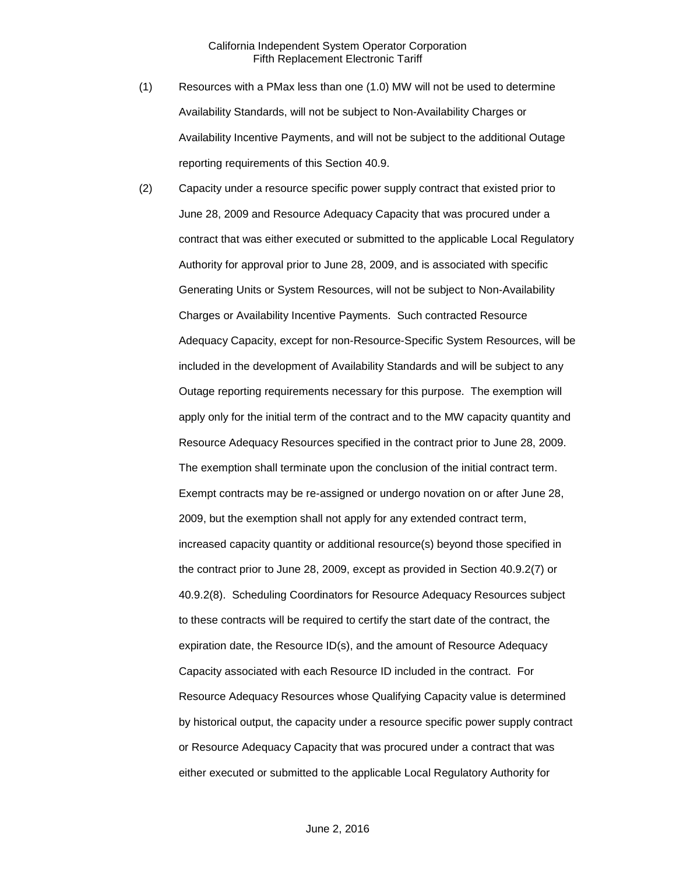- (1) Resources with a PMax less than one (1.0) MW will not be used to determine Availability Standards, will not be subject to Non-Availability Charges or Availability Incentive Payments, and will not be subject to the additional Outage reporting requirements of this Section 40.9.
- (2) Capacity under a resource specific power supply contract that existed prior to June 28, 2009 and Resource Adequacy Capacity that was procured under a contract that was either executed or submitted to the applicable Local Regulatory Authority for approval prior to June 28, 2009, and is associated with specific Generating Units or System Resources, will not be subject to Non-Availability Charges or Availability Incentive Payments. Such contracted Resource Adequacy Capacity, except for non-Resource-Specific System Resources, will be included in the development of Availability Standards and will be subject to any Outage reporting requirements necessary for this purpose. The exemption will apply only for the initial term of the contract and to the MW capacity quantity and Resource Adequacy Resources specified in the contract prior to June 28, 2009. The exemption shall terminate upon the conclusion of the initial contract term. Exempt contracts may be re-assigned or undergo novation on or after June 28, 2009, but the exemption shall not apply for any extended contract term, increased capacity quantity or additional resource(s) beyond those specified in the contract prior to June 28, 2009, except as provided in Section 40.9.2(7) or 40.9.2(8). Scheduling Coordinators for Resource Adequacy Resources subject to these contracts will be required to certify the start date of the contract, the expiration date, the Resource ID(s), and the amount of Resource Adequacy Capacity associated with each Resource ID included in the contract. For Resource Adequacy Resources whose Qualifying Capacity value is determined by historical output, the capacity under a resource specific power supply contract or Resource Adequacy Capacity that was procured under a contract that was either executed or submitted to the applicable Local Regulatory Authority for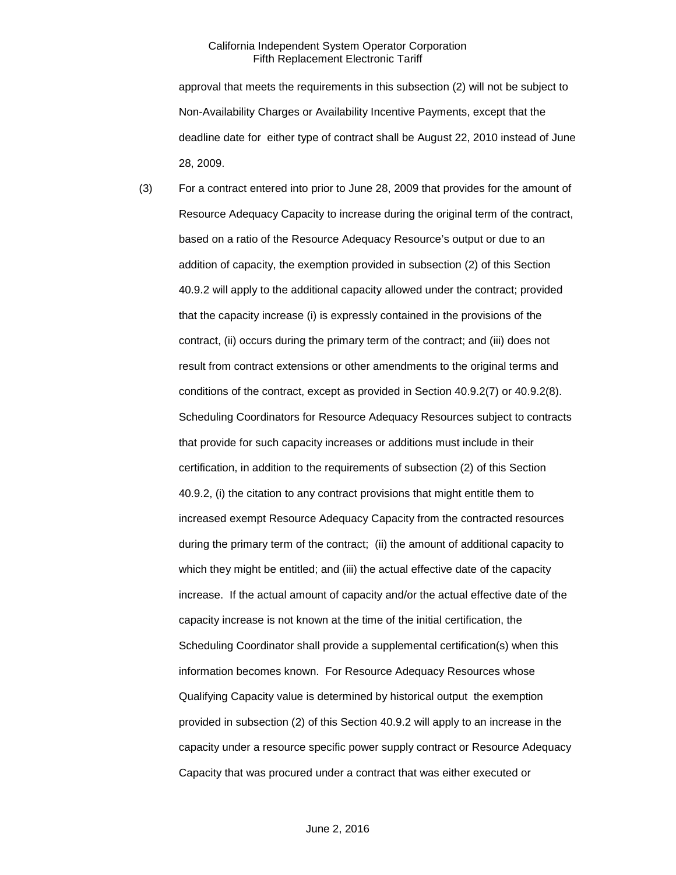approval that meets the requirements in this subsection (2) will not be subject to Non-Availability Charges or Availability Incentive Payments, except that the deadline date for either type of contract shall be August 22, 2010 instead of June 28, 2009.

(3) For a contract entered into prior to June 28, 2009 that provides for the amount of Resource Adequacy Capacity to increase during the original term of the contract, based on a ratio of the Resource Adequacy Resource's output or due to an addition of capacity, the exemption provided in subsection (2) of this Section 40.9.2 will apply to the additional capacity allowed under the contract; provided that the capacity increase (i) is expressly contained in the provisions of the contract, (ii) occurs during the primary term of the contract; and (iii) does not result from contract extensions or other amendments to the original terms and conditions of the contract, except as provided in Section 40.9.2(7) or 40.9.2(8). Scheduling Coordinators for Resource Adequacy Resources subject to contracts that provide for such capacity increases or additions must include in their certification, in addition to the requirements of subsection (2) of this Section 40.9.2, (i) the citation to any contract provisions that might entitle them to increased exempt Resource Adequacy Capacity from the contracted resources during the primary term of the contract; (ii) the amount of additional capacity to which they might be entitled; and (iii) the actual effective date of the capacity increase. If the actual amount of capacity and/or the actual effective date of the capacity increase is not known at the time of the initial certification, the Scheduling Coordinator shall provide a supplemental certification(s) when this information becomes known. For Resource Adequacy Resources whose Qualifying Capacity value is determined by historical output the exemption provided in subsection (2) of this Section 40.9.2 will apply to an increase in the capacity under a resource specific power supply contract or Resource Adequacy Capacity that was procured under a contract that was either executed or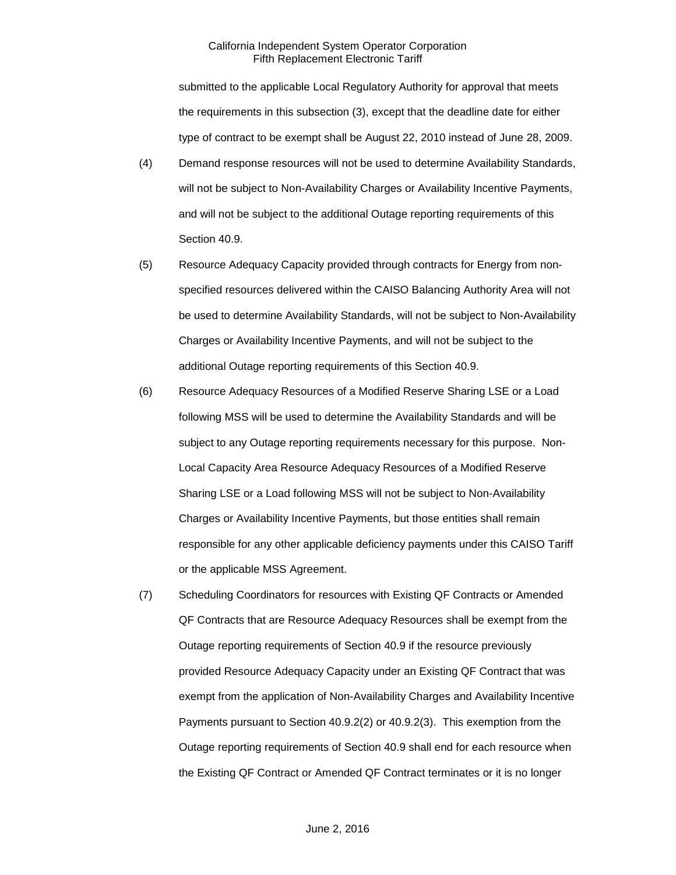submitted to the applicable Local Regulatory Authority for approval that meets the requirements in this subsection (3), except that the deadline date for either type of contract to be exempt shall be August 22, 2010 instead of June 28, 2009.

- (4) Demand response resources will not be used to determine Availability Standards, will not be subject to Non-Availability Charges or Availability Incentive Payments, and will not be subject to the additional Outage reporting requirements of this Section 40.9.
- (5) Resource Adequacy Capacity provided through contracts for Energy from nonspecified resources delivered within the CAISO Balancing Authority Area will not be used to determine Availability Standards, will not be subject to Non-Availability Charges or Availability Incentive Payments, and will not be subject to the additional Outage reporting requirements of this Section 40.9.
- (6) Resource Adequacy Resources of a Modified Reserve Sharing LSE or a Load following MSS will be used to determine the Availability Standards and will be subject to any Outage reporting requirements necessary for this purpose. Non-Local Capacity Area Resource Adequacy Resources of a Modified Reserve Sharing LSE or a Load following MSS will not be subject to Non-Availability Charges or Availability Incentive Payments, but those entities shall remain responsible for any other applicable deficiency payments under this CAISO Tariff or the applicable MSS Agreement.
- (7) Scheduling Coordinators for resources with Existing QF Contracts or Amended QF Contracts that are Resource Adequacy Resources shall be exempt from the Outage reporting requirements of Section 40.9 if the resource previously provided Resource Adequacy Capacity under an Existing QF Contract that was exempt from the application of Non-Availability Charges and Availability Incentive Payments pursuant to Section 40.9.2(2) or 40.9.2(3). This exemption from the Outage reporting requirements of Section 40.9 shall end for each resource when the Existing QF Contract or Amended QF Contract terminates or it is no longer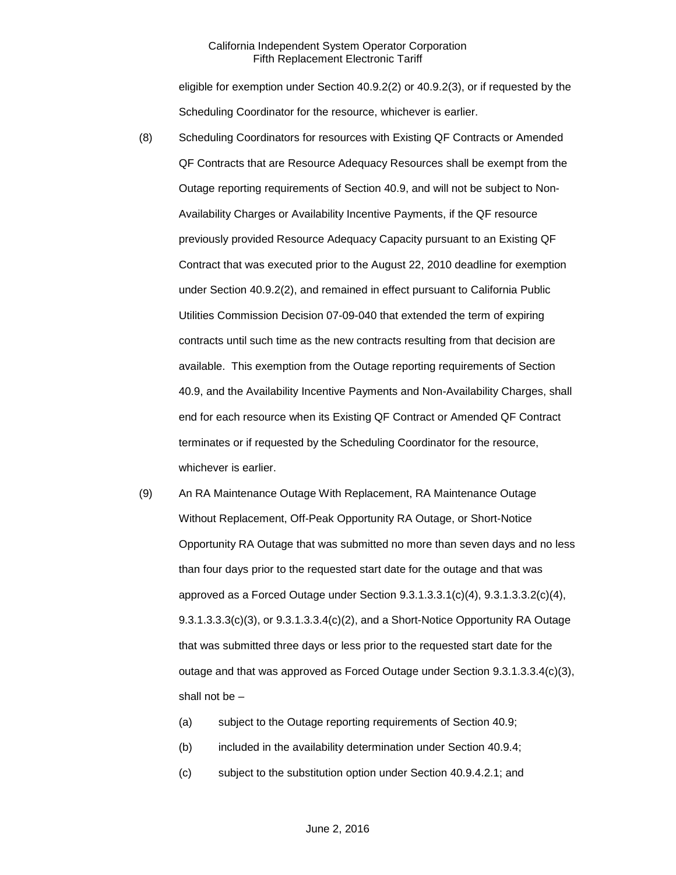eligible for exemption under Section 40.9.2(2) or 40.9.2(3), or if requested by the Scheduling Coordinator for the resource, whichever is earlier.

- (8) Scheduling Coordinators for resources with Existing QF Contracts or Amended QF Contracts that are Resource Adequacy Resources shall be exempt from the Outage reporting requirements of Section 40.9, and will not be subject to Non-Availability Charges or Availability Incentive Payments, if the QF resource previously provided Resource Adequacy Capacity pursuant to an Existing QF Contract that was executed prior to the August 22, 2010 deadline for exemption under Section 40.9.2(2), and remained in effect pursuant to California Public Utilities Commission Decision 07-09-040 that extended the term of expiring contracts until such time as the new contracts resulting from that decision are available. This exemption from the Outage reporting requirements of Section 40.9, and the Availability Incentive Payments and Non-Availability Charges, shall end for each resource when its Existing QF Contract or Amended QF Contract terminates or if requested by the Scheduling Coordinator for the resource, whichever is earlier.
- (9) An RA Maintenance Outage With Replacement, RA Maintenance Outage Without Replacement, Off-Peak Opportunity RA Outage, or Short-Notice Opportunity RA Outage that was submitted no more than seven days and no less than four days prior to the requested start date for the outage and that was approved as a Forced Outage under Section  $9.3.1.3.3.1(c)(4)$ ,  $9.3.1.3.3.2(c)(4)$ ,  $9.3.1.3.3.3(c)(3)$ , or  $9.3.1.3.3.4(c)(2)$ , and a Short-Notice Opportunity RA Outage that was submitted three days or less prior to the requested start date for the outage and that was approved as Forced Outage under Section 9.3.1.3.3.4(c)(3), shall not be –
	- (a) subject to the Outage reporting requirements of Section 40.9;
	- (b) included in the availability determination under Section 40.9.4;
	- (c) subject to the substitution option under Section 40.9.4.2.1; and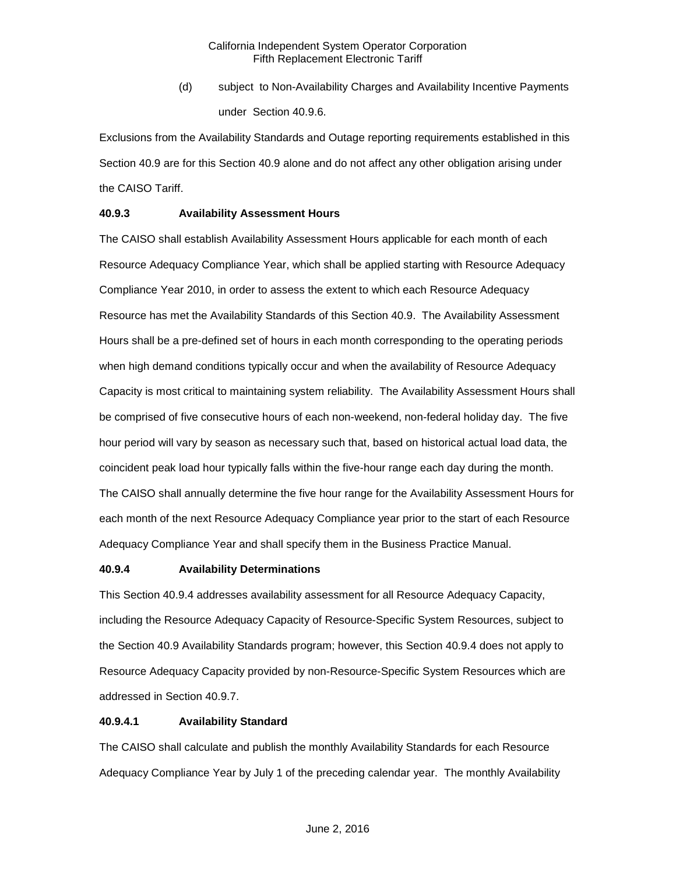(d) subject to Non-Availability Charges and Availability Incentive Payments under Section 40.9.6.

Exclusions from the Availability Standards and Outage reporting requirements established in this Section 40.9 are for this Section 40.9 alone and do not affect any other obligation arising under the CAISO Tariff.

## **40.9.3 Availability Assessment Hours**

The CAISO shall establish Availability Assessment Hours applicable for each month of each Resource Adequacy Compliance Year, which shall be applied starting with Resource Adequacy Compliance Year 2010, in order to assess the extent to which each Resource Adequacy Resource has met the Availability Standards of this Section 40.9. The Availability Assessment Hours shall be a pre-defined set of hours in each month corresponding to the operating periods when high demand conditions typically occur and when the availability of Resource Adequacy Capacity is most critical to maintaining system reliability. The Availability Assessment Hours shall be comprised of five consecutive hours of each non-weekend, non-federal holiday day. The five hour period will vary by season as necessary such that, based on historical actual load data, the coincident peak load hour typically falls within the five-hour range each day during the month. The CAISO shall annually determine the five hour range for the Availability Assessment Hours for each month of the next Resource Adequacy Compliance year prior to the start of each Resource Adequacy Compliance Year and shall specify them in the Business Practice Manual.

## **40.9.4 Availability Determinations**

This Section 40.9.4 addresses availability assessment for all Resource Adequacy Capacity, including the Resource Adequacy Capacity of Resource-Specific System Resources, subject to the Section 40.9 Availability Standards program; however, this Section 40.9.4 does not apply to Resource Adequacy Capacity provided by non-Resource-Specific System Resources which are addressed in Section 40.9.7.

## **40.9.4.1 Availability Standard**

The CAISO shall calculate and publish the monthly Availability Standards for each Resource Adequacy Compliance Year by July 1 of the preceding calendar year. The monthly Availability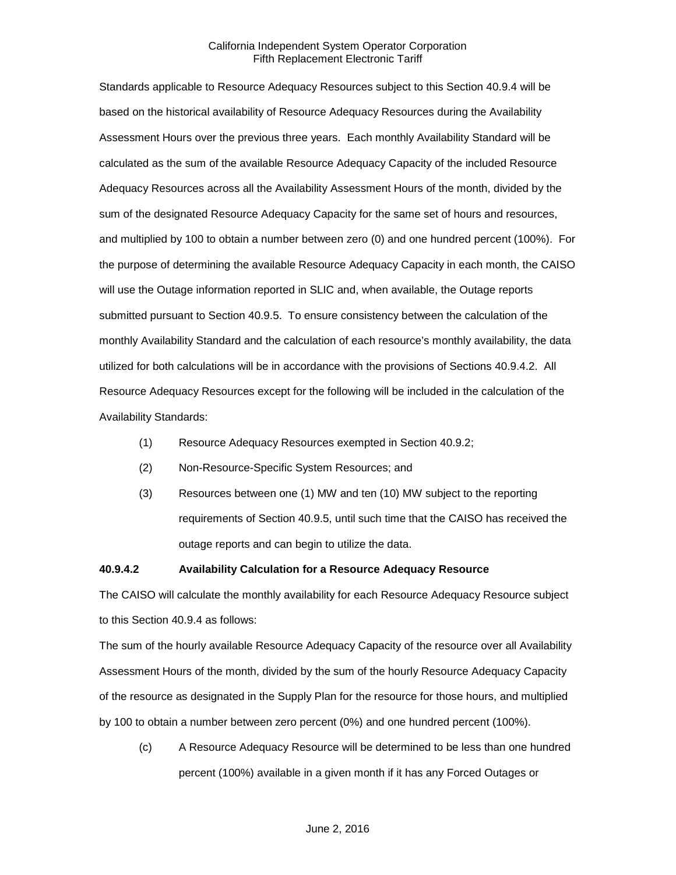Standards applicable to Resource Adequacy Resources subject to this Section 40.9.4 will be based on the historical availability of Resource Adequacy Resources during the Availability Assessment Hours over the previous three years. Each monthly Availability Standard will be calculated as the sum of the available Resource Adequacy Capacity of the included Resource Adequacy Resources across all the Availability Assessment Hours of the month, divided by the sum of the designated Resource Adequacy Capacity for the same set of hours and resources, and multiplied by 100 to obtain a number between zero (0) and one hundred percent (100%). For the purpose of determining the available Resource Adequacy Capacity in each month, the CAISO will use the Outage information reported in SLIC and, when available, the Outage reports submitted pursuant to Section 40.9.5. To ensure consistency between the calculation of the monthly Availability Standard and the calculation of each resource's monthly availability, the data utilized for both calculations will be in accordance with the provisions of Sections 40.9.4.2. All Resource Adequacy Resources except for the following will be included in the calculation of the Availability Standards:

- (1) Resource Adequacy Resources exempted in Section 40.9.2;
- (2) Non-Resource-Specific System Resources; and
- (3) Resources between one (1) MW and ten (10) MW subject to the reporting requirements of Section 40.9.5, until such time that the CAISO has received the outage reports and can begin to utilize the data.

# **40.9.4.2 Availability Calculation for a Resource Adequacy Resource**

The CAISO will calculate the monthly availability for each Resource Adequacy Resource subject to this Section 40.9.4 as follows:

The sum of the hourly available Resource Adequacy Capacity of the resource over all Availability Assessment Hours of the month, divided by the sum of the hourly Resource Adequacy Capacity of the resource as designated in the Supply Plan for the resource for those hours, and multiplied by 100 to obtain a number between zero percent (0%) and one hundred percent (100%).

(c) A Resource Adequacy Resource will be determined to be less than one hundred percent (100%) available in a given month if it has any Forced Outages or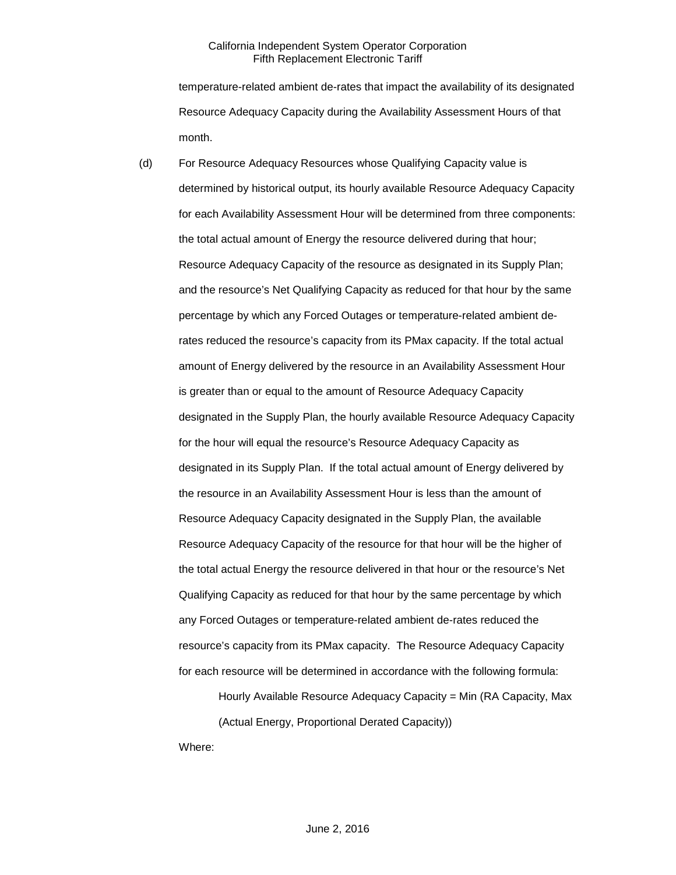temperature-related ambient de-rates that impact the availability of its designated Resource Adequacy Capacity during the Availability Assessment Hours of that month.

(d) For Resource Adequacy Resources whose Qualifying Capacity value is determined by historical output, its hourly available Resource Adequacy Capacity for each Availability Assessment Hour will be determined from three components: the total actual amount of Energy the resource delivered during that hour; Resource Adequacy Capacity of the resource as designated in its Supply Plan; and the resource's Net Qualifying Capacity as reduced for that hour by the same percentage by which any Forced Outages or temperature-related ambient derates reduced the resource's capacity from its PMax capacity. If the total actual amount of Energy delivered by the resource in an Availability Assessment Hour is greater than or equal to the amount of Resource Adequacy Capacity designated in the Supply Plan, the hourly available Resource Adequacy Capacity for the hour will equal the resource's Resource Adequacy Capacity as designated in its Supply Plan. If the total actual amount of Energy delivered by the resource in an Availability Assessment Hour is less than the amount of Resource Adequacy Capacity designated in the Supply Plan, the available Resource Adequacy Capacity of the resource for that hour will be the higher of the total actual Energy the resource delivered in that hour or the resource's Net Qualifying Capacity as reduced for that hour by the same percentage by which any Forced Outages or temperature-related ambient de-rates reduced the resource's capacity from its PMax capacity. The Resource Adequacy Capacity for each resource will be determined in accordance with the following formula:

Hourly Available Resource Adequacy Capacity = Min (RA Capacity, Max (Actual Energy, Proportional Derated Capacity))

Where: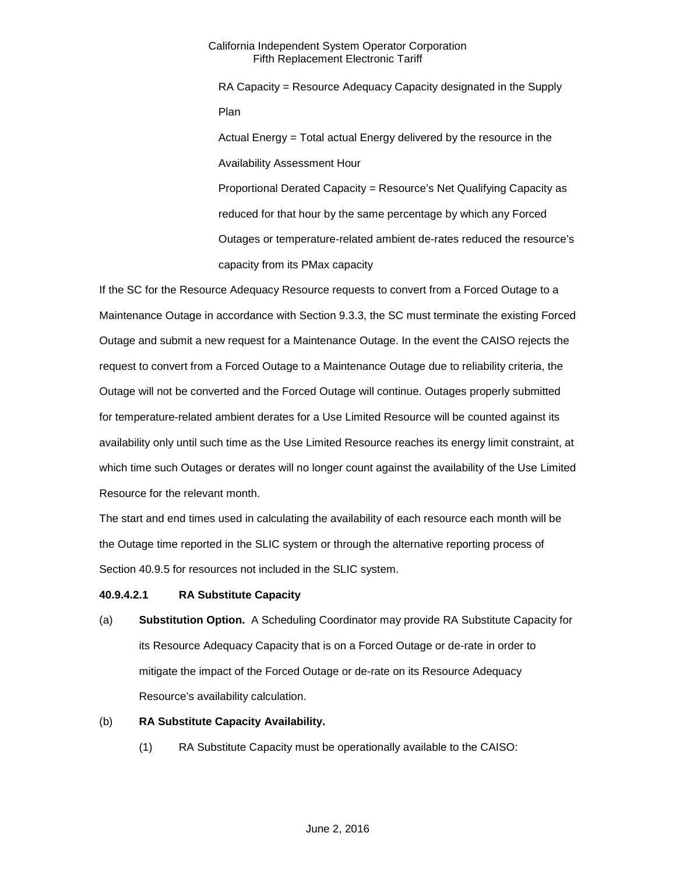RA Capacity = Resource Adequacy Capacity designated in the Supply Plan Actual Energy = Total actual Energy delivered by the resource in the Availability Assessment Hour Proportional Derated Capacity = Resource's Net Qualifying Capacity as reduced for that hour by the same percentage by which any Forced Outages or temperature-related ambient de-rates reduced the resource's capacity from its PMax capacity

If the SC for the Resource Adequacy Resource requests to convert from a Forced Outage to a Maintenance Outage in accordance with Section 9.3.3, the SC must terminate the existing Forced Outage and submit a new request for a Maintenance Outage. In the event the CAISO rejects the request to convert from a Forced Outage to a Maintenance Outage due to reliability criteria, the Outage will not be converted and the Forced Outage will continue. Outages properly submitted for temperature-related ambient derates for a Use Limited Resource will be counted against its availability only until such time as the Use Limited Resource reaches its energy limit constraint, at which time such Outages or derates will no longer count against the availability of the Use Limited Resource for the relevant month.

The start and end times used in calculating the availability of each resource each month will be the Outage time reported in the SLIC system or through the alternative reporting process of Section 40.9.5 for resources not included in the SLIC system.

## **40.9.4.2.1 RA Substitute Capacity**

(a) **Substitution Option.** A Scheduling Coordinator may provide RA Substitute Capacity for its Resource Adequacy Capacity that is on a Forced Outage or de-rate in order to mitigate the impact of the Forced Outage or de-rate on its Resource Adequacy Resource's availability calculation.

## (b) **RA Substitute Capacity Availability.**

(1) RA Substitute Capacity must be operationally available to the CAISO: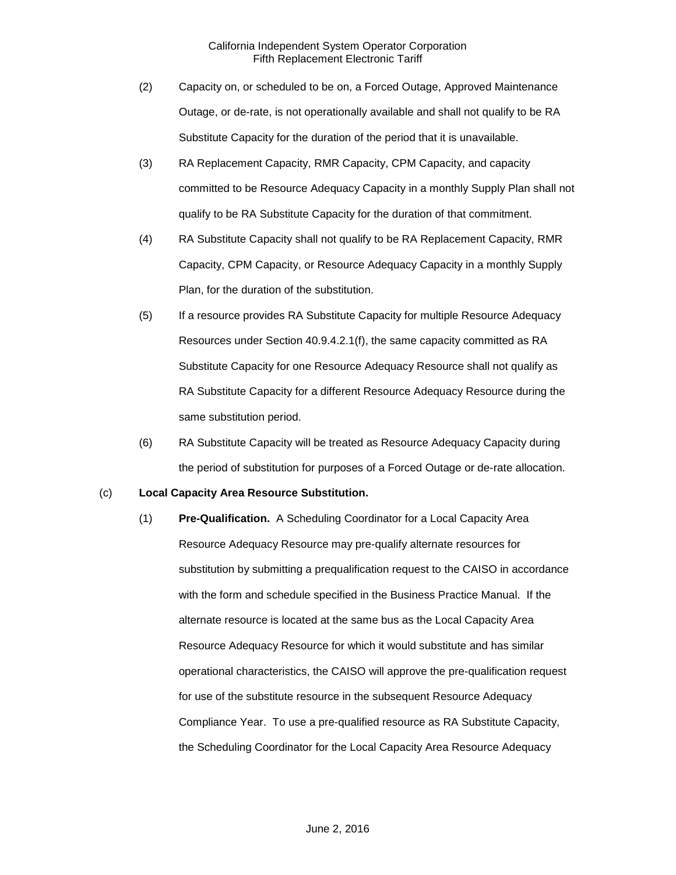- (2) Capacity on, or scheduled to be on, a Forced Outage, Approved Maintenance Outage, or de-rate, is not operationally available and shall not qualify to be RA Substitute Capacity for the duration of the period that it is unavailable.
- (3) RA Replacement Capacity, RMR Capacity, CPM Capacity, and capacity committed to be Resource Adequacy Capacity in a monthly Supply Plan shall not qualify to be RA Substitute Capacity for the duration of that commitment.
- (4) RA Substitute Capacity shall not qualify to be RA Replacement Capacity, RMR Capacity, CPM Capacity, or Resource Adequacy Capacity in a monthly Supply Plan, for the duration of the substitution.
- (5) If a resource provides RA Substitute Capacity for multiple Resource Adequacy Resources under Section 40.9.4.2.1(f), the same capacity committed as RA Substitute Capacity for one Resource Adequacy Resource shall not qualify as RA Substitute Capacity for a different Resource Adequacy Resource during the same substitution period.
- (6) RA Substitute Capacity will be treated as Resource Adequacy Capacity during the period of substitution for purposes of a Forced Outage or de-rate allocation.

## (c) **Local Capacity Area Resource Substitution.**

(1) **Pre-Qualification.** A Scheduling Coordinator for a Local Capacity Area Resource Adequacy Resource may pre-qualify alternate resources for substitution by submitting a prequalification request to the CAISO in accordance with the form and schedule specified in the Business Practice Manual. If the alternate resource is located at the same bus as the Local Capacity Area Resource Adequacy Resource for which it would substitute and has similar operational characteristics, the CAISO will approve the pre-qualification request for use of the substitute resource in the subsequent Resource Adequacy Compliance Year. To use a pre-qualified resource as RA Substitute Capacity, the Scheduling Coordinator for the Local Capacity Area Resource Adequacy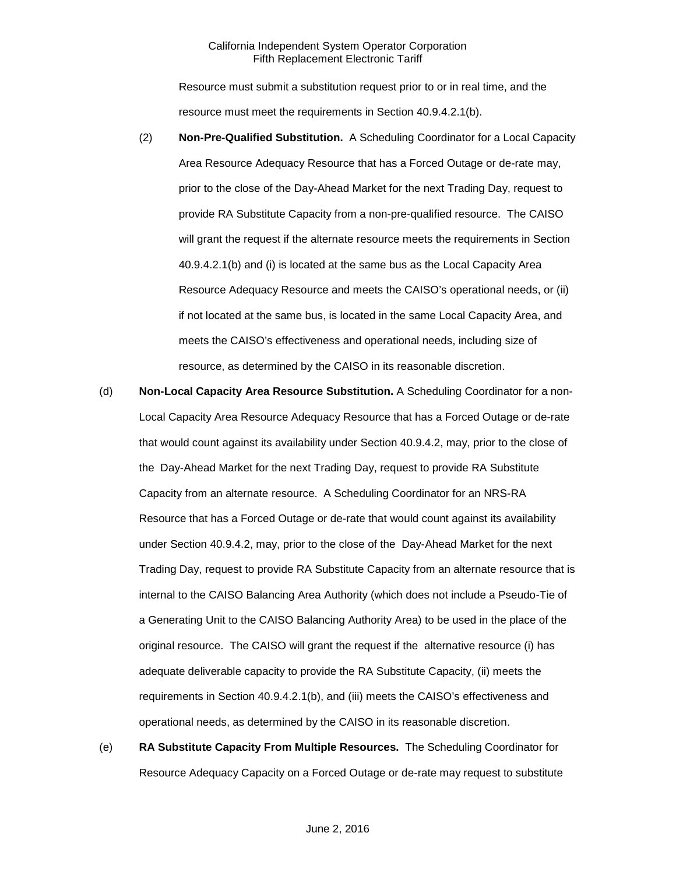Resource must submit a substitution request prior to or in real time, and the resource must meet the requirements in Section 40.9.4.2.1(b).

- (2) **Non-Pre-Qualified Substitution.** A Scheduling Coordinator for a Local Capacity Area Resource Adequacy Resource that has a Forced Outage or de-rate may, prior to the close of the Day-Ahead Market for the next Trading Day, request to provide RA Substitute Capacity from a non-pre-qualified resource. The CAISO will grant the request if the alternate resource meets the requirements in Section 40.9.4.2.1(b) and (i) is located at the same bus as the Local Capacity Area Resource Adequacy Resource and meets the CAISO's operational needs, or (ii) if not located at the same bus, is located in the same Local Capacity Area, and meets the CAISO's effectiveness and operational needs, including size of resource, as determined by the CAISO in its reasonable discretion.
- (d) **Non-Local Capacity Area Resource Substitution.** A Scheduling Coordinator for a non-Local Capacity Area Resource Adequacy Resource that has a Forced Outage or de-rate that would count against its availability under Section 40.9.4.2, may, prior to the close of the Day-Ahead Market for the next Trading Day, request to provide RA Substitute Capacity from an alternate resource. A Scheduling Coordinator for an NRS-RA Resource that has a Forced Outage or de-rate that would count against its availability under Section 40.9.4.2, may, prior to the close of the Day-Ahead Market for the next Trading Day, request to provide RA Substitute Capacity from an alternate resource that is internal to the CAISO Balancing Area Authority (which does not include a Pseudo-Tie of a Generating Unit to the CAISO Balancing Authority Area) to be used in the place of the original resource. The CAISO will grant the request if the alternative resource (i) has adequate deliverable capacity to provide the RA Substitute Capacity, (ii) meets the requirements in Section 40.9.4.2.1(b), and (iii) meets the CAISO's effectiveness and operational needs, as determined by the CAISO in its reasonable discretion.
- (e) **RA Substitute Capacity From Multiple Resources.** The Scheduling Coordinator for Resource Adequacy Capacity on a Forced Outage or de-rate may request to substitute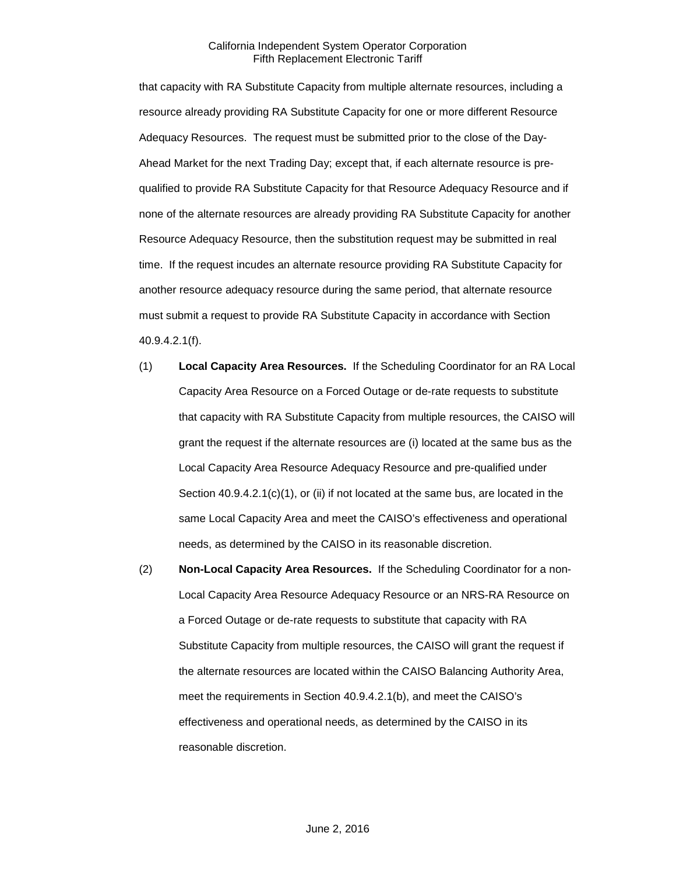that capacity with RA Substitute Capacity from multiple alternate resources, including a resource already providing RA Substitute Capacity for one or more different Resource Adequacy Resources. The request must be submitted prior to the close of the Day-Ahead Market for the next Trading Day; except that, if each alternate resource is prequalified to provide RA Substitute Capacity for that Resource Adequacy Resource and if none of the alternate resources are already providing RA Substitute Capacity for another Resource Adequacy Resource, then the substitution request may be submitted in real time. If the request incudes an alternate resource providing RA Substitute Capacity for another resource adequacy resource during the same period, that alternate resource must submit a request to provide RA Substitute Capacity in accordance with Section 40.9.4.2.1(f).

- (1) **Local Capacity Area Resources.** If the Scheduling Coordinator for an RA Local Capacity Area Resource on a Forced Outage or de-rate requests to substitute that capacity with RA Substitute Capacity from multiple resources, the CAISO will grant the request if the alternate resources are (i) located at the same bus as the Local Capacity Area Resource Adequacy Resource and pre-qualified under Section 40.9.4.2.1(c)(1), or (ii) if not located at the same bus, are located in the same Local Capacity Area and meet the CAISO's effectiveness and operational needs, as determined by the CAISO in its reasonable discretion.
- (2) **Non-Local Capacity Area Resources.** If the Scheduling Coordinator for a non-Local Capacity Area Resource Adequacy Resource or an NRS-RA Resource on a Forced Outage or de-rate requests to substitute that capacity with RA Substitute Capacity from multiple resources, the CAISO will grant the request if the alternate resources are located within the CAISO Balancing Authority Area, meet the requirements in Section 40.9.4.2.1(b), and meet the CAISO's effectiveness and operational needs, as determined by the CAISO in its reasonable discretion.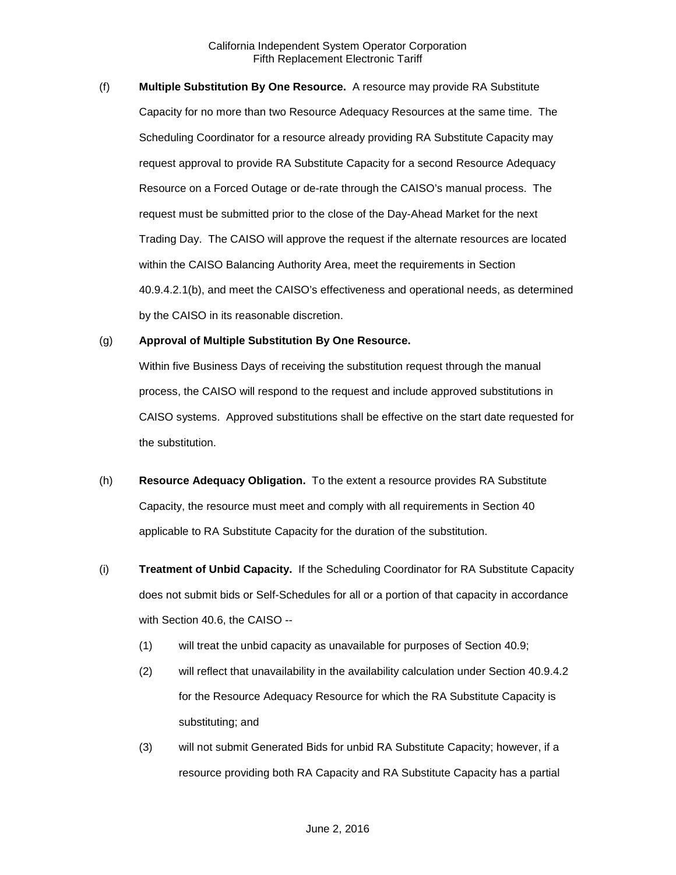(f) **Multiple Substitution By One Resource.** A resource may provide RA Substitute Capacity for no more than two Resource Adequacy Resources at the same time. The Scheduling Coordinator for a resource already providing RA Substitute Capacity may request approval to provide RA Substitute Capacity for a second Resource Adequacy Resource on a Forced Outage or de-rate through the CAISO's manual process. The request must be submitted prior to the close of the Day-Ahead Market for the next Trading Day. The CAISO will approve the request if the alternate resources are located within the CAISO Balancing Authority Area, meet the requirements in Section 40.9.4.2.1(b), and meet the CAISO's effectiveness and operational needs, as determined by the CAISO in its reasonable discretion.

## (g) **Approval of Multiple Substitution By One Resource.**

Within five Business Days of receiving the substitution request through the manual process, the CAISO will respond to the request and include approved substitutions in CAISO systems. Approved substitutions shall be effective on the start date requested for the substitution.

- (h) **Resource Adequacy Obligation.** To the extent a resource provides RA Substitute Capacity, the resource must meet and comply with all requirements in Section 40 applicable to RA Substitute Capacity for the duration of the substitution.
- (i) **Treatment of Unbid Capacity.** If the Scheduling Coordinator for RA Substitute Capacity does not submit bids or Self-Schedules for all or a portion of that capacity in accordance with Section 40.6, the CAISO --
	- (1) will treat the unbid capacity as unavailable for purposes of Section 40.9;
	- (2) will reflect that unavailability in the availability calculation under Section 40.9.4.2 for the Resource Adequacy Resource for which the RA Substitute Capacity is substituting; and
	- (3) will not submit Generated Bids for unbid RA Substitute Capacity; however, if a resource providing both RA Capacity and RA Substitute Capacity has a partial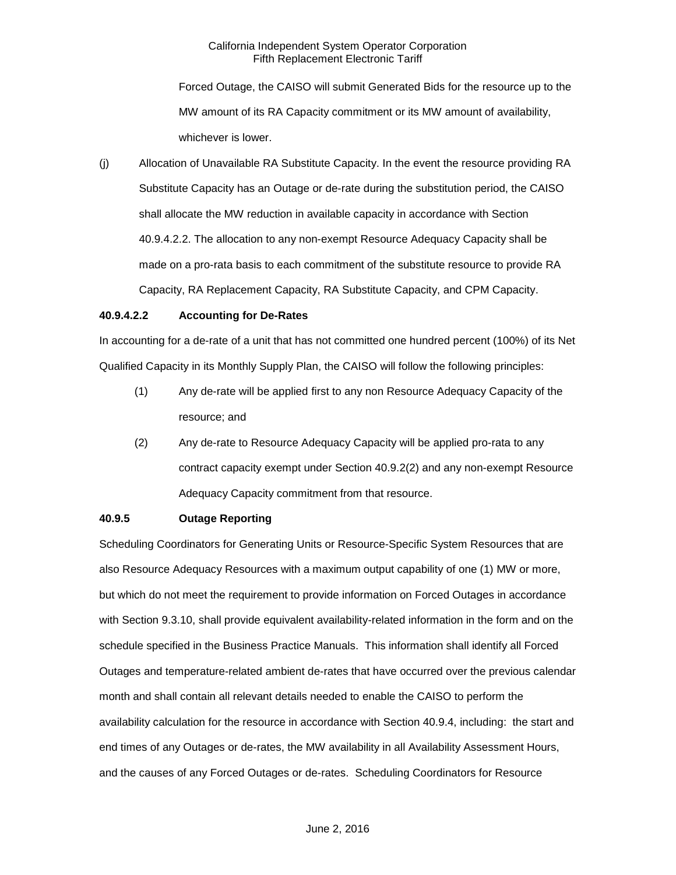Forced Outage, the CAISO will submit Generated Bids for the resource up to the MW amount of its RA Capacity commitment or its MW amount of availability, whichever is lower.

(j) Allocation of Unavailable RA Substitute Capacity. In the event the resource providing RA Substitute Capacity has an Outage or de-rate during the substitution period, the CAISO shall allocate the MW reduction in available capacity in accordance with Section 40.9.4.2.2. The allocation to any non-exempt Resource Adequacy Capacity shall be made on a pro-rata basis to each commitment of the substitute resource to provide RA Capacity, RA Replacement Capacity, RA Substitute Capacity, and CPM Capacity.

## **40.9.4.2.2 Accounting for De-Rates**

In accounting for a de-rate of a unit that has not committed one hundred percent (100%) of its Net Qualified Capacity in its Monthly Supply Plan, the CAISO will follow the following principles:

- (1) Any de-rate will be applied first to any non Resource Adequacy Capacity of the resource; and
- (2) Any de-rate to Resource Adequacy Capacity will be applied pro-rata to any contract capacity exempt under Section 40.9.2(2) and any non-exempt Resource Adequacy Capacity commitment from that resource.

## **40.9.5 Outage Reporting**

Scheduling Coordinators for Generating Units or Resource-Specific System Resources that are also Resource Adequacy Resources with a maximum output capability of one (1) MW or more, but which do not meet the requirement to provide information on Forced Outages in accordance with Section 9.3.10, shall provide equivalent availability-related information in the form and on the schedule specified in the Business Practice Manuals. This information shall identify all Forced Outages and temperature-related ambient de-rates that have occurred over the previous calendar month and shall contain all relevant details needed to enable the CAISO to perform the availability calculation for the resource in accordance with Section 40.9.4, including: the start and end times of any Outages or de-rates, the MW availability in all Availability Assessment Hours, and the causes of any Forced Outages or de-rates. Scheduling Coordinators for Resource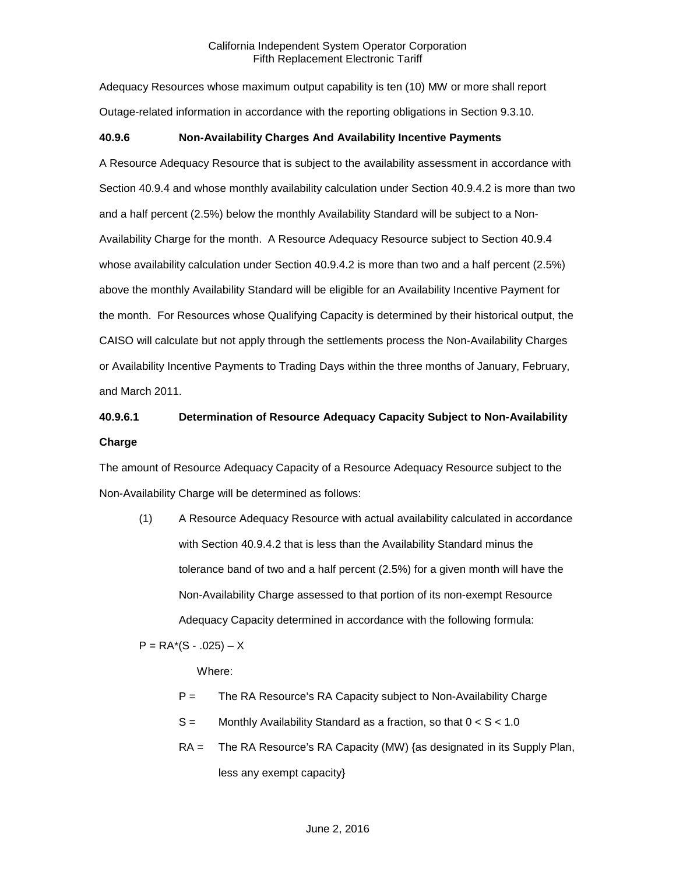Adequacy Resources whose maximum output capability is ten (10) MW or more shall report Outage-related information in accordance with the reporting obligations in Section 9.3.10.

# **40.9.6 Non-Availability Charges And Availability Incentive Payments**

A Resource Adequacy Resource that is subject to the availability assessment in accordance with Section 40.9.4 and whose monthly availability calculation under Section 40.9.4.2 is more than two and a half percent (2.5%) below the monthly Availability Standard will be subject to a Non-Availability Charge for the month. A Resource Adequacy Resource subject to Section 40.9.4 whose availability calculation under Section 40.9.4.2 is more than two and a half percent (2.5%) above the monthly Availability Standard will be eligible for an Availability Incentive Payment for the month. For Resources whose Qualifying Capacity is determined by their historical output, the CAISO will calculate but not apply through the settlements process the Non-Availability Charges or Availability Incentive Payments to Trading Days within the three months of January, February, and March 2011.

# **40.9.6.1 Determination of Resource Adequacy Capacity Subject to Non-Availability Charge**

The amount of Resource Adequacy Capacity of a Resource Adequacy Resource subject to the Non-Availability Charge will be determined as follows:

(1) A Resource Adequacy Resource with actual availability calculated in accordance with Section 40.9.4.2 that is less than the Availability Standard minus the tolerance band of two and a half percent (2.5%) for a given month will have the Non-Availability Charge assessed to that portion of its non-exempt Resource Adequacy Capacity determined in accordance with the following formula:

 $P = RA<sup>*</sup>(S - .025) - X$ 

Where:

- P = The RA Resource's RA Capacity subject to Non-Availability Charge
- $S =$  Monthly Availability Standard as a fraction, so that  $0 < S < 1.0$
- RA = The RA Resource's RA Capacity (MW) {as designated in its Supply Plan, less any exempt capacity}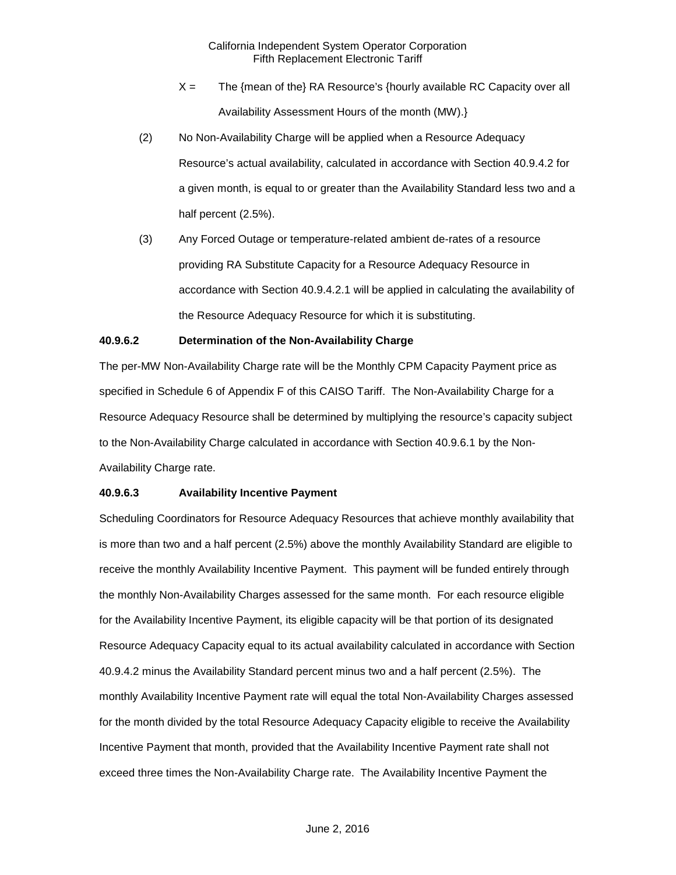- $X =$  The {mean of the} RA Resource's {hourly available RC Capacity over all Availability Assessment Hours of the month (MW).}
- (2) No Non-Availability Charge will be applied when a Resource Adequacy Resource's actual availability, calculated in accordance with Section 40.9.4.2 for a given month, is equal to or greater than the Availability Standard less two and a half percent (2.5%).
- (3) Any Forced Outage or temperature-related ambient de-rates of a resource providing RA Substitute Capacity for a Resource Adequacy Resource in accordance with Section 40.9.4.2.1 will be applied in calculating the availability of the Resource Adequacy Resource for which it is substituting.

## **40.9.6.2 Determination of the Non-Availability Charge**

The per-MW Non-Availability Charge rate will be the Monthly CPM Capacity Payment price as specified in Schedule 6 of Appendix F of this CAISO Tariff. The Non-Availability Charge for a Resource Adequacy Resource shall be determined by multiplying the resource's capacity subject to the Non-Availability Charge calculated in accordance with Section 40.9.6.1 by the Non-Availability Charge rate.

## **40.9.6.3 Availability Incentive Payment**

Scheduling Coordinators for Resource Adequacy Resources that achieve monthly availability that is more than two and a half percent (2.5%) above the monthly Availability Standard are eligible to receive the monthly Availability Incentive Payment. This payment will be funded entirely through the monthly Non-Availability Charges assessed for the same month. For each resource eligible for the Availability Incentive Payment, its eligible capacity will be that portion of its designated Resource Adequacy Capacity equal to its actual availability calculated in accordance with Section 40.9.4.2 minus the Availability Standard percent minus two and a half percent (2.5%). The monthly Availability Incentive Payment rate will equal the total Non-Availability Charges assessed for the month divided by the total Resource Adequacy Capacity eligible to receive the Availability Incentive Payment that month, provided that the Availability Incentive Payment rate shall not exceed three times the Non-Availability Charge rate. The Availability Incentive Payment the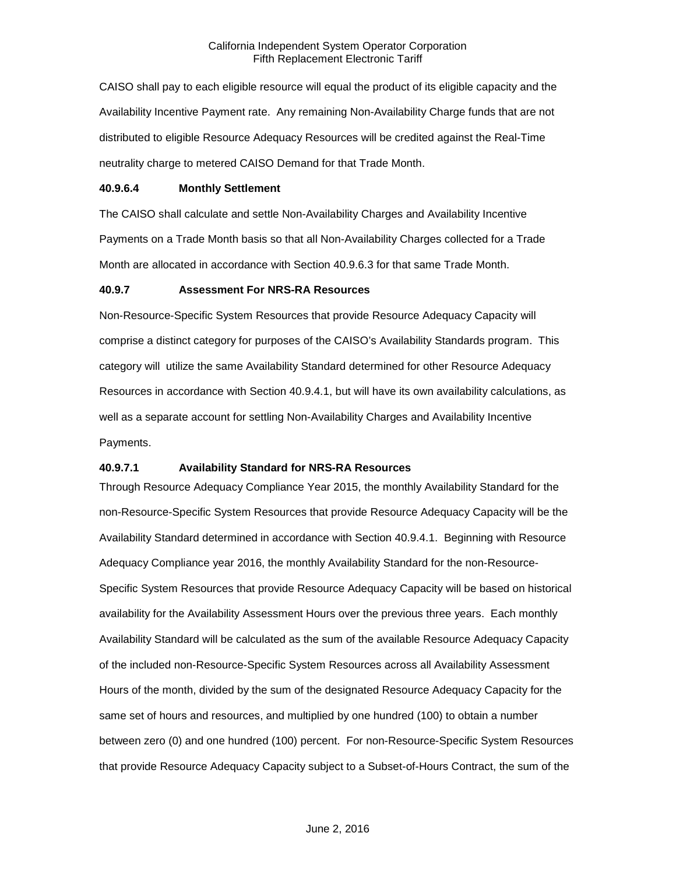CAISO shall pay to each eligible resource will equal the product of its eligible capacity and the Availability Incentive Payment rate. Any remaining Non-Availability Charge funds that are not distributed to eligible Resource Adequacy Resources will be credited against the Real-Time neutrality charge to metered CAISO Demand for that Trade Month.

#### **40.9.6.4 Monthly Settlement**

The CAISO shall calculate and settle Non-Availability Charges and Availability Incentive Payments on a Trade Month basis so that all Non-Availability Charges collected for a Trade Month are allocated in accordance with Section 40.9.6.3 for that same Trade Month.

#### **40.9.7 Assessment For NRS-RA Resources**

Non-Resource-Specific System Resources that provide Resource Adequacy Capacity will comprise a distinct category for purposes of the CAISO's Availability Standards program. This category will utilize the same Availability Standard determined for other Resource Adequacy Resources in accordance with Section 40.9.4.1, but will have its own availability calculations, as well as a separate account for settling Non-Availability Charges and Availability Incentive Payments.

# **40.9.7.1 Availability Standard for NRS-RA Resources**

Through Resource Adequacy Compliance Year 2015, the monthly Availability Standard for the non-Resource-Specific System Resources that provide Resource Adequacy Capacity will be the Availability Standard determined in accordance with Section 40.9.4.1. Beginning with Resource Adequacy Compliance year 2016, the monthly Availability Standard for the non-Resource-Specific System Resources that provide Resource Adequacy Capacity will be based on historical availability for the Availability Assessment Hours over the previous three years. Each monthly Availability Standard will be calculated as the sum of the available Resource Adequacy Capacity of the included non-Resource-Specific System Resources across all Availability Assessment Hours of the month, divided by the sum of the designated Resource Adequacy Capacity for the same set of hours and resources, and multiplied by one hundred (100) to obtain a number between zero (0) and one hundred (100) percent. For non-Resource-Specific System Resources that provide Resource Adequacy Capacity subject to a Subset-of-Hours Contract, the sum of the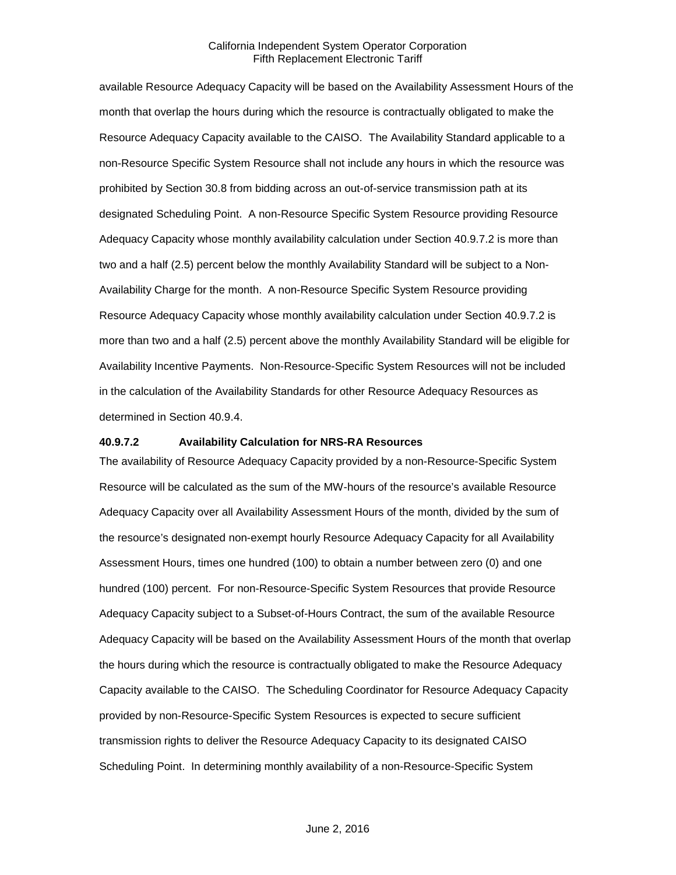available Resource Adequacy Capacity will be based on the Availability Assessment Hours of the month that overlap the hours during which the resource is contractually obligated to make the Resource Adequacy Capacity available to the CAISO. The Availability Standard applicable to a non-Resource Specific System Resource shall not include any hours in which the resource was prohibited by Section 30.8 from bidding across an out-of-service transmission path at its designated Scheduling Point. A non-Resource Specific System Resource providing Resource Adequacy Capacity whose monthly availability calculation under Section 40.9.7.2 is more than two and a half (2.5) percent below the monthly Availability Standard will be subject to a Non-Availability Charge for the month. A non-Resource Specific System Resource providing Resource Adequacy Capacity whose monthly availability calculation under Section 40.9.7.2 is more than two and a half (2.5) percent above the monthly Availability Standard will be eligible for Availability Incentive Payments. Non-Resource-Specific System Resources will not be included in the calculation of the Availability Standards for other Resource Adequacy Resources as determined in Section 40.9.4.

#### **40.9.7.2 Availability Calculation for NRS-RA Resources**

The availability of Resource Adequacy Capacity provided by a non-Resource-Specific System Resource will be calculated as the sum of the MW-hours of the resource's available Resource Adequacy Capacity over all Availability Assessment Hours of the month, divided by the sum of the resource's designated non-exempt hourly Resource Adequacy Capacity for all Availability Assessment Hours, times one hundred (100) to obtain a number between zero (0) and one hundred (100) percent. For non-Resource-Specific System Resources that provide Resource Adequacy Capacity subject to a Subset-of-Hours Contract, the sum of the available Resource Adequacy Capacity will be based on the Availability Assessment Hours of the month that overlap the hours during which the resource is contractually obligated to make the Resource Adequacy Capacity available to the CAISO. The Scheduling Coordinator for Resource Adequacy Capacity provided by non-Resource-Specific System Resources is expected to secure sufficient transmission rights to deliver the Resource Adequacy Capacity to its designated CAISO Scheduling Point. In determining monthly availability of a non-Resource-Specific System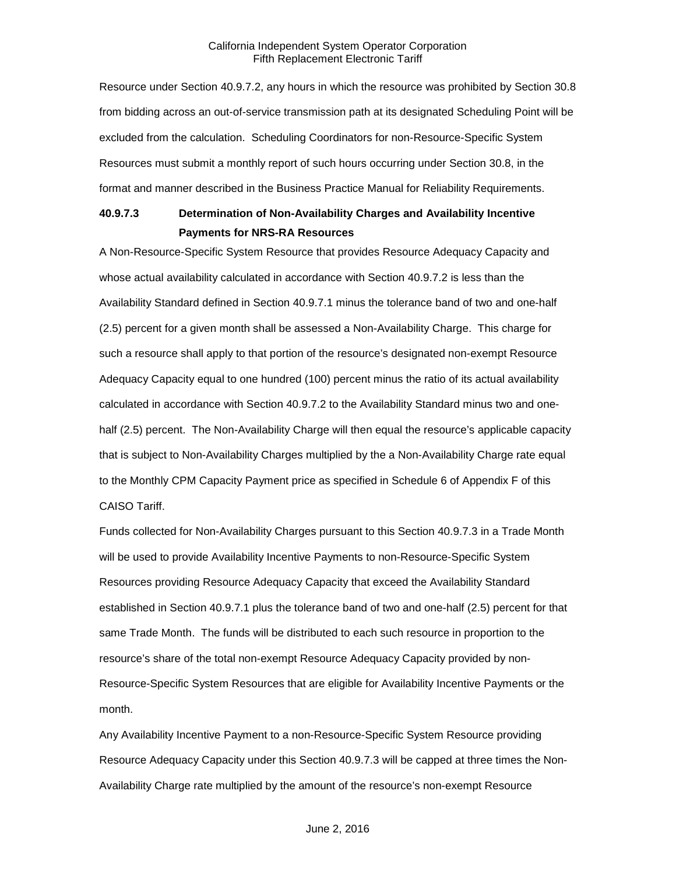Resource under Section 40.9.7.2, any hours in which the resource was prohibited by Section 30.8 from bidding across an out-of-service transmission path at its designated Scheduling Point will be excluded from the calculation. Scheduling Coordinators for non-Resource-Specific System Resources must submit a monthly report of such hours occurring under Section 30.8, in the format and manner described in the Business Practice Manual for Reliability Requirements.

# **40.9.7.3 Determination of Non-Availability Charges and Availability Incentive Payments for NRS-RA Resources**

A Non-Resource-Specific System Resource that provides Resource Adequacy Capacity and whose actual availability calculated in accordance with Section 40.9.7.2 is less than the Availability Standard defined in Section 40.9.7.1 minus the tolerance band of two and one-half (2.5) percent for a given month shall be assessed a Non-Availability Charge. This charge for such a resource shall apply to that portion of the resource's designated non-exempt Resource Adequacy Capacity equal to one hundred (100) percent minus the ratio of its actual availability calculated in accordance with Section 40.9.7.2 to the Availability Standard minus two and onehalf (2.5) percent. The Non-Availability Charge will then equal the resource's applicable capacity that is subject to Non-Availability Charges multiplied by the a Non-Availability Charge rate equal to the Monthly CPM Capacity Payment price as specified in Schedule 6 of Appendix F of this CAISO Tariff.

Funds collected for Non-Availability Charges pursuant to this Section 40.9.7.3 in a Trade Month will be used to provide Availability Incentive Payments to non-Resource-Specific System Resources providing Resource Adequacy Capacity that exceed the Availability Standard established in Section 40.9.7.1 plus the tolerance band of two and one-half (2.5) percent for that same Trade Month. The funds will be distributed to each such resource in proportion to the resource's share of the total non-exempt Resource Adequacy Capacity provided by non-Resource-Specific System Resources that are eligible for Availability Incentive Payments or the month.

Any Availability Incentive Payment to a non-Resource-Specific System Resource providing Resource Adequacy Capacity under this Section 40.9.7.3 will be capped at three times the Non-Availability Charge rate multiplied by the amount of the resource's non-exempt Resource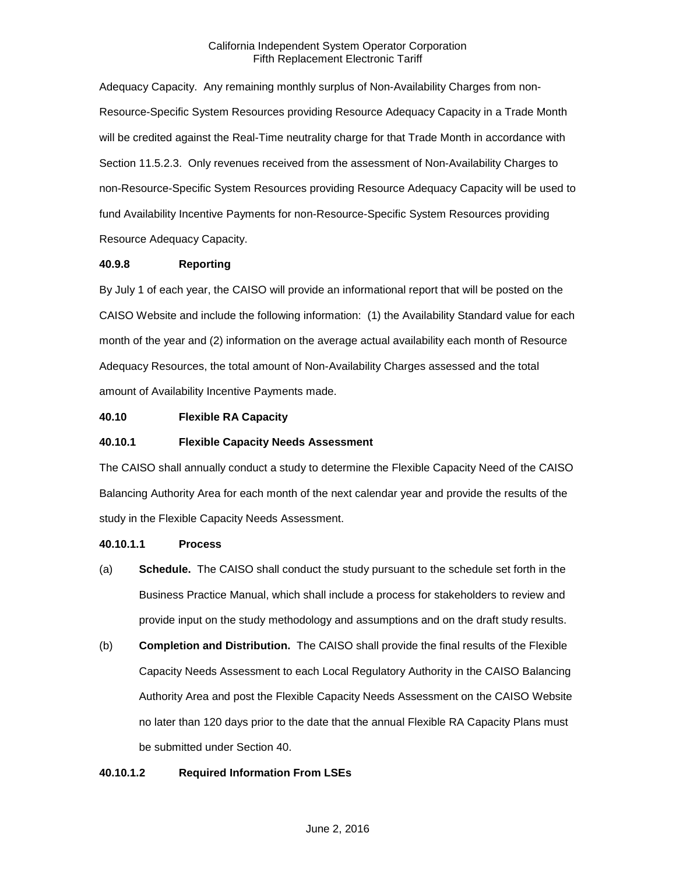Adequacy Capacity. Any remaining monthly surplus of Non-Availability Charges from non-Resource-Specific System Resources providing Resource Adequacy Capacity in a Trade Month will be credited against the Real-Time neutrality charge for that Trade Month in accordance with Section 11.5.2.3. Only revenues received from the assessment of Non-Availability Charges to non-Resource-Specific System Resources providing Resource Adequacy Capacity will be used to fund Availability Incentive Payments for non-Resource-Specific System Resources providing Resource Adequacy Capacity.

# **40.9.8 Reporting**

By July 1 of each year, the CAISO will provide an informational report that will be posted on the CAISO Website and include the following information: (1) the Availability Standard value for each month of the year and (2) information on the average actual availability each month of Resource Adequacy Resources, the total amount of Non-Availability Charges assessed and the total amount of Availability Incentive Payments made.

# **40.10 Flexible RA Capacity**

## **40.10.1 Flexible Capacity Needs Assessment**

The CAISO shall annually conduct a study to determine the Flexible Capacity Need of the CAISO Balancing Authority Area for each month of the next calendar year and provide the results of the study in the Flexible Capacity Needs Assessment.

## **40.10.1.1 Process**

- (a) **Schedule.** The CAISO shall conduct the study pursuant to the schedule set forth in the Business Practice Manual, which shall include a process for stakeholders to review and provide input on the study methodology and assumptions and on the draft study results.
- (b) **Completion and Distribution.** The CAISO shall provide the final results of the Flexible Capacity Needs Assessment to each Local Regulatory Authority in the CAISO Balancing Authority Area and post the Flexible Capacity Needs Assessment on the CAISO Website no later than 120 days prior to the date that the annual Flexible RA Capacity Plans must be submitted under Section 40.

# **40.10.1.2 Required Information From LSEs**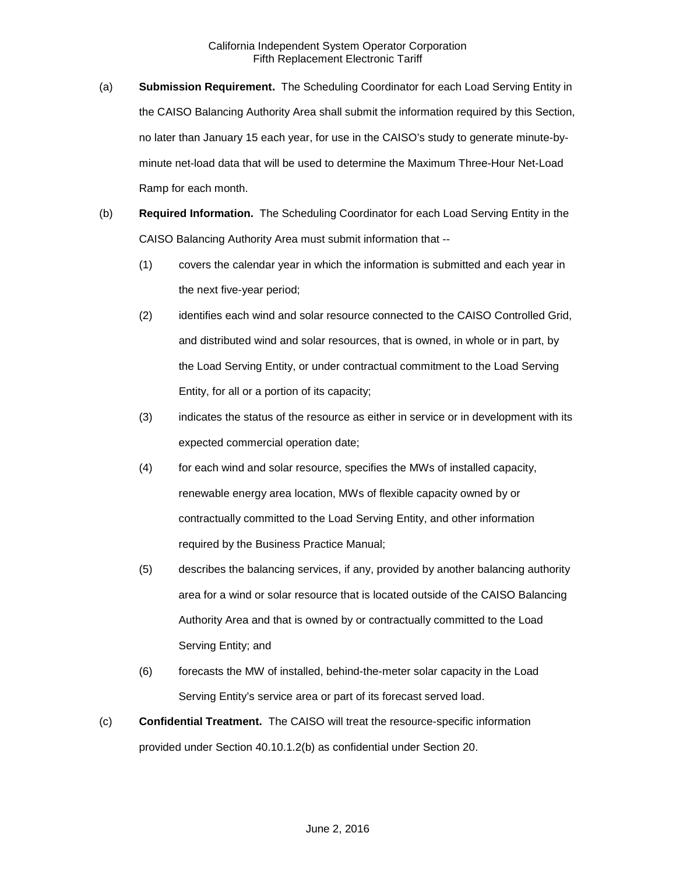- (a) **Submission Requirement.** The Scheduling Coordinator for each Load Serving Entity in the CAISO Balancing Authority Area shall submit the information required by this Section, no later than January 15 each year, for use in the CAISO's study to generate minute-byminute net-load data that will be used to determine the Maximum Three-Hour Net-Load Ramp for each month.
- (b) **Required Information.** The Scheduling Coordinator for each Load Serving Entity in the CAISO Balancing Authority Area must submit information that --
	- (1) covers the calendar year in which the information is submitted and each year in the next five-year period;
	- (2) identifies each wind and solar resource connected to the CAISO Controlled Grid, and distributed wind and solar resources, that is owned, in whole or in part, by the Load Serving Entity, or under contractual commitment to the Load Serving Entity, for all or a portion of its capacity;
	- (3) indicates the status of the resource as either in service or in development with its expected commercial operation date;
	- (4) for each wind and solar resource, specifies the MWs of installed capacity, renewable energy area location, MWs of flexible capacity owned by or contractually committed to the Load Serving Entity, and other information required by the Business Practice Manual;
	- (5) describes the balancing services, if any, provided by another balancing authority area for a wind or solar resource that is located outside of the CAISO Balancing Authority Area and that is owned by or contractually committed to the Load Serving Entity; and
	- (6) forecasts the MW of installed, behind-the-meter solar capacity in the Load Serving Entity's service area or part of its forecast served load.
- (c) **Confidential Treatment.** The CAISO will treat the resource-specific information provided under Section 40.10.1.2(b) as confidential under Section 20.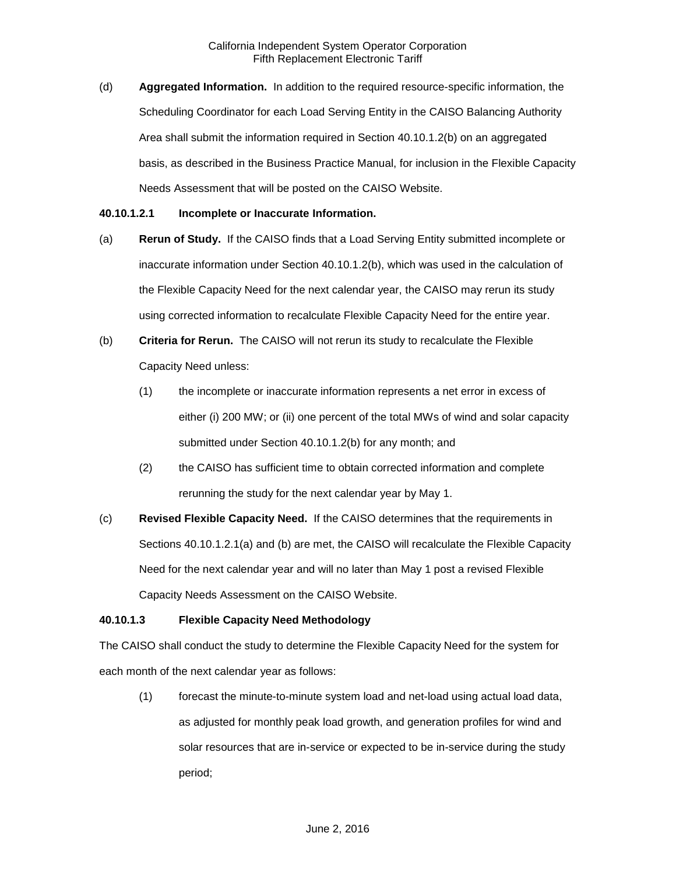(d) **Aggregated Information.** In addition to the required resource-specific information, the Scheduling Coordinator for each Load Serving Entity in the CAISO Balancing Authority Area shall submit the information required in Section 40.10.1.2(b) on an aggregated basis, as described in the Business Practice Manual, for inclusion in the Flexible Capacity Needs Assessment that will be posted on the CAISO Website.

#### **40.10.1.2.1 Incomplete or Inaccurate Information.**

- (a) **Rerun of Study.** If the CAISO finds that a Load Serving Entity submitted incomplete or inaccurate information under Section 40.10.1.2(b), which was used in the calculation of the Flexible Capacity Need for the next calendar year, the CAISO may rerun its study using corrected information to recalculate Flexible Capacity Need for the entire year.
- (b) **Criteria for Rerun.** The CAISO will not rerun its study to recalculate the Flexible Capacity Need unless:
	- (1) the incomplete or inaccurate information represents a net error in excess of either (i) 200 MW; or (ii) one percent of the total MWs of wind and solar capacity submitted under Section 40.10.1.2(b) for any month; and
	- (2) the CAISO has sufficient time to obtain corrected information and complete rerunning the study for the next calendar year by May 1.
- (c) **Revised Flexible Capacity Need.** If the CAISO determines that the requirements in Sections 40.10.1.2.1(a) and (b) are met, the CAISO will recalculate the Flexible Capacity Need for the next calendar year and will no later than May 1 post a revised Flexible Capacity Needs Assessment on the CAISO Website.

## **40.10.1.3 Flexible Capacity Need Methodology**

The CAISO shall conduct the study to determine the Flexible Capacity Need for the system for each month of the next calendar year as follows:

(1) forecast the minute-to-minute system load and net-load using actual load data, as adjusted for monthly peak load growth, and generation profiles for wind and solar resources that are in-service or expected to be in-service during the study period;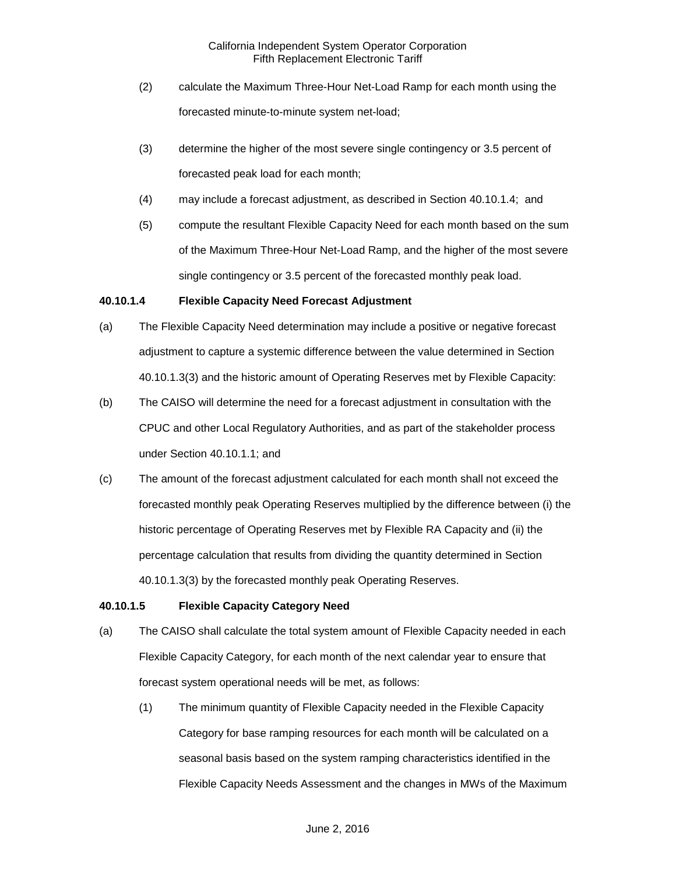- (2) calculate the Maximum Three-Hour Net-Load Ramp for each month using the forecasted minute-to-minute system net-load;
- (3) determine the higher of the most severe single contingency or 3.5 percent of forecasted peak load for each month;
- (4) may include a forecast adjustment, as described in Section 40.10.1.4; and
- (5) compute the resultant Flexible Capacity Need for each month based on the sum of the Maximum Three-Hour Net-Load Ramp, and the higher of the most severe single contingency or 3.5 percent of the forecasted monthly peak load.

## **40.10.1.4 Flexible Capacity Need Forecast Adjustment**

- (a) The Flexible Capacity Need determination may include a positive or negative forecast adjustment to capture a systemic difference between the value determined in Section 40.10.1.3(3) and the historic amount of Operating Reserves met by Flexible Capacity:
- (b) The CAISO will determine the need for a forecast adjustment in consultation with the CPUC and other Local Regulatory Authorities, and as part of the stakeholder process under Section 40.10.1.1; and
- (c) The amount of the forecast adjustment calculated for each month shall not exceed the forecasted monthly peak Operating Reserves multiplied by the difference between (i) the historic percentage of Operating Reserves met by Flexible RA Capacity and (ii) the percentage calculation that results from dividing the quantity determined in Section 40.10.1.3(3) by the forecasted monthly peak Operating Reserves.

## **40.10.1.5 Flexible Capacity Category Need**

- (a) The CAISO shall calculate the total system amount of Flexible Capacity needed in each Flexible Capacity Category, for each month of the next calendar year to ensure that forecast system operational needs will be met, as follows:
	- (1) The minimum quantity of Flexible Capacity needed in the Flexible Capacity Category for base ramping resources for each month will be calculated on a seasonal basis based on the system ramping characteristics identified in the Flexible Capacity Needs Assessment and the changes in MWs of the Maximum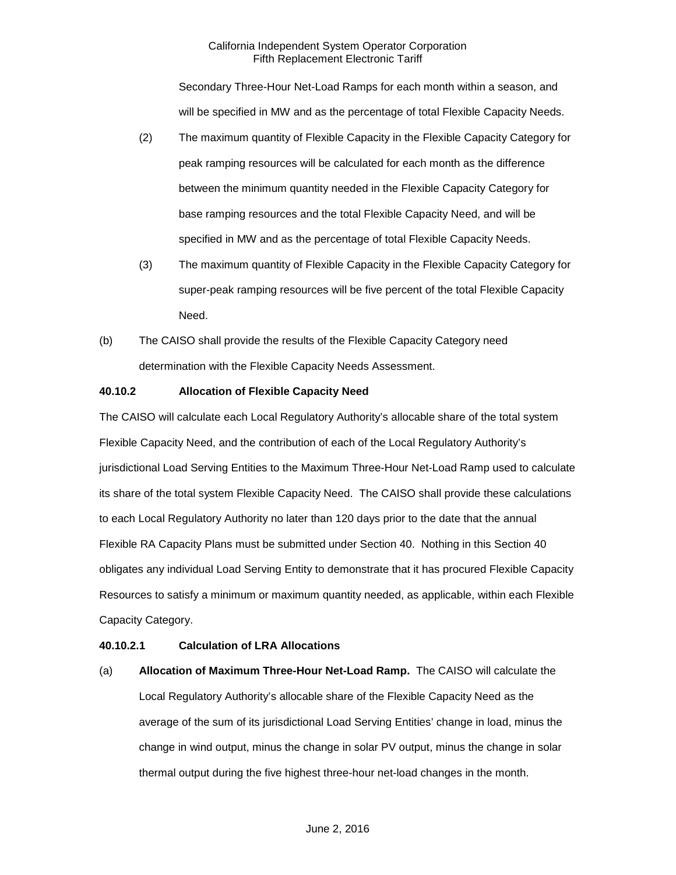Secondary Three-Hour Net-Load Ramps for each month within a season, and will be specified in MW and as the percentage of total Flexible Capacity Needs.

- (2) The maximum quantity of Flexible Capacity in the Flexible Capacity Category for peak ramping resources will be calculated for each month as the difference between the minimum quantity needed in the Flexible Capacity Category for base ramping resources and the total Flexible Capacity Need, and will be specified in MW and as the percentage of total Flexible Capacity Needs.
- (3) The maximum quantity of Flexible Capacity in the Flexible Capacity Category for super-peak ramping resources will be five percent of the total Flexible Capacity Need.
- (b) The CAISO shall provide the results of the Flexible Capacity Category need determination with the Flexible Capacity Needs Assessment.

# **40.10.2 Allocation of Flexible Capacity Need**

The CAISO will calculate each Local Regulatory Authority's allocable share of the total system Flexible Capacity Need, and the contribution of each of the Local Regulatory Authority's jurisdictional Load Serving Entities to the Maximum Three-Hour Net-Load Ramp used to calculate its share of the total system Flexible Capacity Need. The CAISO shall provide these calculations to each Local Regulatory Authority no later than 120 days prior to the date that the annual Flexible RA Capacity Plans must be submitted under Section 40. Nothing in this Section 40 obligates any individual Load Serving Entity to demonstrate that it has procured Flexible Capacity Resources to satisfy a minimum or maximum quantity needed, as applicable, within each Flexible Capacity Category.

# **40.10.2.1 Calculation of LRA Allocations**

(a) **Allocation of Maximum Three-Hour Net-Load Ramp.** The CAISO will calculate the Local Regulatory Authority's allocable share of the Flexible Capacity Need as the average of the sum of its jurisdictional Load Serving Entities' change in load, minus the change in wind output, minus the change in solar PV output, minus the change in solar thermal output during the five highest three-hour net-load changes in the month.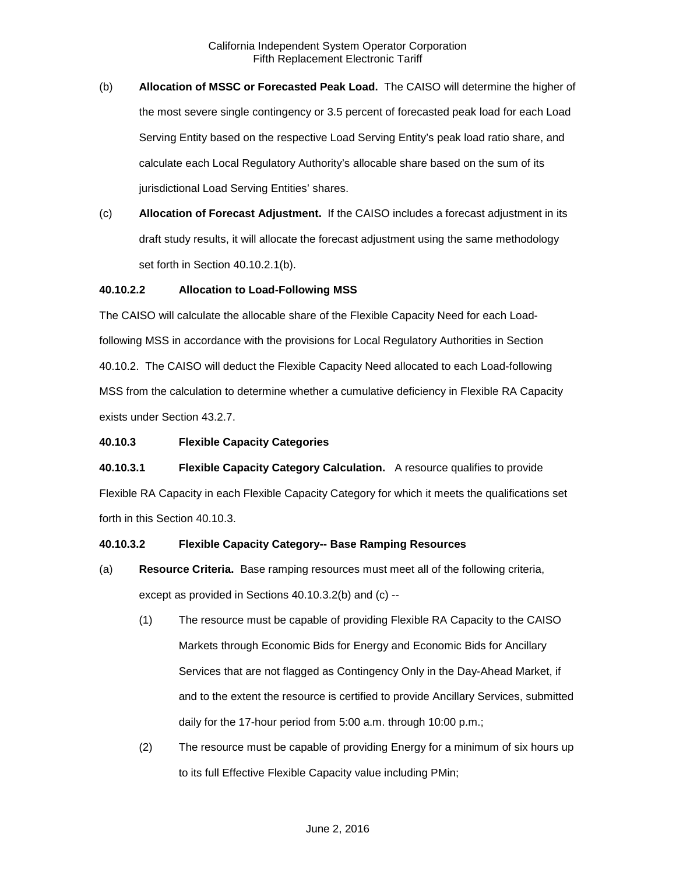- (b) **Allocation of MSSC or Forecasted Peak Load.** The CAISO will determine the higher of the most severe single contingency or 3.5 percent of forecasted peak load for each Load Serving Entity based on the respective Load Serving Entity's peak load ratio share, and calculate each Local Regulatory Authority's allocable share based on the sum of its jurisdictional Load Serving Entities' shares.
- (c) **Allocation of Forecast Adjustment.** If the CAISO includes a forecast adjustment in its draft study results, it will allocate the forecast adjustment using the same methodology set forth in Section 40.10.2.1(b).

## **40.10.2.2 Allocation to Load-Following MSS**

The CAISO will calculate the allocable share of the Flexible Capacity Need for each Loadfollowing MSS in accordance with the provisions for Local Regulatory Authorities in Section 40.10.2. The CAISO will deduct the Flexible Capacity Need allocated to each Load-following MSS from the calculation to determine whether a cumulative deficiency in Flexible RA Capacity exists under Section 43.2.7.

## **40.10.3 Flexible Capacity Categories**

**40.10.3.1 Flexible Capacity Category Calculation.** A resource qualifies to provide Flexible RA Capacity in each Flexible Capacity Category for which it meets the qualifications set forth in this Section 40.10.3.

## **40.10.3.2 Flexible Capacity Category-- Base Ramping Resources**

- (a) **Resource Criteria.** Base ramping resources must meet all of the following criteria, except as provided in Sections 40.10.3.2(b) and (c) --
	- (1) The resource must be capable of providing Flexible RA Capacity to the CAISO Markets through Economic Bids for Energy and Economic Bids for Ancillary Services that are not flagged as Contingency Only in the Day-Ahead Market, if and to the extent the resource is certified to provide Ancillary Services, submitted daily for the 17-hour period from 5:00 a.m. through 10:00 p.m.;
	- (2) The resource must be capable of providing Energy for a minimum of six hours up to its full Effective Flexible Capacity value including PMin;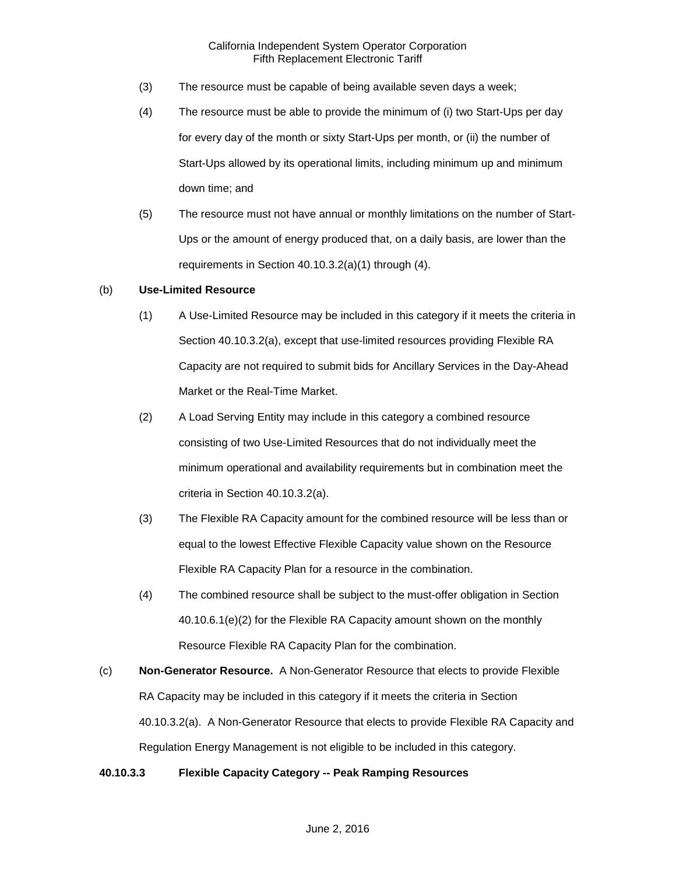- (3) The resource must be capable of being available seven days a week;
- (4) The resource must be able to provide the minimum of (i) two Start-Ups per day for every day of the month or sixty Start-Ups per month, or (ii) the number of Start-Ups allowed by its operational limits, including minimum up and minimum down time; and
- (5) The resource must not have annual or monthly limitations on the number of Start-Ups or the amount of energy produced that, on a daily basis, are lower than the requirements in Section 40.10.3.2(a)(1) through (4).

#### (b) **Use-Limited Resource**

- (1) A Use-Limited Resource may be included in this category if it meets the criteria in Section 40.10.3.2(a), except that use-limited resources providing Flexible RA Capacity are not required to submit bids for Ancillary Services in the Day-Ahead Market or the Real-Time Market.
- (2) A Load Serving Entity may include in this category a combined resource consisting of two Use-Limited Resources that do not individually meet the minimum operational and availability requirements but in combination meet the criteria in Section 40.10.3.2(a).
- (3) The Flexible RA Capacity amount for the combined resource will be less than or equal to the lowest Effective Flexible Capacity value shown on the Resource Flexible RA Capacity Plan for a resource in the combination.
- (4) The combined resource shall be subject to the must-offer obligation in Section 40.10.6.1(e)(2) for the Flexible RA Capacity amount shown on the monthly Resource Flexible RA Capacity Plan for the combination.
- (c) **Non-Generator Resource.** A Non-Generator Resource that elects to provide Flexible RA Capacity may be included in this category if it meets the criteria in Section 40.10.3.2(a). A Non-Generator Resource that elects to provide Flexible RA Capacity and Regulation Energy Management is not eligible to be included in this category.

## **40.10.3.3 Flexible Capacity Category -- Peak Ramping Resources**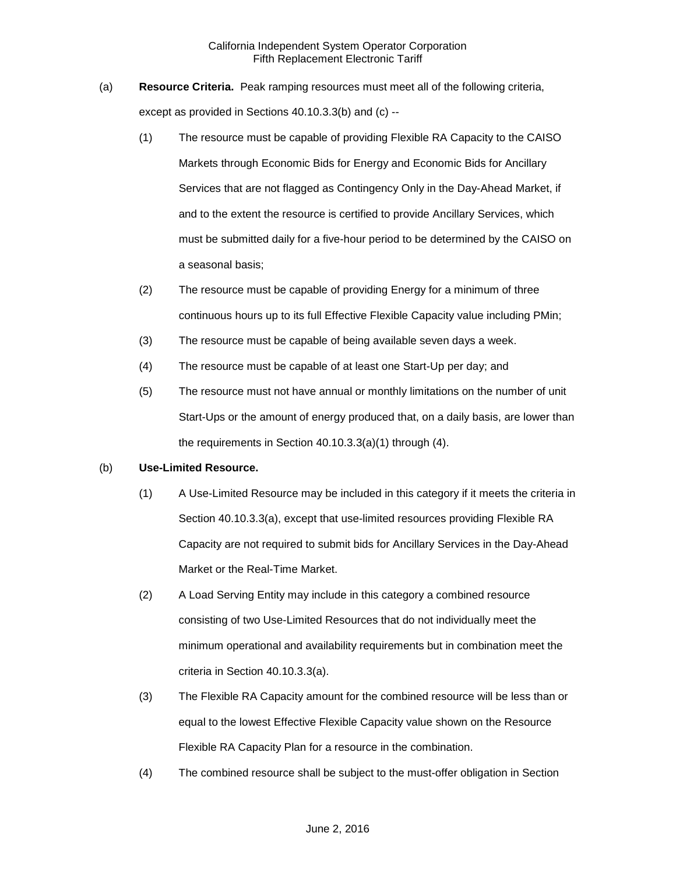- (a) **Resource Criteria.** Peak ramping resources must meet all of the following criteria, except as provided in Sections 40.10.3.3(b) and (c) --
	- (1) The resource must be capable of providing Flexible RA Capacity to the CAISO Markets through Economic Bids for Energy and Economic Bids for Ancillary Services that are not flagged as Contingency Only in the Day-Ahead Market, if and to the extent the resource is certified to provide Ancillary Services, which must be submitted daily for a five-hour period to be determined by the CAISO on a seasonal basis;
	- (2) The resource must be capable of providing Energy for a minimum of three continuous hours up to its full Effective Flexible Capacity value including PMin;
	- (3) The resource must be capable of being available seven days a week.
	- (4) The resource must be capable of at least one Start-Up per day; and
	- (5) The resource must not have annual or monthly limitations on the number of unit Start-Ups or the amount of energy produced that, on a daily basis, are lower than the requirements in Section 40.10.3.3(a)(1) through (4).

## (b) **Use-Limited Resource.**

- (1) A Use-Limited Resource may be included in this category if it meets the criteria in Section 40.10.3.3(a), except that use-limited resources providing Flexible RA Capacity are not required to submit bids for Ancillary Services in the Day-Ahead Market or the Real-Time Market.
- (2) A Load Serving Entity may include in this category a combined resource consisting of two Use-Limited Resources that do not individually meet the minimum operational and availability requirements but in combination meet the criteria in Section 40.10.3.3(a).
- (3) The Flexible RA Capacity amount for the combined resource will be less than or equal to the lowest Effective Flexible Capacity value shown on the Resource Flexible RA Capacity Plan for a resource in the combination.
- (4) The combined resource shall be subject to the must-offer obligation in Section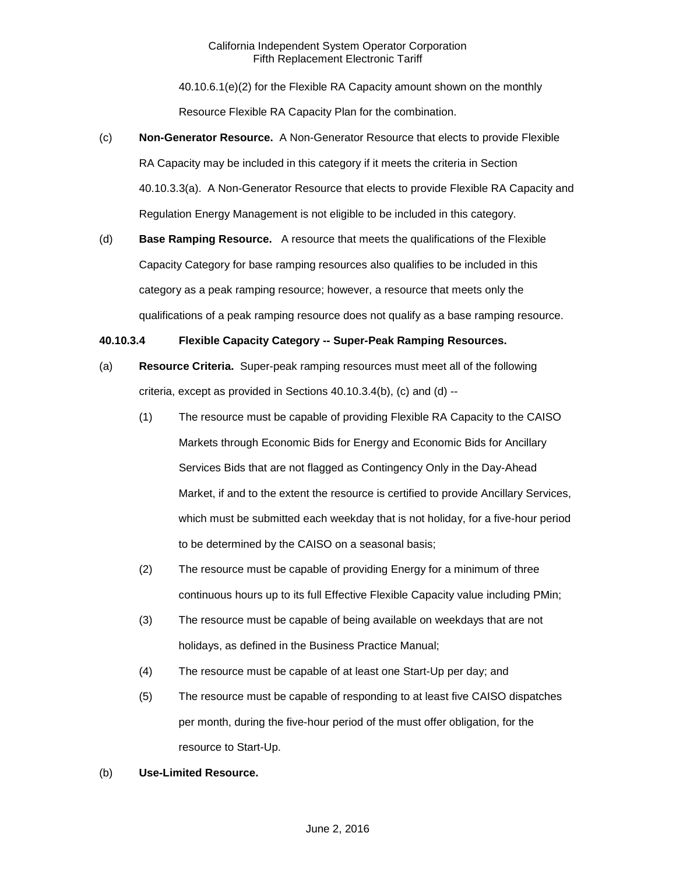40.10.6.1(e)(2) for the Flexible RA Capacity amount shown on the monthly Resource Flexible RA Capacity Plan for the combination.

- (c) **Non-Generator Resource.** A Non-Generator Resource that elects to provide Flexible RA Capacity may be included in this category if it meets the criteria in Section 40.10.3.3(a). A Non-Generator Resource that elects to provide Flexible RA Capacity and Regulation Energy Management is not eligible to be included in this category.
- (d) **Base Ramping Resource.** A resource that meets the qualifications of the Flexible Capacity Category for base ramping resources also qualifies to be included in this category as a peak ramping resource; however, a resource that meets only the qualifications of a peak ramping resource does not qualify as a base ramping resource.

# **40.10.3.4 Flexible Capacity Category -- Super-Peak Ramping Resources.**

- (a) **Resource Criteria.** Super-peak ramping resources must meet all of the following criteria, except as provided in Sections 40.10.3.4(b), (c) and (d) --
	- (1) The resource must be capable of providing Flexible RA Capacity to the CAISO Markets through Economic Bids for Energy and Economic Bids for Ancillary Services Bids that are not flagged as Contingency Only in the Day-Ahead Market, if and to the extent the resource is certified to provide Ancillary Services, which must be submitted each weekday that is not holiday, for a five-hour period to be determined by the CAISO on a seasonal basis;
	- (2) The resource must be capable of providing Energy for a minimum of three continuous hours up to its full Effective Flexible Capacity value including PMin;
	- (3) The resource must be capable of being available on weekdays that are not holidays, as defined in the Business Practice Manual;
	- (4) The resource must be capable of at least one Start-Up per day; and
	- (5) The resource must be capable of responding to at least five CAISO dispatches per month, during the five-hour period of the must offer obligation, for the resource to Start-Up.

## (b) **Use-Limited Resource.**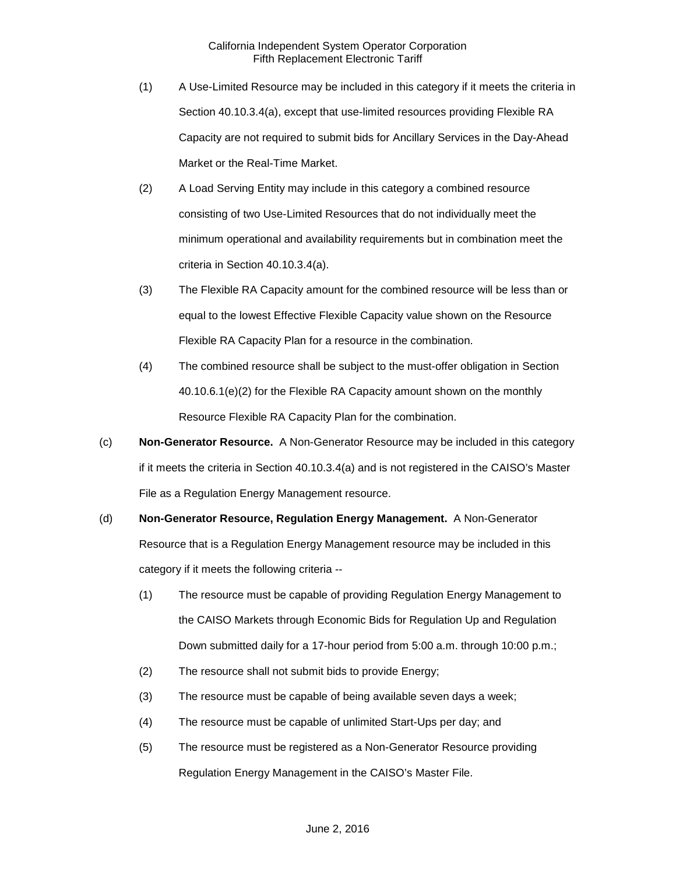- (1) A Use-Limited Resource may be included in this category if it meets the criteria in Section 40.10.3.4(a), except that use-limited resources providing Flexible RA Capacity are not required to submit bids for Ancillary Services in the Day-Ahead Market or the Real-Time Market.
- (2) A Load Serving Entity may include in this category a combined resource consisting of two Use-Limited Resources that do not individually meet the minimum operational and availability requirements but in combination meet the criteria in Section 40.10.3.4(a).
- (3) The Flexible RA Capacity amount for the combined resource will be less than or equal to the lowest Effective Flexible Capacity value shown on the Resource Flexible RA Capacity Plan for a resource in the combination.
- (4) The combined resource shall be subject to the must-offer obligation in Section 40.10.6.1(e)(2) for the Flexible RA Capacity amount shown on the monthly Resource Flexible RA Capacity Plan for the combination.
- (c) **Non-Generator Resource.** A Non-Generator Resource may be included in this category if it meets the criteria in Section 40.10.3.4(a) and is not registered in the CAISO's Master File as a Regulation Energy Management resource.
- (d) **Non-Generator Resource, Regulation Energy Management.** A Non-Generator Resource that is a Regulation Energy Management resource may be included in this category if it meets the following criteria --
	- (1) The resource must be capable of providing Regulation Energy Management to the CAISO Markets through Economic Bids for Regulation Up and Regulation Down submitted daily for a 17-hour period from 5:00 a.m. through 10:00 p.m.;
	- (2) The resource shall not submit bids to provide Energy;
	- (3) The resource must be capable of being available seven days a week;
	- (4) The resource must be capable of unlimited Start-Ups per day; and
	- (5) The resource must be registered as a Non-Generator Resource providing Regulation Energy Management in the CAISO's Master File.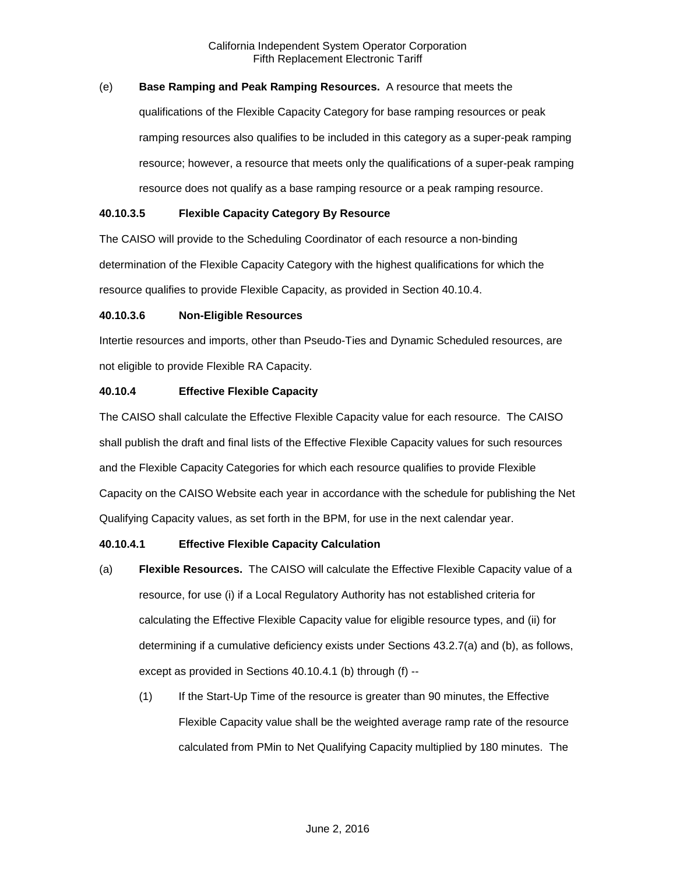# (e) **Base Ramping and Peak Ramping Resources.** A resource that meets the

qualifications of the Flexible Capacity Category for base ramping resources or peak ramping resources also qualifies to be included in this category as a super-peak ramping resource; however, a resource that meets only the qualifications of a super-peak ramping resource does not qualify as a base ramping resource or a peak ramping resource.

## **40.10.3.5 Flexible Capacity Category By Resource**

The CAISO will provide to the Scheduling Coordinator of each resource a non-binding determination of the Flexible Capacity Category with the highest qualifications for which the resource qualifies to provide Flexible Capacity, as provided in Section 40.10.4.

# **40.10.3.6 Non-Eligible Resources**

Intertie resources and imports, other than Pseudo-Ties and Dynamic Scheduled resources, are not eligible to provide Flexible RA Capacity.

# **40.10.4 Effective Flexible Capacity**

The CAISO shall calculate the Effective Flexible Capacity value for each resource. The CAISO shall publish the draft and final lists of the Effective Flexible Capacity values for such resources and the Flexible Capacity Categories for which each resource qualifies to provide Flexible Capacity on the CAISO Website each year in accordance with the schedule for publishing the Net Qualifying Capacity values, as set forth in the BPM, for use in the next calendar year.

# **40.10.4.1 Effective Flexible Capacity Calculation**

- (a) **Flexible Resources.** The CAISO will calculate the Effective Flexible Capacity value of a resource, for use (i) if a Local Regulatory Authority has not established criteria for calculating the Effective Flexible Capacity value for eligible resource types, and (ii) for determining if a cumulative deficiency exists under Sections 43.2.7(a) and (b), as follows, except as provided in Sections 40.10.4.1 (b) through (f) --
	- (1) If the Start-Up Time of the resource is greater than 90 minutes, the Effective Flexible Capacity value shall be the weighted average ramp rate of the resource calculated from PMin to Net Qualifying Capacity multiplied by 180 minutes. The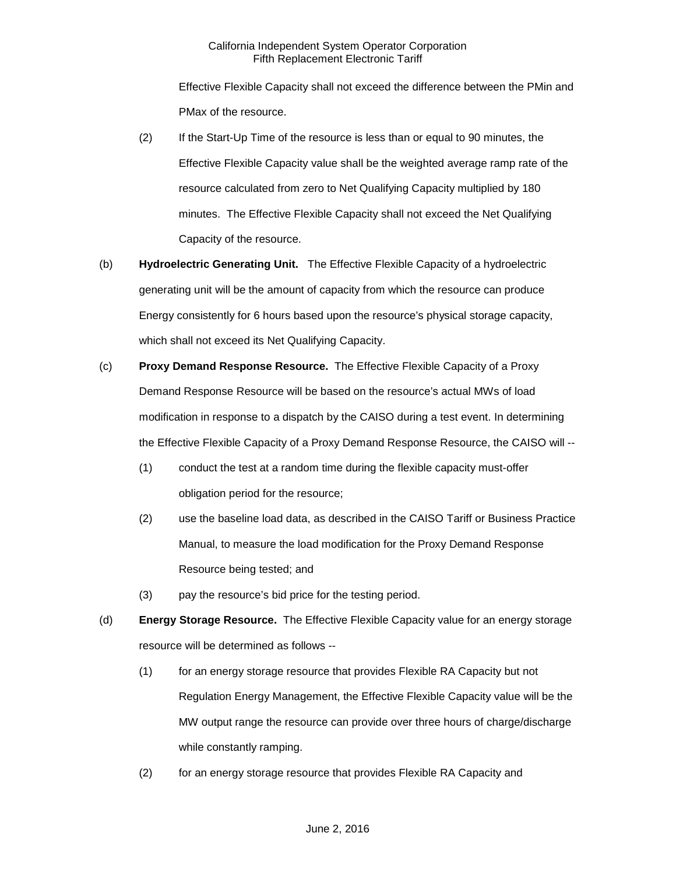Effective Flexible Capacity shall not exceed the difference between the PMin and PMax of the resource.

- (2) If the Start-Up Time of the resource is less than or equal to 90 minutes, the Effective Flexible Capacity value shall be the weighted average ramp rate of the resource calculated from zero to Net Qualifying Capacity multiplied by 180 minutes. The Effective Flexible Capacity shall not exceed the Net Qualifying Capacity of the resource.
- (b) **Hydroelectric Generating Unit.** The Effective Flexible Capacity of a hydroelectric generating unit will be the amount of capacity from which the resource can produce Energy consistently for 6 hours based upon the resource's physical storage capacity, which shall not exceed its Net Qualifying Capacity.
- (c) **Proxy Demand Response Resource.** The Effective Flexible Capacity of a Proxy Demand Response Resource will be based on the resource's actual MWs of load modification in response to a dispatch by the CAISO during a test event. In determining the Effective Flexible Capacity of a Proxy Demand Response Resource, the CAISO will --
	- (1) conduct the test at a random time during the flexible capacity must-offer obligation period for the resource;
	- (2) use the baseline load data, as described in the CAISO Tariff or Business Practice Manual, to measure the load modification for the Proxy Demand Response Resource being tested; and
	- (3) pay the resource's bid price for the testing period.
- (d) **Energy Storage Resource.** The Effective Flexible Capacity value for an energy storage resource will be determined as follows --
	- (1) for an energy storage resource that provides Flexible RA Capacity but not Regulation Energy Management, the Effective Flexible Capacity value will be the MW output range the resource can provide over three hours of charge/discharge while constantly ramping.
	- (2) for an energy storage resource that provides Flexible RA Capacity and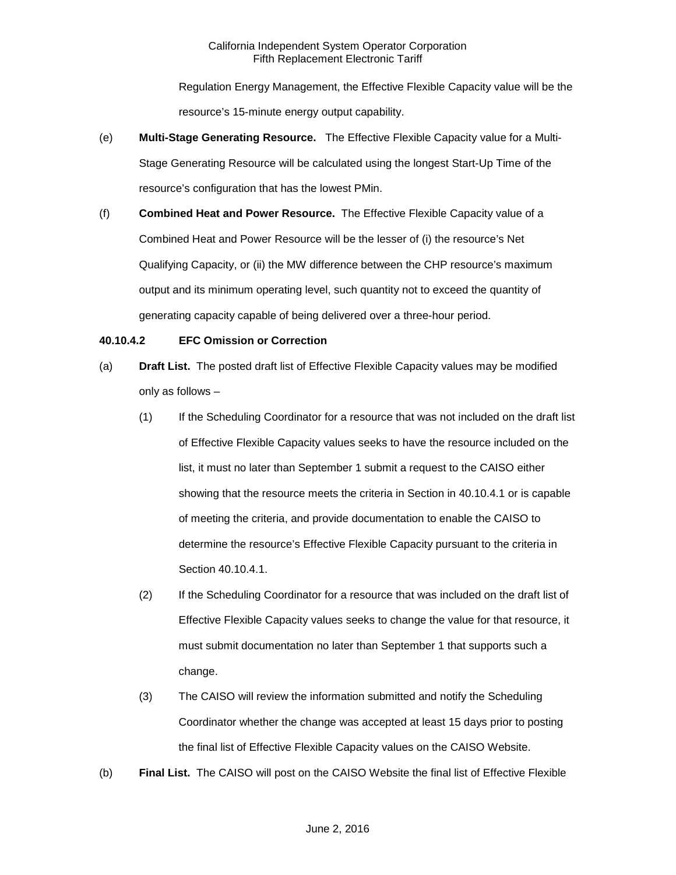Regulation Energy Management, the Effective Flexible Capacity value will be the resource's 15-minute energy output capability.

- (e) **Multi-Stage Generating Resource.** The Effective Flexible Capacity value for a Multi-Stage Generating Resource will be calculated using the longest Start-Up Time of the resource's configuration that has the lowest PMin.
- (f) **Combined Heat and Power Resource.** The Effective Flexible Capacity value of a Combined Heat and Power Resource will be the lesser of (i) the resource's Net Qualifying Capacity, or (ii) the MW difference between the CHP resource's maximum output and its minimum operating level, such quantity not to exceed the quantity of generating capacity capable of being delivered over a three-hour period.

# **40.10.4.2 EFC Omission or Correction**

- (a) **Draft List.** The posted draft list of Effective Flexible Capacity values may be modified only as follows –
	- (1) If the Scheduling Coordinator for a resource that was not included on the draft list of Effective Flexible Capacity values seeks to have the resource included on the list, it must no later than September 1 submit a request to the CAISO either showing that the resource meets the criteria in Section in 40.10.4.1 or is capable of meeting the criteria, and provide documentation to enable the CAISO to determine the resource's Effective Flexible Capacity pursuant to the criteria in Section 40.10.4.1.
	- (2) If the Scheduling Coordinator for a resource that was included on the draft list of Effective Flexible Capacity values seeks to change the value for that resource, it must submit documentation no later than September 1 that supports such a change.
	- (3) The CAISO will review the information submitted and notify the Scheduling Coordinator whether the change was accepted at least 15 days prior to posting the final list of Effective Flexible Capacity values on the CAISO Website.
- (b) **Final List.** The CAISO will post on the CAISO Website the final list of Effective Flexible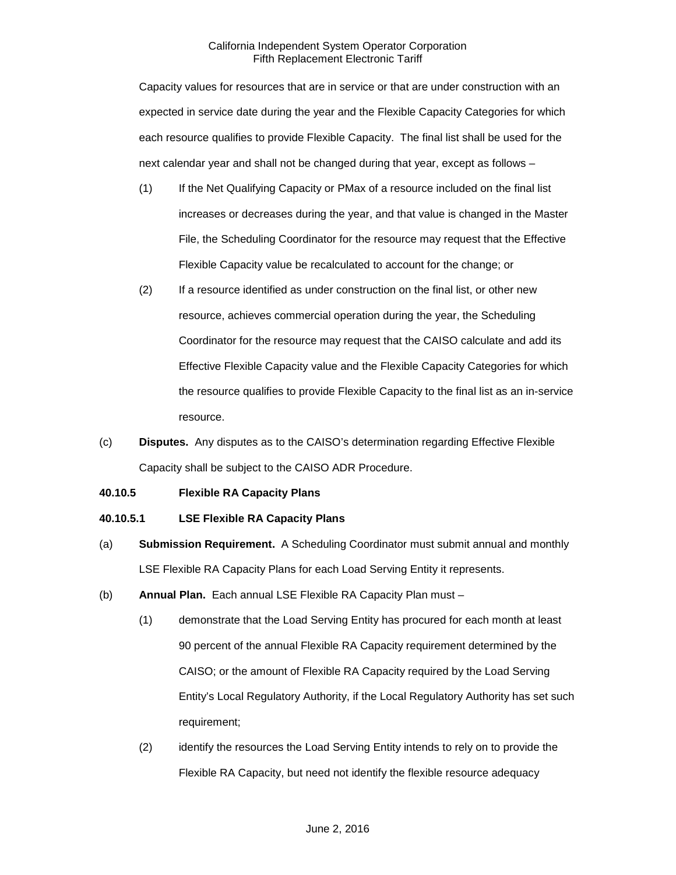Capacity values for resources that are in service or that are under construction with an expected in service date during the year and the Flexible Capacity Categories for which each resource qualifies to provide Flexible Capacity. The final list shall be used for the next calendar year and shall not be changed during that year, except as follows –

- (1) If the Net Qualifying Capacity or PMax of a resource included on the final list increases or decreases during the year, and that value is changed in the Master File, the Scheduling Coordinator for the resource may request that the Effective Flexible Capacity value be recalculated to account for the change; or
- (2) If a resource identified as under construction on the final list, or other new resource, achieves commercial operation during the year, the Scheduling Coordinator for the resource may request that the CAISO calculate and add its Effective Flexible Capacity value and the Flexible Capacity Categories for which the resource qualifies to provide Flexible Capacity to the final list as an in-service resource.
- (c) **Disputes.** Any disputes as to the CAISO's determination regarding Effective Flexible Capacity shall be subject to the CAISO ADR Procedure.

# **40.10.5 Flexible RA Capacity Plans**

## **40.10.5.1 LSE Flexible RA Capacity Plans**

- (a) **Submission Requirement.** A Scheduling Coordinator must submit annual and monthly LSE Flexible RA Capacity Plans for each Load Serving Entity it represents.
- (b) **Annual Plan.** Each annual LSE Flexible RA Capacity Plan must
	- (1) demonstrate that the Load Serving Entity has procured for each month at least 90 percent of the annual Flexible RA Capacity requirement determined by the CAISO; or the amount of Flexible RA Capacity required by the Load Serving Entity's Local Regulatory Authority, if the Local Regulatory Authority has set such requirement;
	- (2) identify the resources the Load Serving Entity intends to rely on to provide the Flexible RA Capacity, but need not identify the flexible resource adequacy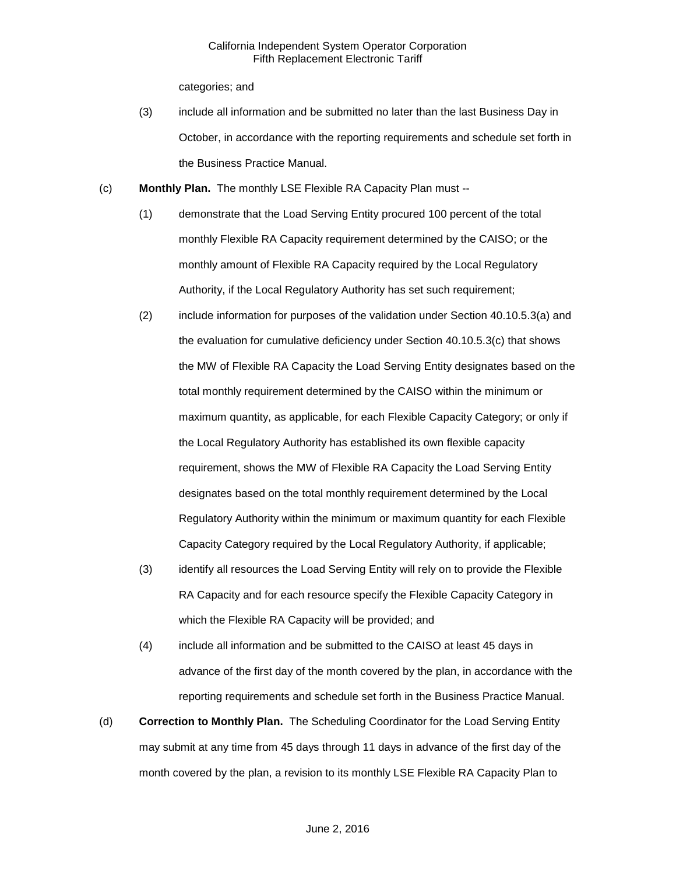categories; and

- (3) include all information and be submitted no later than the last Business Day in October, in accordance with the reporting requirements and schedule set forth in the Business Practice Manual.
- (c) **Monthly Plan.** The monthly LSE Flexible RA Capacity Plan must --
	- (1) demonstrate that the Load Serving Entity procured 100 percent of the total monthly Flexible RA Capacity requirement determined by the CAISO; or the monthly amount of Flexible RA Capacity required by the Local Regulatory Authority, if the Local Regulatory Authority has set such requirement;
	- (2) include information for purposes of the validation under Section 40.10.5.3(a) and the evaluation for cumulative deficiency under Section 40.10.5.3(c) that shows the MW of Flexible RA Capacity the Load Serving Entity designates based on the total monthly requirement determined by the CAISO within the minimum or maximum quantity, as applicable, for each Flexible Capacity Category; or only if the Local Regulatory Authority has established its own flexible capacity requirement, shows the MW of Flexible RA Capacity the Load Serving Entity designates based on the total monthly requirement determined by the Local Regulatory Authority within the minimum or maximum quantity for each Flexible Capacity Category required by the Local Regulatory Authority, if applicable;
	- (3) identify all resources the Load Serving Entity will rely on to provide the Flexible RA Capacity and for each resource specify the Flexible Capacity Category in which the Flexible RA Capacity will be provided; and
	- (4) include all information and be submitted to the CAISO at least 45 days in advance of the first day of the month covered by the plan, in accordance with the reporting requirements and schedule set forth in the Business Practice Manual.
- (d) **Correction to Monthly Plan.** The Scheduling Coordinator for the Load Serving Entity may submit at any time from 45 days through 11 days in advance of the first day of the month covered by the plan, a revision to its monthly LSE Flexible RA Capacity Plan to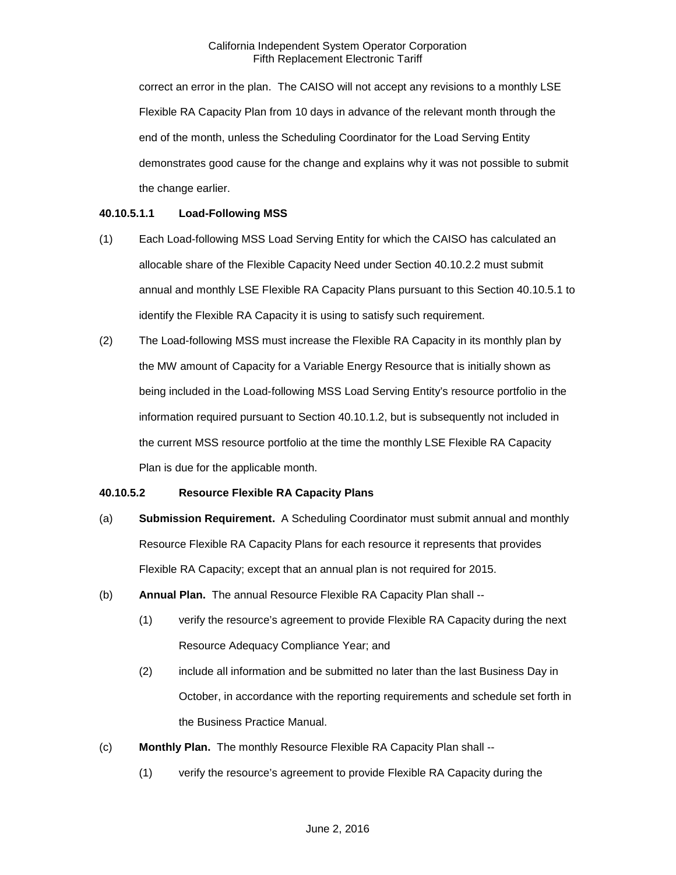correct an error in the plan. The CAISO will not accept any revisions to a monthly LSE Flexible RA Capacity Plan from 10 days in advance of the relevant month through the end of the month, unless the Scheduling Coordinator for the Load Serving Entity demonstrates good cause for the change and explains why it was not possible to submit the change earlier.

## **40.10.5.1.1 Load-Following MSS**

- (1) Each Load-following MSS Load Serving Entity for which the CAISO has calculated an allocable share of the Flexible Capacity Need under Section 40.10.2.2 must submit annual and monthly LSE Flexible RA Capacity Plans pursuant to this Section 40.10.5.1 to identify the Flexible RA Capacity it is using to satisfy such requirement.
- (2) The Load-following MSS must increase the Flexible RA Capacity in its monthly plan by the MW amount of Capacity for a Variable Energy Resource that is initially shown as being included in the Load-following MSS Load Serving Entity's resource portfolio in the information required pursuant to Section 40.10.1.2, but is subsequently not included in the current MSS resource portfolio at the time the monthly LSE Flexible RA Capacity Plan is due for the applicable month.

## **40.10.5.2 Resource Flexible RA Capacity Plans**

- (a) **Submission Requirement.** A Scheduling Coordinator must submit annual and monthly Resource Flexible RA Capacity Plans for each resource it represents that provides Flexible RA Capacity; except that an annual plan is not required for 2015.
- (b) **Annual Plan.** The annual Resource Flexible RA Capacity Plan shall --
	- (1) verify the resource's agreement to provide Flexible RA Capacity during the next Resource Adequacy Compliance Year; and
	- (2) include all information and be submitted no later than the last Business Day in October, in accordance with the reporting requirements and schedule set forth in the Business Practice Manual.
- (c) **Monthly Plan.** The monthly Resource Flexible RA Capacity Plan shall --
	- (1) verify the resource's agreement to provide Flexible RA Capacity during the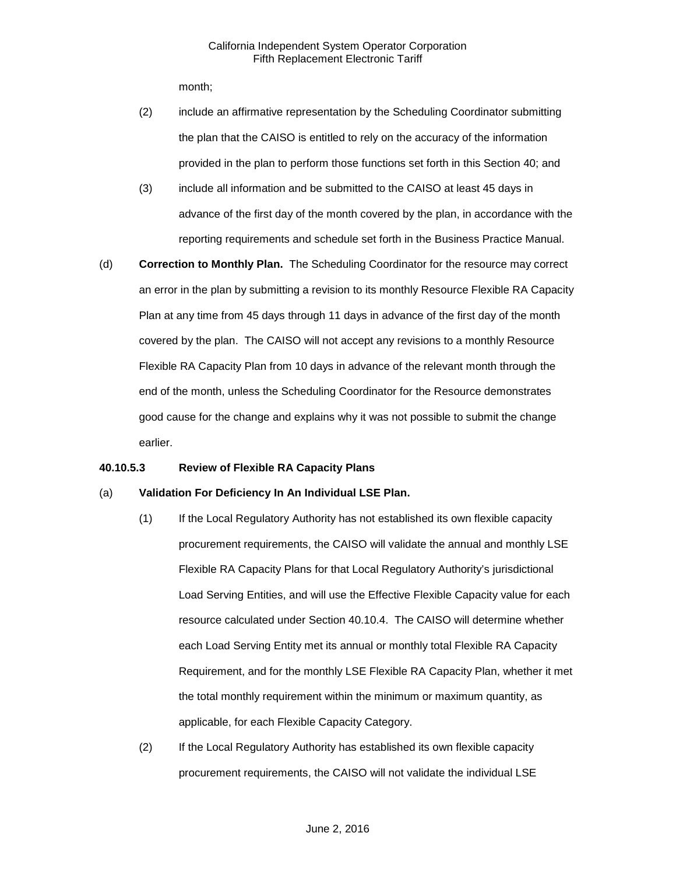month;

- (2) include an affirmative representation by the Scheduling Coordinator submitting the plan that the CAISO is entitled to rely on the accuracy of the information provided in the plan to perform those functions set forth in this Section 40; and
- (3) include all information and be submitted to the CAISO at least 45 days in advance of the first day of the month covered by the plan, in accordance with the reporting requirements and schedule set forth in the Business Practice Manual.
- (d) **Correction to Monthly Plan.** The Scheduling Coordinator for the resource may correct an error in the plan by submitting a revision to its monthly Resource Flexible RA Capacity Plan at any time from 45 days through 11 days in advance of the first day of the month covered by the plan. The CAISO will not accept any revisions to a monthly Resource Flexible RA Capacity Plan from 10 days in advance of the relevant month through the end of the month, unless the Scheduling Coordinator for the Resource demonstrates good cause for the change and explains why it was not possible to submit the change earlier.

# **40.10.5.3 Review of Flexible RA Capacity Plans**

#### (a) **Validation For Deficiency In An Individual LSE Plan.**

- (1) If the Local Regulatory Authority has not established its own flexible capacity procurement requirements, the CAISO will validate the annual and monthly LSE Flexible RA Capacity Plans for that Local Regulatory Authority's jurisdictional Load Serving Entities, and will use the Effective Flexible Capacity value for each resource calculated under Section 40.10.4. The CAISO will determine whether each Load Serving Entity met its annual or monthly total Flexible RA Capacity Requirement, and for the monthly LSE Flexible RA Capacity Plan, whether it met the total monthly requirement within the minimum or maximum quantity, as applicable, for each Flexible Capacity Category.
- (2) If the Local Regulatory Authority has established its own flexible capacity procurement requirements, the CAISO will not validate the individual LSE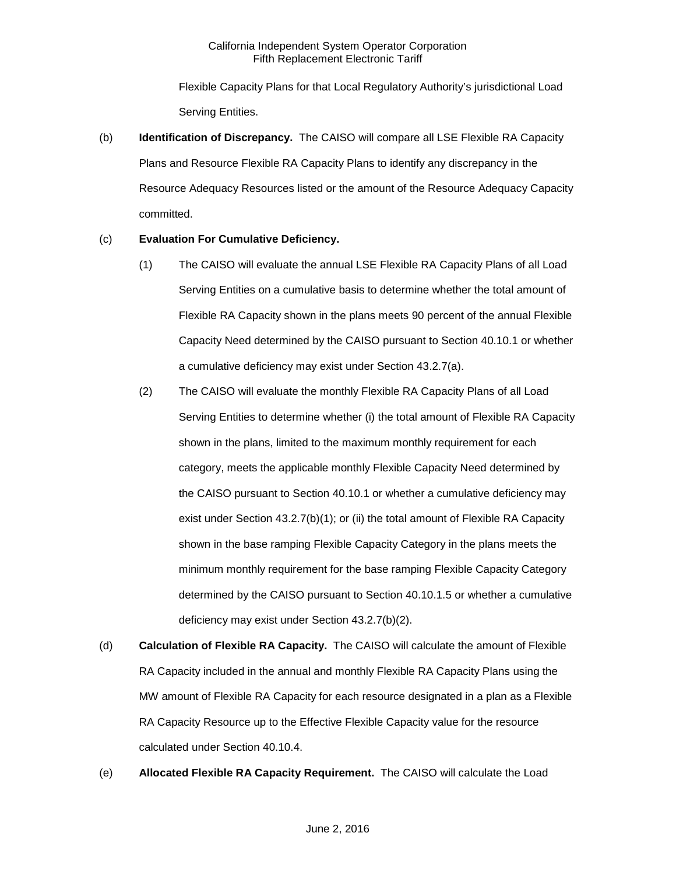Flexible Capacity Plans for that Local Regulatory Authority's jurisdictional Load Serving Entities.

(b) **Identification of Discrepancy.** The CAISO will compare all LSE Flexible RA Capacity Plans and Resource Flexible RA Capacity Plans to identify any discrepancy in the Resource Adequacy Resources listed or the amount of the Resource Adequacy Capacity committed.

## (c) **Evaluation For Cumulative Deficiency.**

- (1) The CAISO will evaluate the annual LSE Flexible RA Capacity Plans of all Load Serving Entities on a cumulative basis to determine whether the total amount of Flexible RA Capacity shown in the plans meets 90 percent of the annual Flexible Capacity Need determined by the CAISO pursuant to Section 40.10.1 or whether a cumulative deficiency may exist under Section 43.2.7(a).
- (2) The CAISO will evaluate the monthly Flexible RA Capacity Plans of all Load Serving Entities to determine whether (i) the total amount of Flexible RA Capacity shown in the plans, limited to the maximum monthly requirement for each category, meets the applicable monthly Flexible Capacity Need determined by the CAISO pursuant to Section 40.10.1 or whether a cumulative deficiency may exist under Section 43.2.7(b)(1); or (ii) the total amount of Flexible RA Capacity shown in the base ramping Flexible Capacity Category in the plans meets the minimum monthly requirement for the base ramping Flexible Capacity Category determined by the CAISO pursuant to Section 40.10.1.5 or whether a cumulative deficiency may exist under Section 43.2.7(b)(2).
- (d) **Calculation of Flexible RA Capacity.** The CAISO will calculate the amount of Flexible RA Capacity included in the annual and monthly Flexible RA Capacity Plans using the MW amount of Flexible RA Capacity for each resource designated in a plan as a Flexible RA Capacity Resource up to the Effective Flexible Capacity value for the resource calculated under Section 40.10.4.
- (e) **Allocated Flexible RA Capacity Requirement.** The CAISO will calculate the Load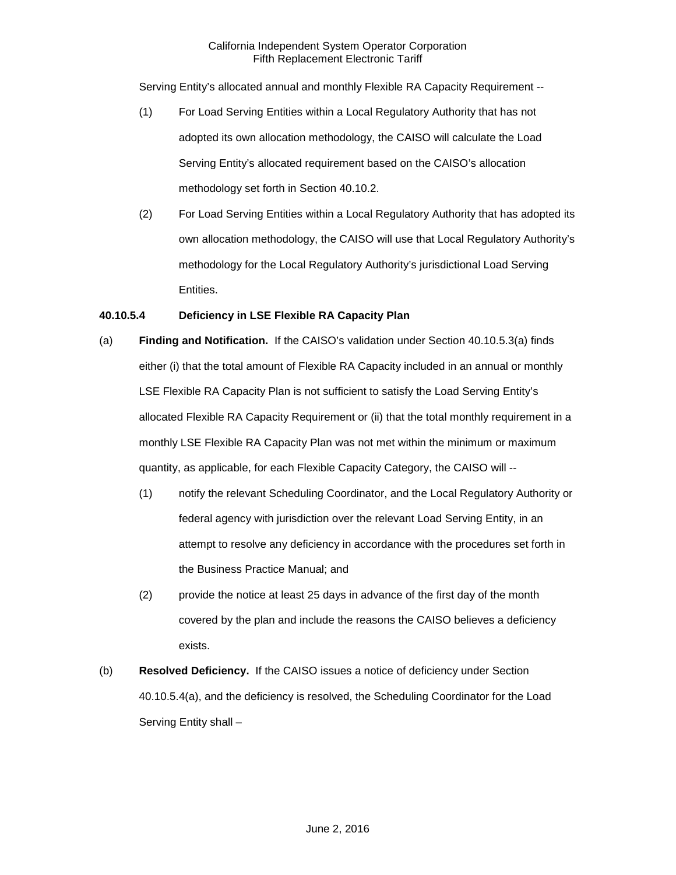Serving Entity's allocated annual and monthly Flexible RA Capacity Requirement --

- (1) For Load Serving Entities within a Local Regulatory Authority that has not adopted its own allocation methodology, the CAISO will calculate the Load Serving Entity's allocated requirement based on the CAISO's allocation methodology set forth in Section 40.10.2.
- (2) For Load Serving Entities within a Local Regulatory Authority that has adopted its own allocation methodology, the CAISO will use that Local Regulatory Authority's methodology for the Local Regulatory Authority's jurisdictional Load Serving Entities.

# **40.10.5.4 Deficiency in LSE Flexible RA Capacity Plan**

- (a) **Finding and Notification.** If the CAISO's validation under Section 40.10.5.3(a) finds either (i) that the total amount of Flexible RA Capacity included in an annual or monthly LSE Flexible RA Capacity Plan is not sufficient to satisfy the Load Serving Entity's allocated Flexible RA Capacity Requirement or (ii) that the total monthly requirement in a monthly LSE Flexible RA Capacity Plan was not met within the minimum or maximum quantity, as applicable, for each Flexible Capacity Category, the CAISO will --
	- (1) notify the relevant Scheduling Coordinator, and the Local Regulatory Authority or federal agency with jurisdiction over the relevant Load Serving Entity, in an attempt to resolve any deficiency in accordance with the procedures set forth in the Business Practice Manual; and
	- (2) provide the notice at least 25 days in advance of the first day of the month covered by the plan and include the reasons the CAISO believes a deficiency exists.
- (b) **Resolved Deficiency.** If the CAISO issues a notice of deficiency under Section 40.10.5.4(a), and the deficiency is resolved, the Scheduling Coordinator for the Load Serving Entity shall –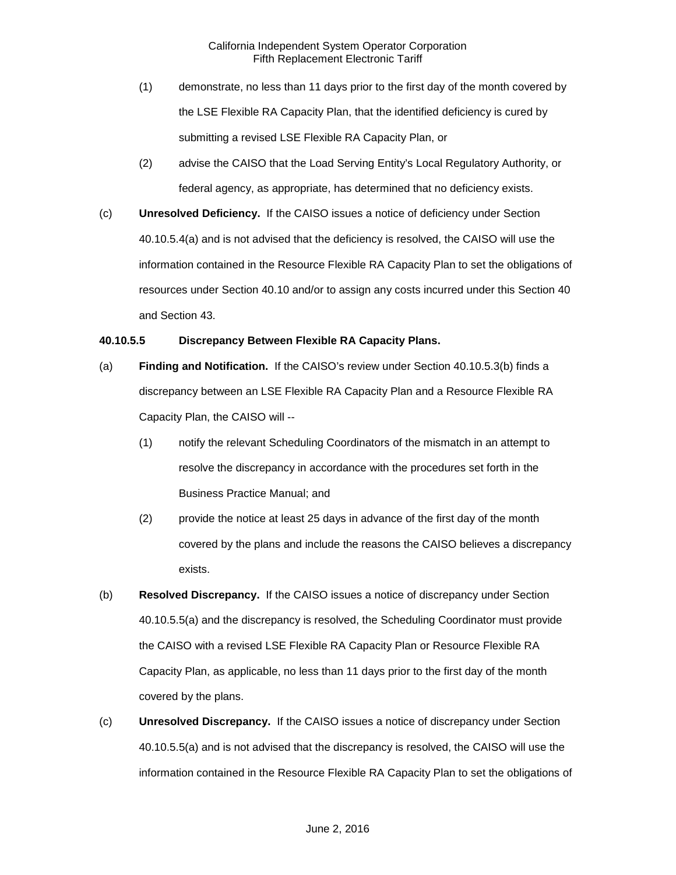#### California Independent System Operator Corporation Fifth Replacement Electronic Tariff

- (1) demonstrate, no less than 11 days prior to the first day of the month covered by the LSE Flexible RA Capacity Plan, that the identified deficiency is cured by submitting a revised LSE Flexible RA Capacity Plan, or
- (2) advise the CAISO that the Load Serving Entity's Local Regulatory Authority, or federal agency, as appropriate, has determined that no deficiency exists.
- (c) **Unresolved Deficiency.** If the CAISO issues a notice of deficiency under Section 40.10.5.4(a) and is not advised that the deficiency is resolved, the CAISO will use the information contained in the Resource Flexible RA Capacity Plan to set the obligations of resources under Section 40.10 and/or to assign any costs incurred under this Section 40 and Section 43.

#### **40.10.5.5 Discrepancy Between Flexible RA Capacity Plans.**

- (a) **Finding and Notification.** If the CAISO's review under Section 40.10.5.3(b) finds a discrepancy between an LSE Flexible RA Capacity Plan and a Resource Flexible RA Capacity Plan, the CAISO will --
	- (1) notify the relevant Scheduling Coordinators of the mismatch in an attempt to resolve the discrepancy in accordance with the procedures set forth in the Business Practice Manual; and
	- (2) provide the notice at least 25 days in advance of the first day of the month covered by the plans and include the reasons the CAISO believes a discrepancy exists.
- (b) **Resolved Discrepancy.** If the CAISO issues a notice of discrepancy under Section 40.10.5.5(a) and the discrepancy is resolved, the Scheduling Coordinator must provide the CAISO with a revised LSE Flexible RA Capacity Plan or Resource Flexible RA Capacity Plan, as applicable, no less than 11 days prior to the first day of the month covered by the plans.
- (c) **Unresolved Discrepancy.** If the CAISO issues a notice of discrepancy under Section 40.10.5.5(a) and is not advised that the discrepancy is resolved, the CAISO will use the information contained in the Resource Flexible RA Capacity Plan to set the obligations of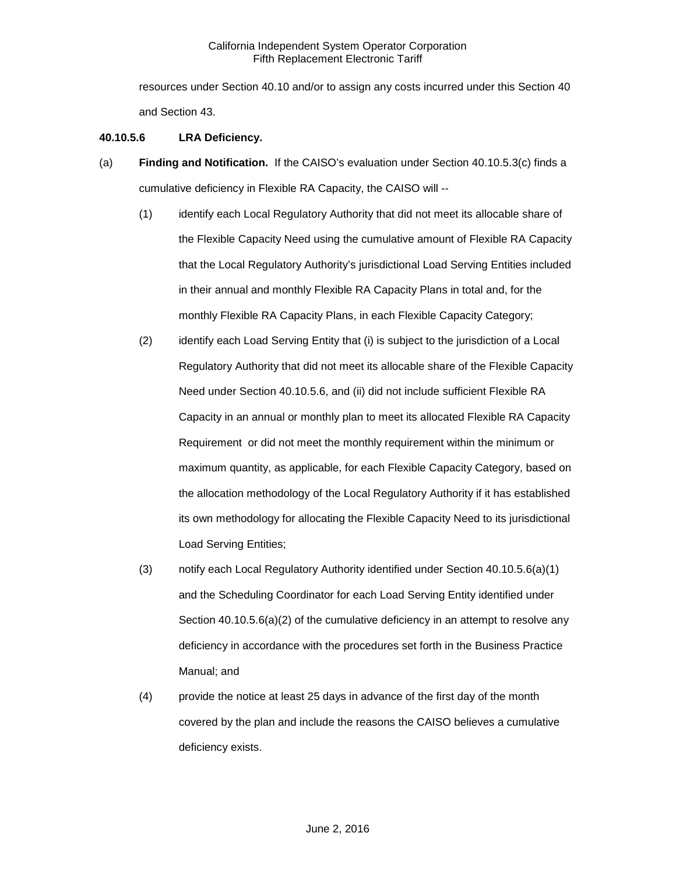resources under Section 40.10 and/or to assign any costs incurred under this Section 40 and Section 43.

## **40.10.5.6 LRA Deficiency.**

- (a) **Finding and Notification.** If the CAISO's evaluation under Section 40.10.5.3(c) finds a cumulative deficiency in Flexible RA Capacity, the CAISO will --
	- (1) identify each Local Regulatory Authority that did not meet its allocable share of the Flexible Capacity Need using the cumulative amount of Flexible RA Capacity that the Local Regulatory Authority's jurisdictional Load Serving Entities included in their annual and monthly Flexible RA Capacity Plans in total and, for the monthly Flexible RA Capacity Plans, in each Flexible Capacity Category;
	- (2) identify each Load Serving Entity that (i) is subject to the jurisdiction of a Local Regulatory Authority that did not meet its allocable share of the Flexible Capacity Need under Section 40.10.5.6, and (ii) did not include sufficient Flexible RA Capacity in an annual or monthly plan to meet its allocated Flexible RA Capacity Requirement or did not meet the monthly requirement within the minimum or maximum quantity, as applicable, for each Flexible Capacity Category, based on the allocation methodology of the Local Regulatory Authority if it has established its own methodology for allocating the Flexible Capacity Need to its jurisdictional Load Serving Entities;
	- (3) notify each Local Regulatory Authority identified under Section 40.10.5.6(a)(1) and the Scheduling Coordinator for each Load Serving Entity identified under Section 40.10.5.6(a)(2) of the cumulative deficiency in an attempt to resolve any deficiency in accordance with the procedures set forth in the Business Practice Manual; and
	- (4) provide the notice at least 25 days in advance of the first day of the month covered by the plan and include the reasons the CAISO believes a cumulative deficiency exists.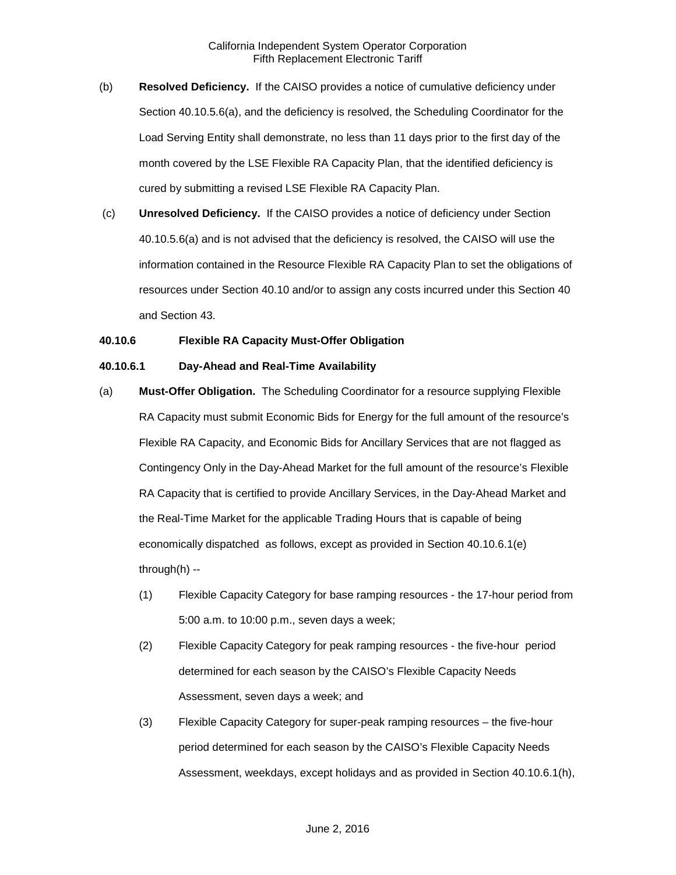- (b) **Resolved Deficiency.** If the CAISO provides a notice of cumulative deficiency under Section 40.10.5.6(a), and the deficiency is resolved, the Scheduling Coordinator for the Load Serving Entity shall demonstrate, no less than 11 days prior to the first day of the month covered by the LSE Flexible RA Capacity Plan, that the identified deficiency is cured by submitting a revised LSE Flexible RA Capacity Plan.
- (c) **Unresolved Deficiency.** If the CAISO provides a notice of deficiency under Section 40.10.5.6(a) and is not advised that the deficiency is resolved, the CAISO will use the information contained in the Resource Flexible RA Capacity Plan to set the obligations of resources under Section 40.10 and/or to assign any costs incurred under this Section 40 and Section 43.

#### **40.10.6 Flexible RA Capacity Must-Offer Obligation**

#### **40.10.6.1 Day-Ahead and Real-Time Availability**

- (a) **Must-Offer Obligation.** The Scheduling Coordinator for a resource supplying Flexible RA Capacity must submit Economic Bids for Energy for the full amount of the resource's Flexible RA Capacity, and Economic Bids for Ancillary Services that are not flagged as Contingency Only in the Day-Ahead Market for the full amount of the resource's Flexible RA Capacity that is certified to provide Ancillary Services, in the Day-Ahead Market and the Real-Time Market for the applicable Trading Hours that is capable of being economically dispatched as follows, except as provided in Section 40.10.6.1(e) through(h) --
	- (1) Flexible Capacity Category for base ramping resources the 17-hour period from 5:00 a.m. to 10:00 p.m., seven days a week;
	- (2) Flexible Capacity Category for peak ramping resources the five-hour period determined for each season by the CAISO's Flexible Capacity Needs Assessment, seven days a week; and
	- (3) Flexible Capacity Category for super-peak ramping resources the five-hour period determined for each season by the CAISO's Flexible Capacity Needs Assessment, weekdays, except holidays and as provided in Section 40.10.6.1(h),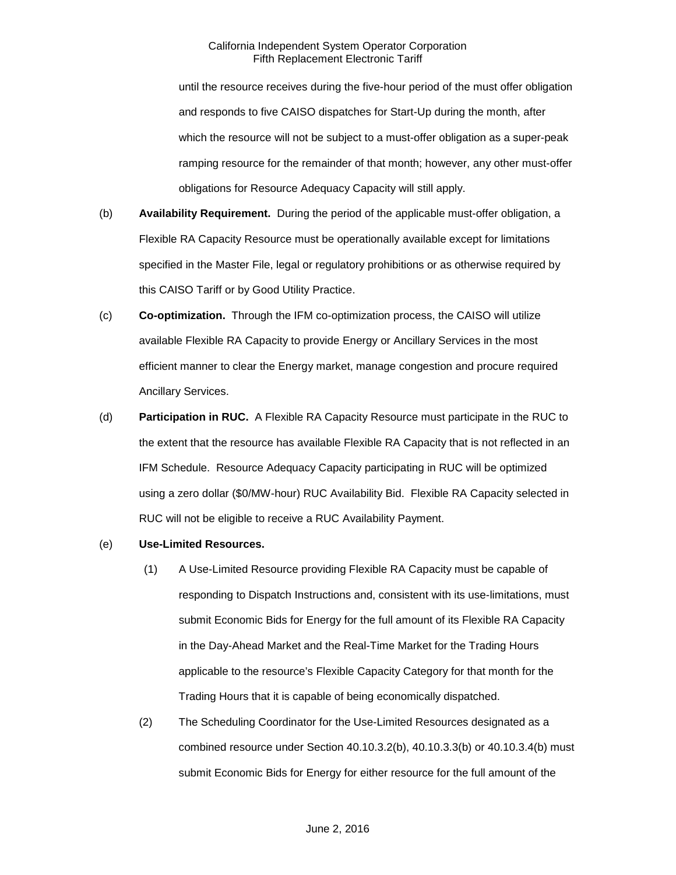#### California Independent System Operator Corporation Fifth Replacement Electronic Tariff

until the resource receives during the five-hour period of the must offer obligation and responds to five CAISO dispatches for Start-Up during the month, after which the resource will not be subject to a must-offer obligation as a super-peak ramping resource for the remainder of that month; however, any other must-offer obligations for Resource Adequacy Capacity will still apply.

- (b) **Availability Requirement.** During the period of the applicable must-offer obligation, a Flexible RA Capacity Resource must be operationally available except for limitations specified in the Master File, legal or regulatory prohibitions or as otherwise required by this CAISO Tariff or by Good Utility Practice.
- (c) **Co-optimization.** Through the IFM co-optimization process, the CAISO will utilize available Flexible RA Capacity to provide Energy or Ancillary Services in the most efficient manner to clear the Energy market, manage congestion and procure required Ancillary Services.
- (d) **Participation in RUC.** A Flexible RA Capacity Resource must participate in the RUC to the extent that the resource has available Flexible RA Capacity that is not reflected in an IFM Schedule. Resource Adequacy Capacity participating in RUC will be optimized using a zero dollar (\$0/MW-hour) RUC Availability Bid. Flexible RA Capacity selected in RUC will not be eligible to receive a RUC Availability Payment.
- (e) **Use-Limited Resources.** 
	- (1) A Use-Limited Resource providing Flexible RA Capacity must be capable of responding to Dispatch Instructions and, consistent with its use-limitations, must submit Economic Bids for Energy for the full amount of its Flexible RA Capacity in the Day-Ahead Market and the Real-Time Market for the Trading Hours applicable to the resource's Flexible Capacity Category for that month for the Trading Hours that it is capable of being economically dispatched.
	- (2) The Scheduling Coordinator for the Use-Limited Resources designated as a combined resource under Section 40.10.3.2(b), 40.10.3.3(b) or 40.10.3.4(b) must submit Economic Bids for Energy for either resource for the full amount of the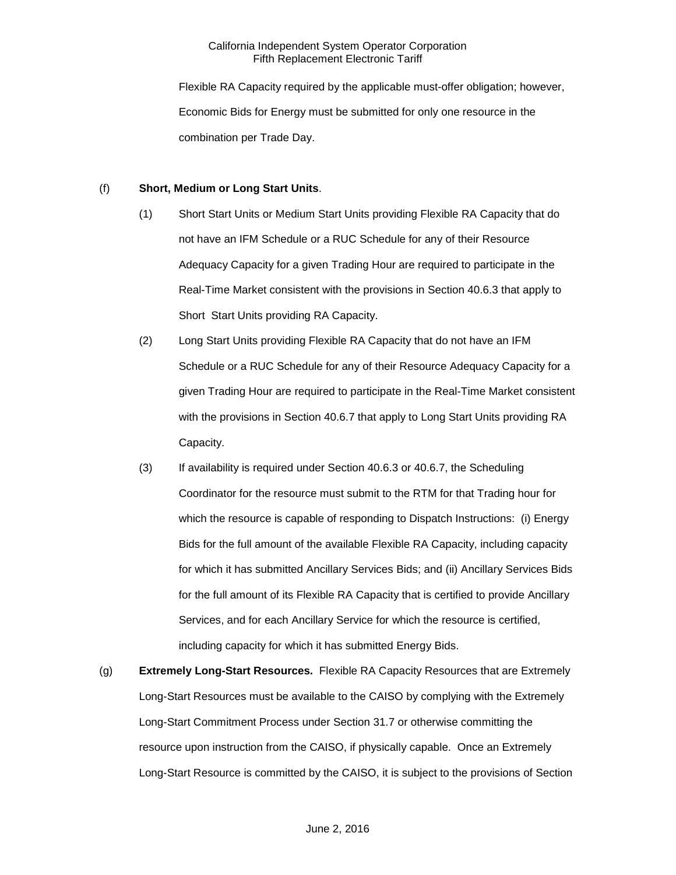Flexible RA Capacity required by the applicable must-offer obligation; however, Economic Bids for Energy must be submitted for only one resource in the combination per Trade Day.

## (f) **Short, Medium or Long Start Units**.

- (1) Short Start Units or Medium Start Units providing Flexible RA Capacity that do not have an IFM Schedule or a RUC Schedule for any of their Resource Adequacy Capacity for a given Trading Hour are required to participate in the Real-Time Market consistent with the provisions in Section 40.6.3 that apply to Short Start Units providing RA Capacity.
- (2) Long Start Units providing Flexible RA Capacity that do not have an IFM Schedule or a RUC Schedule for any of their Resource Adequacy Capacity for a given Trading Hour are required to participate in the Real-Time Market consistent with the provisions in Section 40.6.7 that apply to Long Start Units providing RA Capacity.
- (3) If availability is required under Section 40.6.3 or 40.6.7, the Scheduling Coordinator for the resource must submit to the RTM for that Trading hour for which the resource is capable of responding to Dispatch Instructions: (i) Energy Bids for the full amount of the available Flexible RA Capacity, including capacity for which it has submitted Ancillary Services Bids; and (ii) Ancillary Services Bids for the full amount of its Flexible RA Capacity that is certified to provide Ancillary Services, and for each Ancillary Service for which the resource is certified, including capacity for which it has submitted Energy Bids.
- (g) **Extremely Long-Start Resources.** Flexible RA Capacity Resources that are Extremely Long-Start Resources must be available to the CAISO by complying with the Extremely Long-Start Commitment Process under Section 31.7 or otherwise committing the resource upon instruction from the CAISO, if physically capable. Once an Extremely Long-Start Resource is committed by the CAISO, it is subject to the provisions of Section